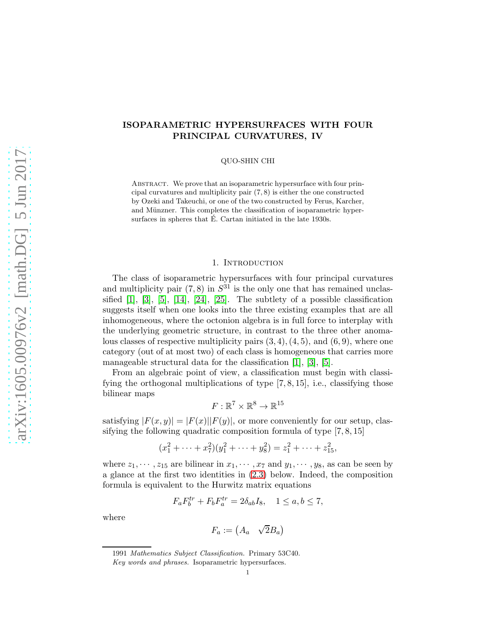# ISOPARAMETRIC HYPERSURFACES WITH FOUR PRINCIPAL CURVATURES, IV

QUO-SHIN CHI

ABSTRACT. We prove that an isoparametric hypersurface with four principal curvatures and multiplicity pair (7, 8) is either the one constructed by Ozeki and Takeuchi, or one of the two constructed by Ferus, Karcher, and Münzner. This completes the classification of isoparametric hypersurfaces in spheres that  $\hat{E}$ . Cartan initiated in the late 1930s.

## 1. INTRODUCTION

The class of isoparametric hypersurfaces with four principal curvatures and multiplicity pair  $(7, 8)$  in  $S<sup>31</sup>$  is the only one that has remained unclassified [\[1\]](#page-65-0), [\[3\]](#page-65-1), [\[5\]](#page-65-2), [\[14\]](#page-66-0), [\[24\]](#page-66-1), [\[25\]](#page-66-2). The subtlety of a possible classification suggests itself when one looks into the three existing examples that are all inhomogeneous, where the octonion algebra is in full force to interplay with the underlying geometric structure, in contrast to the three other anomalous classes of respective multiplicity pairs  $(3, 4)$ ,  $(4, 5)$ , and  $(6, 9)$ , where one category (out of at most two) of each class is homogeneous that carries more manageable structural data for the classification [\[1\]](#page-65-0), [\[3\]](#page-65-1), [\[5\]](#page-65-2).

From an algebraic point of view, a classification must begin with classifying the orthogonal multiplications of type [7, 8, 15], i.e., classifying those bilinear maps

$$
F:\mathbb{R}^7\times\mathbb{R}^8\to\mathbb{R}^{15}
$$

satisfying  $|F(x, y)| = |F(x)||F(y)|$ , or more conveniently for our setup, classifying the following quadratic composition formula of type [7, 8, 15]

$$
(x_1^2 + \dots + x_7^2)(y_1^2 + \dots + y_8^2) = z_1^2 + \dots + z_{15}^2,
$$

where  $z_1, \dots, z_{15}$  are bilinear in  $x_1, \dots, x_7$  and  $y_1, \dots, y_8$ , as can be seen by a glance at the first two identities in [\(2.3\)](#page-6-0) below. Indeed, the composition formula is equivalent to the Hurwitz matrix equations

$$
F_a F_b^{tr} + F_b F_a^{tr} = 2\delta_{ab} I_8, \quad 1 \le a, b \le 7,
$$

where

$$
F_a := \begin{pmatrix} A_a & \sqrt{2}B_a \end{pmatrix}
$$

<sup>1991</sup> Mathematics Subject Classification. Primary 53C40.

Key words and phrases. Isoparametric hypersurfaces.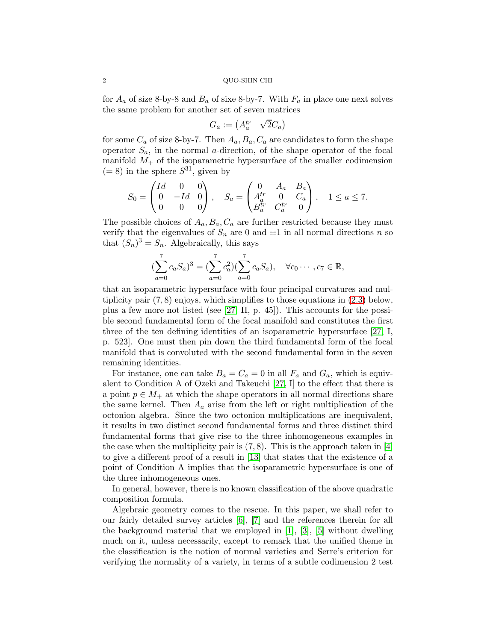for  $A_a$  of size 8-by-8 and  $B_a$  of sixe 8-by-7. With  $F_a$  in place one next solves the same problem for another set of seven matrices

$$
G_a := \begin{pmatrix} A_a^{tr} & \sqrt{2}C_a \end{pmatrix}
$$

for some  $C_a$  of size 8-by-7. Then  $A_a, B_a, C_a$  are candidates to form the shape operator  $S_a$ , in the normal *a*-direction, of the shape operator of the focal manifold  $M_{+}$  of the isoparametric hypersurface of the smaller codimension  $(= 8)$  in the sphere  $S^{31}$ , given by

$$
S_0 = \begin{pmatrix} Id & 0 & 0 \\ 0 & -Id & 0 \\ 0 & 0 & 0 \end{pmatrix}, \quad S_a = \begin{pmatrix} 0 & A_a & B_a \\ A_a^{tr} & 0 & C_a \\ B_a^{tr} & C_a^{tr} & 0 \end{pmatrix}, \quad 1 \le a \le 7.
$$

The possible choices of  $A_a, B_a, C_a$  are further restricted because they must verify that the eigenvalues of  $S_n$  are 0 and  $\pm 1$  in all normal directions n so that  $(S_n)^3 = S_n$ . Algebraically, this says

$$
(\sum_{a=0}^{7} c_a S_a)^3 = (\sum_{a=0}^{7} c_a^2) (\sum_{a=0}^{7} c_a S_a), \quad \forall c_0 \cdots, c_7 \in \mathbb{R},
$$

that an isoparametric hypersurface with four principal curvatures and multiplicity pair (7, 8) enjoys, which simplifies to those equations in [\(2.3\)](#page-6-0) below, plus a few more not listed (see [\[27,](#page-66-3) II, p. 45]). This accounts for the possible second fundamental form of the focal manifold and constitutes the first three of the ten defining identities of an isoparametric hypersurface [\[27,](#page-66-3) I, p. 523]. One must then pin down the third fundamental form of the focal manifold that is convoluted with the second fundamental form in the seven remaining identities.

For instance, one can take  $B_a = C_a = 0$  in all  $F_a$  and  $G_a$ , which is equivalent to Condition A of Ozeki and Takeuchi [\[27,](#page-66-3) I] to the effect that there is a point  $p \in M_+$  at which the shape operators in all normal directions share the same kernel. Then  $A_a$  arise from the left or right multiplication of the octonion algebra. Since the two octonion multiplications are inequivalent, it results in two distinct second fundamental forms and three distinct third fundamental forms that give rise to the three inhomogeneous examples in the case when the multiplicity pair is  $(7, 8)$ . This is the approach taken in [\[4\]](#page-65-3) to give a different proof of a result in [\[13\]](#page-66-4) that states that the existence of a point of Condition A implies that the isoparametric hypersurface is one of the three inhomogeneous ones.

In general, however, there is no known classification of the above quadratic composition formula.

Algebraic geometry comes to the rescue. In this paper, we shall refer to our fairly detailed survey articles [\[6\]](#page-65-4), [\[7\]](#page-66-5) and the references therein for all the background material that we employed in [\[1\]](#page-65-0), [\[3\]](#page-65-1), [\[5\]](#page-65-2) without dwelling much on it, unless necessarily, except to remark that the unified theme in the classification is the notion of normal varieties and Serre's criterion for verifying the normality of a variety, in terms of a subtle codimension 2 test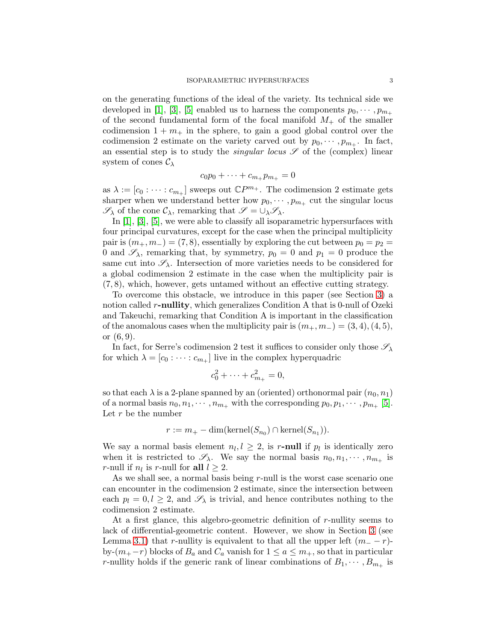on the generating functions of the ideal of the variety. Its technical side we developed in [\[1\]](#page-65-0), [\[3\]](#page-65-1), [\[5\]](#page-65-2) enabled us to harness the components  $p_0, \dots, p_{m_+}$ of the second fundamental form of the focal manifold  $M_{+}$  of the smaller codimension  $1 + m_+$  in the sphere, to gain a good global control over the codimension 2 estimate on the variety carved out by  $p_0, \dots, p_{m_+}$ . In fact, an essential step is to study the *singular locus*  $\mathscr S$  of the (complex) linear system of cones  $\mathcal{C}_{\lambda}$ 

$$
c_0p_0+\cdots+c_{m_+}p_{m_+}=0
$$

as  $\lambda := [c_0 : \cdots : c_{m_+}]$  sweeps out  $\mathbb{C}P^{m_+}$ . The codimension 2 estimate gets sharper when we understand better how  $p_0, \dots, p_{m_+}$  cut the singular locus  $\mathscr{S}_{\lambda}$  of the cone  $\mathcal{C}_{\lambda}$ , remarking that  $\mathscr{S} = \cup_{\lambda} \mathscr{S}_{\lambda}$ .

In [\[1\]](#page-65-0), [\[3\]](#page-65-1), [\[5\]](#page-65-2), we were able to classify all isoparametric hypersurfaces with four principal curvatures, except for the case when the principal multiplicity pair is  $(m_+, m_-) = (7, 8)$ , essentially by exploring the cut between  $p_0 = p_2$ 0 and  $\mathscr{S}_{\lambda}$ , remarking that, by symmetry,  $p_0 = 0$  and  $p_1 = 0$  produce the same cut into  $\mathscr{S}_{\lambda}$ . Intersection of more varieties needs to be considered for a global codimension 2 estimate in the case when the multiplicity pair is (7, 8), which, however, gets untamed without an effective cutting strategy.

To overcome this obstacle, we introduce in this paper (see Section [3\)](#page-10-0) a notion called r-nullity, which generalizes Condition A that is 0-null of Ozeki and Takeuchi, remarking that Condition A is important in the classification of the anomalous cases when the multiplicity pair is  $(m_+, m_-) = (3, 4), (4, 5),$ or (6, 9).

In fact, for Serre's codimension 2 test it suffices to consider only those  $\mathscr{S}_{\lambda}$ for which  $\lambda = [c_0 : \cdots : c_{m_+}]$  live in the complex hyperquadric

$$
c_0^2 + \dots + c_{m_+}^2 = 0,
$$

so that each  $\lambda$  is a 2-plane spanned by an (oriented) orthonormal pair  $(n_0, n_1)$ of a normal basis  $n_0, n_1, \cdots, n_{m_+}$  with the corresponding  $p_0, p_1, \cdots, p_{m_+}$  [\[5\]](#page-65-2). Let  $r$  be the number

$$
r := m_{+} - \dim(\mathrm{kernel}(S_{n_0}) \cap \mathrm{kernel}(S_{n_1})).
$$

We say a normal basis element  $n_l, l \geq 2$ , is r-null if  $p_l$  is identically zero when it is restricted to  $\mathscr{S}_{\lambda}$ . We say the normal basis  $n_0, n_1, \dots, n_{m_+}$  is r-null if  $n_l$  is r-null for all  $l \geq 2$ .

As we shall see, a normal basis being r-null is the worst case scenario one can encounter in the codimension 2 estimate, since the intersection between each  $p_l = 0, l \geq 2$ , and  $\mathscr{S}_{\lambda}$  is trivial, and hence contributes nothing to the codimension 2 estimate.

At a first glance, this algebro-geometric definition of r-nullity seems to lack of differential-geometric content. However, we show in Section [3](#page-10-0) (see Lemma [3.1\)](#page-13-0) that r-nullity is equivalent to that all the upper left  $(m_ - - r)$ by- $(m_{+}-r)$  blocks of  $B_a$  and  $C_a$  vanish for  $1 \le a \le m_{+}$ , so that in particular r-nullity holds if the generic rank of linear combinations of  $B_1, \dots, B_{m_+}$  is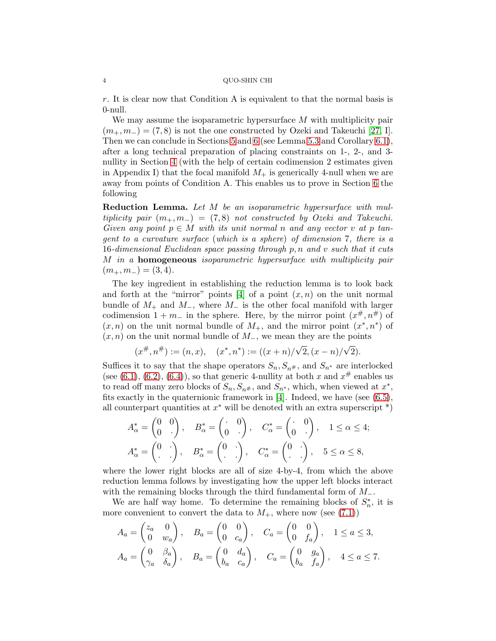r. It is clear now that Condition A is equivalent to that the normal basis is 0-null.

We may assume the isoparametric hypersurface M with multiplicity pair  $(m_+, m_-) = (7, 8)$  is not the one constructed by Ozeki and Takeuchi [\[27,](#page-66-3) I]. Then we can conclude in Sections [5](#page-37-0) and [6](#page-43-0) (see Lemma [5.3](#page-43-1) and Corollary [6.1\)](#page-44-0), after a long technical preparation of placing constraints on 1-, 2-, and 3 nullity in Section [4](#page-18-0) (with the help of certain codimension 2 estimates given in Appendix I) that the focal manifold  $M_{+}$  is generically 4-null when we are away from points of Condition A. This enables us to prove in Section [6](#page-43-0) the following

Reduction Lemma. Let M be an isoparametric hypersurface with multiplicity pair  $(m_+, m_-) = (7, 8)$  not constructed by Ozeki and Takeuchi. Given any point  $p \in M$  with its unit normal n and any vector v at p tangent to a curvature surface (which is a sphere) of dimension 7, there is a 16-dimensional Euclidean space passing through  $p, n$  and  $v$  such that it cuts M in a homogeneous isoparametric hypersurface with multiplicity pair  $(m_{+}, m_{-}) = (3, 4).$ 

The key ingredient in establishing the reduction lemma is to look back and forth at the "mirror" points  $[4]$  of a point  $(x, n)$  on the unit normal bundle of  $M_+$  and  $M_-$ , where  $M_-$  is the other focal manifold with larger codimension  $1 + m_-\$  in the sphere. Here, by the mirror point  $(x^{\#}, n^{\#})$  of  $(x, n)$  on the unit normal bundle of  $M_{+}$ , and the mirror point  $(x^*, n^*)$  of  $(x, n)$  on the unit normal bundle of  $M_$ , we mean they are the points

$$
(x^{\#}, n^{\#}) := (n, x), \quad (x^*, n^*) := ((x + n)/\sqrt{2}, (x - n)/\sqrt{2}).
$$

Suffices it to say that the shape operators  $S_n, S_{n^*}$ , and  $S_{n^*}$  are interlocked (see [\(6.1\)](#page-44-1), [\(6.2\)](#page-44-2), [\(6.4\)](#page-44-3)), so that generic 4-nullity at both x and  $x^{\#}$  enables us to read off many zero blocks of  $S_n, S_{n^{\#}}$ , and  $S_{n^*}$ , which, when viewed at  $x^*$ , fits exactly in the quaternionic framework in [\[4\]](#page-65-3). Indeed, we have (see [\(6.5\)](#page-44-4), all counterpart quantities at  $x^*$  will be denoted with an extra superscript  $^*)$ 

$$
A_{\alpha}^* = \begin{pmatrix} 0 & 0 \\ 0 & \cdot \end{pmatrix}, \quad B_{\alpha}^* = \begin{pmatrix} \cdot & 0 \\ 0 & \cdot \end{pmatrix}, \quad C_{\alpha}^* = \begin{pmatrix} \cdot & 0 \\ 0 & \cdot \end{pmatrix}, \quad 1 \le \alpha \le 4;
$$
  

$$
A_{\alpha}^* = \begin{pmatrix} 0 & \cdot \\ \cdot & \cdot \end{pmatrix}, \quad B_{\alpha}^* = \begin{pmatrix} 0 & \cdot \\ \cdot & \cdot \end{pmatrix}, \quad C_{\alpha}^* = \begin{pmatrix} 0 & \cdot \\ \cdot & \cdot \end{pmatrix}, \quad 5 \le \alpha \le 8,
$$

where the lower right blocks are all of size 4-by-4, from which the above reduction lemma follows by investigating how the upper left blocks interact with the remaining blocks through the third fundamental form of  $M_-.$ 

We are half way home. To determine the remaining blocks of  $S_n^*$ , it is more convenient to convert the data to  $M_{+}$ , where now (see [\(7.1\)](#page-53-0))

$$
A_a = \begin{pmatrix} z_a & 0 \\ 0 & w_a \end{pmatrix}, \quad B_a = \begin{pmatrix} 0 & 0 \\ 0 & c_a \end{pmatrix}, \quad C_a = \begin{pmatrix} 0 & 0 \\ 0 & f_a \end{pmatrix}, \quad 1 \le a \le 3,
$$
  

$$
A_a = \begin{pmatrix} 0 & \beta_a \\ \gamma_a & \delta_a \end{pmatrix}, \quad B_a = \begin{pmatrix} 0 & d_a \\ b_a & c_a \end{pmatrix}, \quad C_a = \begin{pmatrix} 0 & g_a \\ b_a & f_a \end{pmatrix}, \quad 4 \le a \le 7.
$$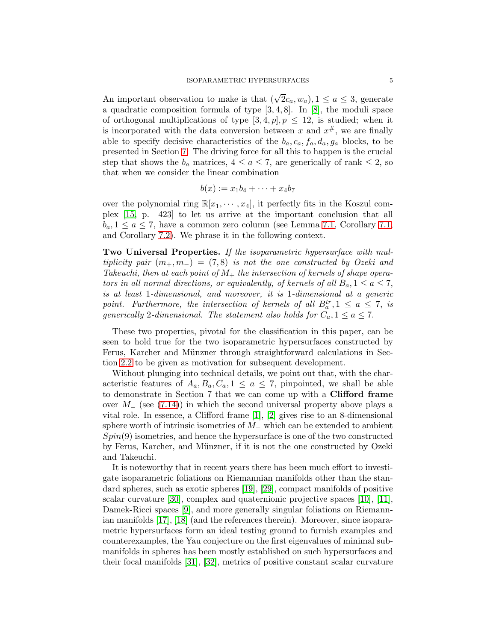An important observation to make is that  $(\sqrt{2}c_a, w_a), 1 \le a \le 3$ , generate a quadratic composition formula of type [3, 4, 8]. In [\[8\]](#page-66-6), the moduli space of orthogonal multiplications of type  $[3, 4, p]$ ,  $p \leq 12$ , is studied; when it is incorporated with the data conversion between x and  $x^{\#}$ , we are finally able to specify decisive characteristics of the  $b_a, c_a, f_a, d_a, g_a$  blocks, to be presented in Section [7.](#page-53-1) The driving force for all this to happen is the crucial step that shows the  $b_a$  matrices,  $4 \le a \le 7$ , are generically of rank  $\le 2$ , so that when we consider the linear combination

$$
b(x) := x_1b_4 + \cdots + x_4b_7
$$

over the polynomial ring  $\mathbb{R}[x_1, \dots, x_4]$ , it perfectly fits in the Koszul complex [\[15,](#page-66-7) p. 423] to let us arrive at the important conclusion that all  $b_a, 1 \le a \le 7$ , have a common zero column (see Lemma [7.1,](#page-54-1) Corollary 7.1, and Corollary [7.2\)](#page-56-0). We phrase it in the following context.

Two Universal Properties. If the isoparametric hypersurface with multiplicity pair  $(m_+, m_-) = (7, 8)$  is not the one constructed by Ozeki and Takeuchi, then at each point of  $M_+$  the intersection of kernels of shape operators in all normal directions, or equivalently, of kernels of all  $B_a$ ,  $1 \le a \le 7$ , is at least 1-dimensional, and moreover, it is 1-dimensional at a generic point. Furthermore, the intersection of kernels of all  $B_a^{tr}$ ,  $1 \le a \le 7$ , is generically 2-dimensional. The statement also holds for  $C_a$ ,  $1 \le a \le 7$ .

These two properties, pivotal for the classification in this paper, can be seen to hold true for the two isoparametric hypersurfaces constructed by Ferus, Karcher and Münzner through straightforward calculations in Section [2.2](#page-8-0) to be given as motivation for subsequent development.

Without plunging into technical details, we point out that, with the characteristic features of  $A_a, B_a, C_a, 1 \le a \le 7$ , pinpointed, we shall be able to demonstrate in Section 7 that we can come up with a Clifford frame over  $M_-\$  (see [\(7.14\)](#page-60-0)) in which the second universal property above plays a vital role. In essence, a Clifford frame [\[1\]](#page-65-0), [\[2\]](#page-65-5) gives rise to an 8-dimensional sphere worth of intrinsic isometries of  $M_$  which can be extended to ambient  $Spin(9)$  isometries, and hence the hypersurface is one of the two constructed by Ferus, Karcher, and Münzner, if it is not the one constructed by Ozeki and Takeuchi.

It is noteworthy that in recent years there has been much effort to investigate isoparametric foliations on Riemannian manifolds other than the standard spheres, such as exotic spheres [\[19\]](#page-66-8), [\[29\]](#page-66-9), compact manifolds of positive scalar curvature [\[30\]](#page-66-10), complex and quaternionic projective spaces [\[10\]](#page-66-11), [\[11\]](#page-66-12), Damek-Ricci spaces [\[9\]](#page-66-13), and more generally singular foliations on Riemannian manifolds [\[17\]](#page-66-14), [\[18\]](#page-66-15) (and the references therein). Moreover, since isoparametric hypersurfaces form an ideal testing ground to furnish examples and counterexamples, the Yau conjecture on the first eigenvalues of minimal submanifolds in spheres has been mostly established on such hypersurfaces and their focal manifolds [\[31\]](#page-66-16), [\[32\]](#page-66-17), metrics of positive constant scalar curvature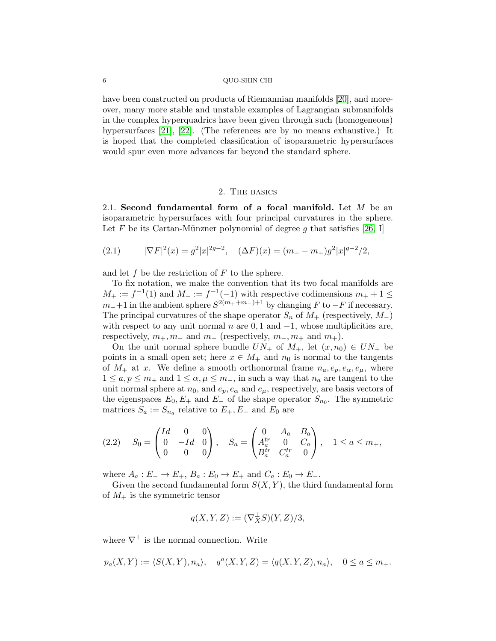have been constructed on products of Riemannian manifolds [\[20\]](#page-66-18), and moreover, many more stable and unstable examples of Lagrangian submanifolds in the complex hyperquadrics have been given through such (homogeneous) hypersurfaces [\[21\]](#page-66-19), [\[22\]](#page-66-20). (The references are by no means exhaustive.) It is hoped that the completed classification of isoparametric hypersurfaces would spur even more advances far beyond the standard sphere.

#### 2. The basics

2.1. Second fundamental form of a focal manifold. Let  $M$  be an isoparametric hypersurfaces with four principal curvatures in the sphere. Let F be its Cartan-Münzner polynomial of degree g that satisfies [\[26,](#page-66-21) I]

(2.1) 
$$
|\nabla F|^2(x) = g^2 |x|^{2g-2}, \quad (\Delta F)(x) = (m_- - m_+)g^2 |x|^{g-2}/2,
$$

and let f be the restriction of  $F$  to the sphere.

To fix notation, we make the convention that its two focal manifolds are  $M_+ := f^{-1}(1)$  and  $M_- := f^{-1}(-1)$  with respective codimensions  $m_+ + 1 \leq$  $m_-+1$  in the ambient sphere  $S^{2(m_+ + m_-)+1}$  by changing F to  $-F$  if necessary. The principal curvatures of the shape operator  $S_n$  of  $M_+$  (respectively,  $M_-$ ) with respect to any unit normal n are  $0, 1$  and  $-1$ , whose multiplicities are, respectively,  $m_+, m_-$  and  $m_-$  (respectively,  $m_-, m_+$  and  $m_+$ ).

On the unit normal sphere bundle  $UN_+$  of  $M_+$ , let  $(x, n_0) \in UN_+$  be points in a small open set; here  $x \in M_+$  and  $n_0$  is normal to the tangents of  $M_+$  at x. We define a smooth orthonormal frame  $n_a, e_p, e_\alpha, e_\mu$ , where  $1 \le a, p \le m_+$  and  $1 \le \alpha, \mu \le m_-$ , in such a way that  $n_a$  are tangent to the unit normal sphere at  $n_0$ , and  $e_p$ ,  $e_\alpha$  and  $e_\mu$ , respectively, are basis vectors of the eigenspaces  $E_0, E_+$  and  $E_-$  of the shape operator  $S_{n_0}$ . The symmetric matrices  $S_a := S_{n_a}$  relative to  $E_+, E_-$  and  $E_0$  are

<span id="page-5-0"></span>
$$
(2.2) \tS_0 = \begin{pmatrix} Id & 0 & 0 \\ 0 & -Id & 0 \\ 0 & 0 & 0 \end{pmatrix}, \tS_a = \begin{pmatrix} 0 & A_a & B_a \\ A_a^{tr} & 0 & C_a \\ B_a^{tr} & C_a^{tr} & 0 \end{pmatrix}, \t1 \le a \le m_+,
$$

where  $A_a: E_-\to E_+, B_a: E_0\to E_+$  and  $C_a: E_0\to E_-$ .

Given the second fundamental form  $S(X, Y)$ , the third fundamental form of  $M_{+}$  is the symmetric tensor

$$
q(X, Y, Z) := (\nabla_X^{\perp} S)(Y, Z)/3,
$$

where  $\nabla^{\perp}$  is the normal connection. Write

$$
p_a(X,Y) := \langle S(X,Y), n_a \rangle, \quad q^a(X,Y,Z) = \langle q(X,Y,Z), n_a \rangle, \quad 0 \le a \le m_+.
$$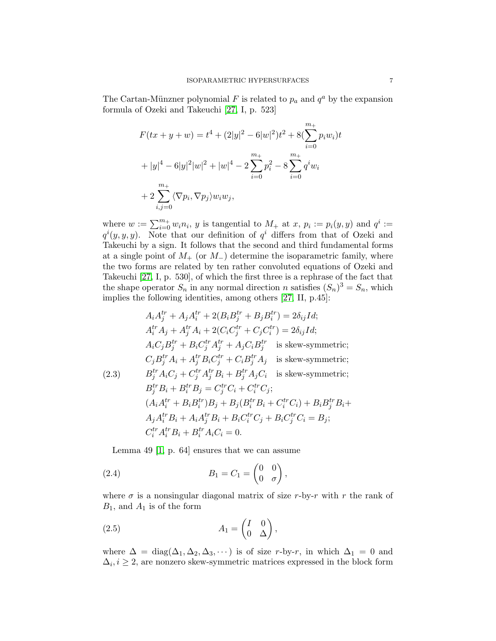The Cartan-Münzner polynomial F is related to  $p_a$  and  $q^a$  by the expansion formula of Ozeki and Takeuchi [\[27,](#page-66-3) I, p. 523]

$$
F(tx + y + w) = t4 + (2|y|2 – 6|w|2)t2 + 8(\sum_{i=0}^{m_{+}} p_{i}w_{i})t
$$
  
+ |y|<sup>4</sup> – 6|y|<sup>2</sup>|w|<sup>2</sup> + |w|<sup>4</sup> – 2 $\sum_{i=0}^{m_{+}} p_{i}^{2}$  – 8 $\sum_{i=0}^{m_{+}} q^{i}w_{i}$   
+ 2 $\sum_{i,j=0}^{m_{+}} \langle \nabla p_{i}, \nabla p_{j} \rangle w_{i}w_{j},$ 

where  $w := \sum_{i=0}^{m_+} w_i n_i$ , y is tangential to  $M_+$  at  $x, p_i := p_i(y, y)$  and  $q^i :=$  $q^{i}(y, y, y)$ . Note that our definition of  $q^{i}$  differs from that of Ozeki and Takeuchi by a sign. It follows that the second and third fundamental forms at a single point of  $M_{+}$  (or  $M_{-}$ ) determine the isoparametric family, where the two forms are related by ten rather convoluted equations of Ozeki and Takeuchi [\[27,](#page-66-3) I, p. 530], of which the first three is a rephrase of the fact that the shape operator  $S_n$  in any normal direction n satisfies  $(S_n)^3 = S_n$ , which implies the following identities, among others [\[27,](#page-66-3) II, p.45]:

<span id="page-6-0"></span>
$$
A_i A_j^{tr} + A_j A_i^{tr} + 2(B_i B_j^{tr} + B_j B_i^{tr}) = 2\delta_{ij}Id;
$$
  
\n
$$
A_i^{tr} A_j + A_j^{tr} A_i + 2(C_i C_j^{tr} + C_j C_i^{tr}) = 2\delta_{ij}Id;
$$
  
\n
$$
A_i C_j B_j^{tr} + B_i C_j^{tr} A_j^{tr} + A_j C_i B_j^{tr}
$$
 is skew-symmetric;  
\n
$$
C_j B_j^{tr} A_i + A_j^{tr} B_i C_j^{tr} + C_i B_j^{tr} A_j
$$
 is skew-symmetric;  
\n(2.3) 
$$
B_j^{tr} A_i C_j + C_j^{tr} A_j^{tr} B_i + B_j^{tr} A_j C_i
$$
 is skew-symmetric;  
\n
$$
B_j^{tr} B_i + B_i^{tr} B_j = C_j^{tr} C_i + C_i^{tr} C_j;
$$
  
\n
$$
(A_i A_i^{tr} + B_i B_i^{tr}) B_j + B_j (B_i^{tr} B_i + C_i^{tr} C_i) + B_i B_j^{tr} B_i + A_j A_i^{tr} B_i + A_i A_j^{tr} B_i + B_i C_i^{tr} C_j + B_i C_j^{tr} C_i = B_j;
$$
  
\n
$$
C_i^{tr} A_i^{tr} B_i + B_i^{tr} A_i C_i = 0.
$$

<span id="page-6-1"></span>Lemma 49 [\[1,](#page-65-0) p. 64] ensures that we can assume

(2.4) 
$$
B_1 = C_1 = \begin{pmatrix} 0 & 0 \\ 0 & \sigma \end{pmatrix},
$$

where  $\sigma$  is a nonsingular diagonal matrix of size r-by-r with r the rank of  $B_1$ , and  $A_1$  is of the form

<span id="page-6-2"></span>(2.5) 
$$
A_1 = \begin{pmatrix} I & 0 \\ 0 & \Delta \end{pmatrix},
$$

where  $\Delta = \text{diag}(\Delta_1, \Delta_2, \Delta_3, \cdots)$  is of size r-by-r, in which  $\Delta_1 = 0$  and  $\Delta_i, i \geq 2$ , are nonzero skew-symmetric matrices expressed in the block form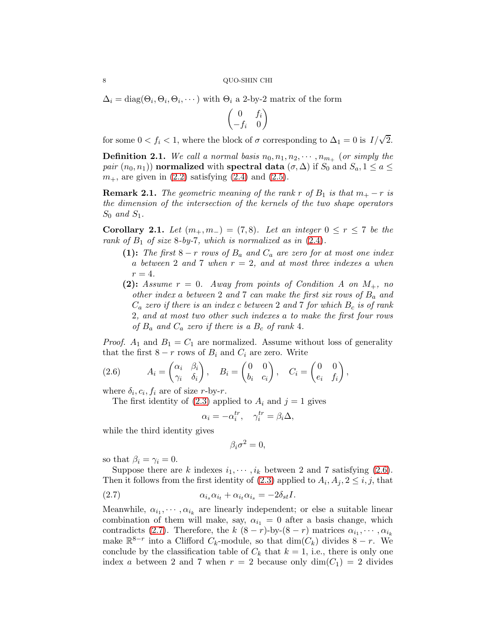$\Delta_i = \text{diag}(\Theta_i, \Theta_i, \Theta_i, \cdots)$  with  $\Theta_i$  a 2-by-2 matrix of the form

$$
\begin{pmatrix} 0 & f_i \\ -f_i & 0 \end{pmatrix}
$$

for some  $0 < f_i < 1$ , where the block of  $\sigma$  corresponding to  $\Delta_1 = 0$  is  $I/\sqrt{2}$ .

**Definition 2.1.** We call a normal basis  $n_0, n_1, n_2, \cdots, n_{m_+}$  (or simply the pair  $(n_0, n_1)$  normalized with spectral data  $(\sigma, \Delta)$  if  $S_0$  and  $S_a$ ,  $1 \le a \le$  $m_{+}$ , are given in  $(2.2)$  satisfying  $(2.4)$  and  $(2.5)$ .

<span id="page-7-2"></span>**Remark 2.1.** The geometric meaning of the rank r of  $B_1$  is that  $m_+ - r$  is the dimension of the intersection of the kernels of the two shape operators  $S_0$  and  $S_1$ .

<span id="page-7-3"></span>Corollary 2.1. Let  $(m_+, m_-) = (7, 8)$ . Let an integer  $0 \le r \le 7$  be the rank of  $B_1$  of size 8-by-7, which is normalized as in  $(2.4)$ .

- (1): The first  $8-r$  rows of  $B_a$  and  $C_a$  are zero for at most one index a between 2 and 7 when  $r = 2$ , and at most three indexes a when  $r=4$ .
- (2): Assume  $r = 0$ . Away from points of Condition A on  $M_+$ , no other index a between 2 and 7 can make the first six rows of  $B_a$  and  $C_a$  zero if there is an index c between 2 and 7 for which  $B_c$  is of rank 2, and at most two other such indexes a to make the first four rows of  $B_a$  and  $C_a$  zero if there is a  $B_c$  of rank 4.

*Proof.*  $A_1$  and  $B_1 = C_1$  are normalized. Assume without loss of generality that the first  $8 - r$  rows of  $B_i$  and  $C_i$  are zero. Write

<span id="page-7-0"></span>(2.6) 
$$
A_i = \begin{pmatrix} \alpha_i & \beta_i \\ \gamma_i & \delta_i \end{pmatrix}, \quad B_i = \begin{pmatrix} 0 & 0 \\ b_i & c_i \end{pmatrix}, \quad C_i = \begin{pmatrix} 0 & 0 \\ e_i & f_i \end{pmatrix},
$$

where  $\delta_i, c_i, f_i$  are of size *r*-by-*r*.

The first identity of [\(2.3\)](#page-6-0) applied to  $A_i$  and  $j = 1$  gives

$$
\alpha_i = -\alpha_i^{tr}, \quad \gamma_i^{tr} = \beta_i \Delta,
$$

while the third identity gives

<span id="page-7-1"></span>
$$
\beta_i \sigma^2 = 0,
$$

so that  $\beta_i = \gamma_i = 0$ .

Suppose there are k indexes  $i_1, \dots, i_k$  between 2 and 7 satisfying [\(2.6\)](#page-7-0). Then it follows from the first identity of  $(2.3)$  applied to  $A_i, A_j, 2 \leq i, j$ , that

(2.7) αisαi<sup>t</sup> + αitαi<sup>s</sup> = −2δstI.

Meanwhile,  $\alpha_{i_1}, \cdots, \alpha_{i_k}$  are linearly independent; or else a suitable linear combination of them will make, say,  $\alpha_{i_1} = 0$  after a basis change, which contradicts [\(2.7\)](#page-7-1). Therefore, the  $k$   $(8-r)$ -by- $(8-r)$  matrices  $\alpha_{i_1}, \cdots, \alpha_{i_k}$ make  $\mathbb{R}^{8-r}$  into a Clifford  $C_k$ -module, so that  $\dim(C_k)$  divides  $8-r$ . We conclude by the classification table of  $C_k$  that  $k = 1$ , i.e., there is only one index a between 2 and 7 when  $r = 2$  because only  $\dim(C_1) = 2$  divides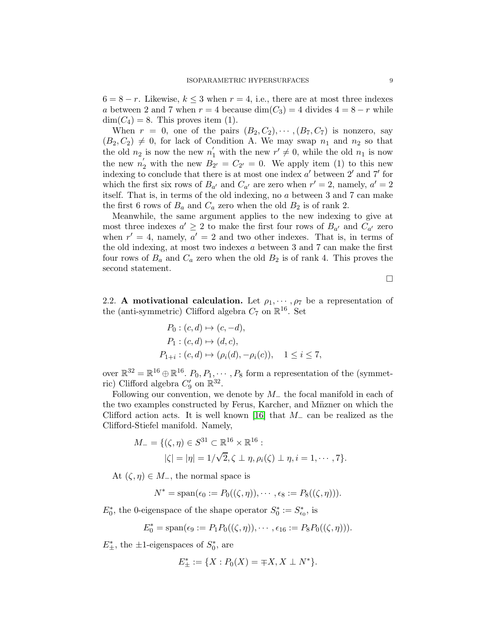$6 = 8 - r$ . Likewise,  $k \leq 3$  when  $r = 4$ , i.e., there are at most three indexes a between 2 and 7 when  $r = 4$  because  $\dim(C_3) = 4$  divides  $4 = 8 - r$  while  $\dim(C_4) = 8$ . This proves item (1).

When  $r = 0$ , one of the pairs  $(B_2, C_2), \cdots, (B_7, C_7)$  is nonzero, say  $(B_2, C_2) \neq 0$ , for lack of Condition A. We may swap  $n_1$  and  $n_2$  so that the old  $n_2$  is now the new  $n'_1$  with the new  $r' \neq 0$ , while the old  $n_1$  is now the new  $n_2'$  with the new  $B_{2'} = C_{2'} = 0$ . We apply item (1) to this new indexing to conclude that there is at most one index  $a'$  between  $2'$  and  $7'$  for which the first six rows of  $B_{a'}$  and  $C_{a'}$  are zero when  $r' = 2$ , namely,  $a' = 2$ itself. That is, in terms of the old indexing, no a between 3 and 7 can make the first 6 rows of  $B_a$  and  $C_a$  zero when the old  $B_2$  is of rank 2.

Meanwhile, the same argument applies to the new indexing to give at most three indexes  $a' \geq 2$  to make the first four rows of  $B_{a'}$  and  $C_{a'}$  zero when  $r' = 4$ , namely,  $a' = 2$  and two other indexes. That is, in terms of the old indexing, at most two indexes a between 3 and 7 can make the first four rows of  $B_a$  and  $C_a$  zero when the old  $B_2$  is of rank 4. This proves the second statement.

 $\Box$ 

<span id="page-8-0"></span>2.2. A motivational calculation. Let  $\rho_1, \dots, \rho_7$  be a representation of the (anti-symmetric) Clifford algebra  $C_7$  on  $\mathbb{R}^{16}$ . Set

$$
P_0: (c, d) \mapsto (c, -d), P_1: (c, d) \mapsto (d, c), P_{1+i}: (c, d) \mapsto (\rho_i(d), -\rho_i(c)), \quad 1 \le i \le 7,
$$

over  $\mathbb{R}^{32} = \mathbb{R}^{16} \oplus \mathbb{R}^{16}$ .  $P_0, P_1, \dots, P_8$  form a representation of the (symmetric) Clifford algebra  $C'_9$  on  $\mathbb{R}^{32}$ .

Following our convention, we denote by  $M_$  the focal manifold in each of the two examples constructed by Ferus, Karcher, and Müzner on which the Clifford action acts. It is well known [\[16\]](#page-66-22) that  $M_-\,$  can be realized as the Clifford-Stiefel manifold. Namely,

$$
M_{-} = \{(\zeta, \eta) \in S^{31} \subset \mathbb{R}^{16} \times \mathbb{R}^{16} : \\ |\zeta| = |\eta| = 1/\sqrt{2}, \zeta \perp \eta, \rho_i(\zeta) \perp \eta, i = 1, \cdots, 7\}.
$$

At  $(\zeta, \eta) \in M_-,$  the normal space is

$$
N^* = \mathrm{span}(\epsilon_0 := P_0((\zeta, \eta)), \cdots, \epsilon_8 := P_8((\zeta, \eta))).
$$

 $E_0^*$ , the 0-eigenspace of the shape operator  $S_0^* := S_{\epsilon_0}^*$ , is

$$
E_0^* = \text{span}(\epsilon_9 := P_1 P_0((\zeta, \eta)), \cdots, \epsilon_{16} := P_8 P_0((\zeta, \eta))).
$$

 $E_{\pm}^*$ , the  $\pm 1$ -eigenspaces of  $S_0^*$ , are

$$
E^*_{\pm} := \{ X : P_0(X) = \mp X, X \perp N^* \}.
$$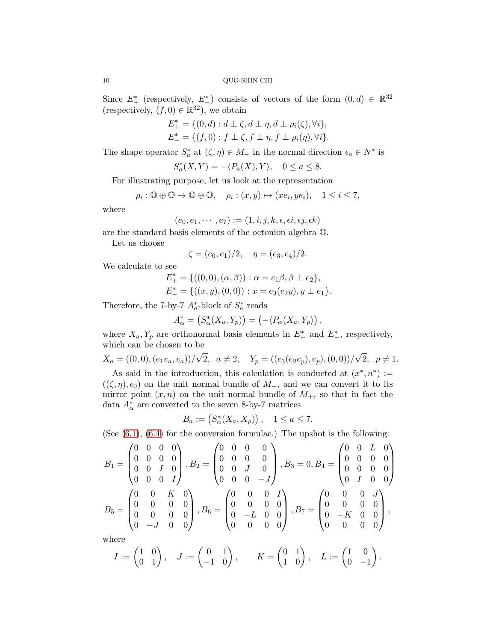Since  $E^*$  (respectively,  $E^*$ ) consists of vectors of the form  $(0, d) \in \mathbb{R}^{32}$ (respectively,  $(f, 0) \in \mathbb{R}^{32}$ ), we obtain

$$
E_{+}^{*} = \{ (0, d) : d \perp \zeta, d \perp \eta, d \perp \rho_{i}(\zeta), \forall i \},
$$
  

$$
E_{-}^{*} = \{ (f, 0) : f \perp \zeta, f \perp \eta, f \perp \rho_{i}(\eta), \forall i \}.
$$

The shape operator  $S_a^*$  at  $(\zeta, \eta) \in M_-$  in the normal direction  $\epsilon_a \in N^*$  is

$$
S_a^*(X,Y) = -\langle P_a(X), Y \rangle, \quad 0 \le a \le 8.
$$

For illustrating purpose, let us look at the representation

$$
\rho_i: \mathbb{O} \oplus \mathbb{O} \to \mathbb{O} \oplus \mathbb{O}, \quad \rho_i: (x, y) \mapsto (xe_i, ye_i), \quad 1 \leq i \leq 7,
$$

where

$$
(e_0, e_1, \cdots, e_7) := (1, i, j, k, \epsilon, \epsilon i, \epsilon j, \epsilon k)
$$

are the standard basis elements of the octonion algebra O.

Let us choose

$$
\zeta = (e_0, e_1)/2, \quad \eta = (e_3, e_4)/2.
$$

We calculate to see

$$
E_{+}^{*} = \{((0,0),(\alpha,\beta)) : \alpha = e_1\beta, \beta \perp e_2\},
$$
  

$$
E_{-}^{*} = \{((x,y),(0,0)) : x = e_3(e_2y), y \perp e_1\}.
$$

Therefore, the 7-by-7  $A_a^*$ -block of  $S_a^*$  reads

$$
A_{\alpha}^* = (S_{\alpha}^*(X_a, Y_p)) = (-\langle P_{\alpha}(X_a, Y_p) \rangle,
$$

where  $X_a, Y_p$  are orthonormal basis elements in  $E^*_+$  and  $E^*_-$ , respectively, which can be chosen to be

$$
X_a=((0,0),(e_1e_a,e_a))/\sqrt{2},\ \ a\neq 2,\quad Y_p=((e_3(e_2e_p),e_p),(0,0))/\sqrt{2},\ \ p\neq 1.
$$

As said in the introduction, this calculation is conducted at  $(x^*, n^*) :=$  $((\zeta, \eta), \epsilon_0)$  on the unit normal bundle of  $M_$ , and we can convert it to its mirror point  $(x, n)$  on the unit normal bundle of  $M_{+}$ , so that in fact the data $A^*_{\alpha}$  are converted to the seven 8-by-7 matrices

$$
B_a := (S^*_{\alpha}(X_a, X_p)), \quad 1 \le a \le 7.
$$

(See  $(6.1)$ ,  $(6.4)$  for the conversion formulae.) The upshot is the following:

$$
B_1 = \begin{pmatrix} 0 & 0 & 0 & 0 \\ 0 & 0 & 0 & 0 \\ 0 & 0 & I & 0 \\ 0 & 0 & 0 & I \end{pmatrix}, B_2 = \begin{pmatrix} 0 & 0 & 0 & 0 \\ 0 & 0 & 0 & 0 \\ 0 & 0 & J & 0 \\ 0 & 0 & 0 & -J \end{pmatrix}, B_3 = 0, B_4 = \begin{pmatrix} 0 & 0 & L & 0 \\ 0 & 0 & 0 & 0 \\ 0 & 0 & 0 & 0 \\ 0 & I & 0 & 0 \end{pmatrix}
$$

$$
B_5 = \begin{pmatrix} 0 & 0 & K & 0 \\ 0 & 0 & 0 & 0 \\ 0 & 0 & 0 & 0 \\ 0 & -J & 0 & 0 \end{pmatrix}, B_6 = \begin{pmatrix} 0 & 0 & 0 & I \\ 0 & 0 & 0 & 0 \\ 0 & -L & 0 & 0 \\ 0 & 0 & 0 & 0 \end{pmatrix}, B_7 = \begin{pmatrix} 0 & 0 & 0 & J \\ 0 & 0 & 0 & 0 \\ 0 & -K & 0 & 0 \\ 0 & 0 & 0 & 0 \end{pmatrix},
$$
where

 $I:=\begin{pmatrix} 1&0\0&1 \end{pmatrix},\quad J:=\begin{pmatrix} 0&1\-1&0 \end{pmatrix},\qquad K=\begin{pmatrix} 0&1\1&0 \end{pmatrix},\quad L:=\begin{pmatrix} 1&0\0&-1 \end{pmatrix}$  $0 -1$  $\bigg)$  .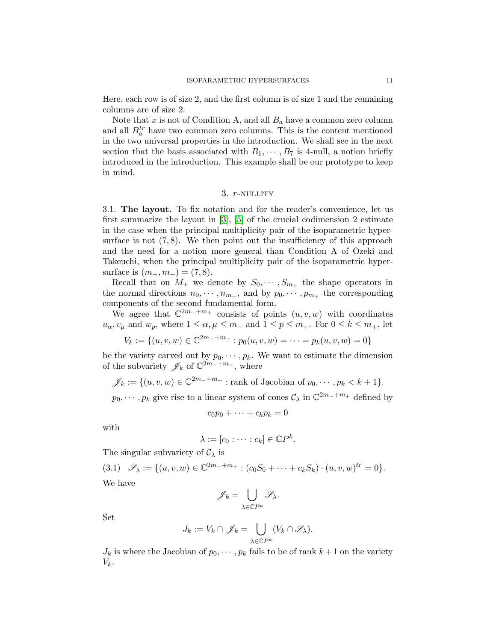Here, each row is of size 2, and the first column is of size 1 and the remaining columns are of size 2.

Note that x is not of Condition A, and all  $B_a$  have a common zero column and all  $B_a^{tr}$  have two common zero columns. This is the content mentioned in the two universal properties in the introduction. We shall see in the next section that the basis associated with  $B_1, \cdots, B_7$  is 4-null, a notion briefly introduced in the introduction. This example shall be our prototype to keep in mind.

## 3. r-nullity

<span id="page-10-0"></span>3.1. The layout. To fix notation and for the reader's convenience, let us first summarize the layout in [\[3\]](#page-65-1), [\[5\]](#page-65-2) of the crucial codimension 2 estimate in the case when the principal multiplicity pair of the isoparametric hypersurface is not  $(7, 8)$ . We then point out the insufficiency of this approach and the need for a notion more general than Condition A of Ozeki and Takeuchi, when the principal multiplicity pair of the isoparametric hypersurface is  $(m_+, m_-) = (7, 8)$ .

Recall that on  $M_+$  we denote by  $S_0, \dots, S_{m_+}$  the shape operators in the normal directions  $n_0, \dots, n_{m_+}$ , and by  $p_0, \dots, p_{m_+}$  the corresponding components of the second fundamental form.

We agree that  $\mathbb{C}^{2m-+m_+}$  consists of points  $(u, v, w)$  with coordinates  $u_{\alpha}, v_{\mu}$  and  $w_{p}$ , where  $1 \leq \alpha, \mu \leq m_{-}$  and  $1 \leq p \leq m_{+}$ . For  $0 \leq k \leq m_{+}$ , let

$$
V_k := \{(u, v, w) \in \mathbb{C}^{2m_-+m_+} : p_0(u, v, w) = \dots = p_k(u, v, w) = 0\}
$$

be the variety carved out by  $p_0, \dots, p_k$ . We want to estimate the dimension of the subvariety  $\mathscr{J}_k$  of  $\mathbb{C}^{2m_-+m_+}$ , where

 $\mathscr{J}_k := \{ (u, v, w) \in \mathbb{C}^{2m_-+m_+} : \text{rank of Jacobian of } p_0, \dots, p_k < k+1 \}.$ 

 $p_0, \dots, p_k$  give rise to a linear system of cones  $\mathcal{C}_{\lambda}$  in  $\mathbb{C}^{2m_-+m_+}$  defined by

$$
c_0p_0+\cdots+c_kp_k=0
$$

with

$$
\lambda := [c_0 : \cdots : c_k] \in \mathbb{C}P^k.
$$

The singular subvariety of  $\mathcal{C}_{\lambda}$  is

<span id="page-10-1"></span>(3.1) 
$$
\mathscr{S}_{\lambda} := \{(u, v, w) \in \mathbb{C}^{2m_{-}+m_{+}} : (c_0S_0 + \cdots + c_kS_k) \cdot (u, v, w)^{tr} = 0\}.
$$
  
We have

$$
\mathscr{J}_k = \bigcup_{\lambda \in \mathbb{C}P^k} \mathscr{S}_{\lambda}.
$$

Set

$$
J_k := V_k \cap \mathscr{J}_k = \bigcup_{\lambda \in \mathbb{C}P^k} (V_k \cap \mathscr{S}_\lambda).
$$

 $J_k$  is where the Jacobian of  $p_0, \dots, p_k$  fails to be of rank  $k+1$  on the variety  $V_k$ .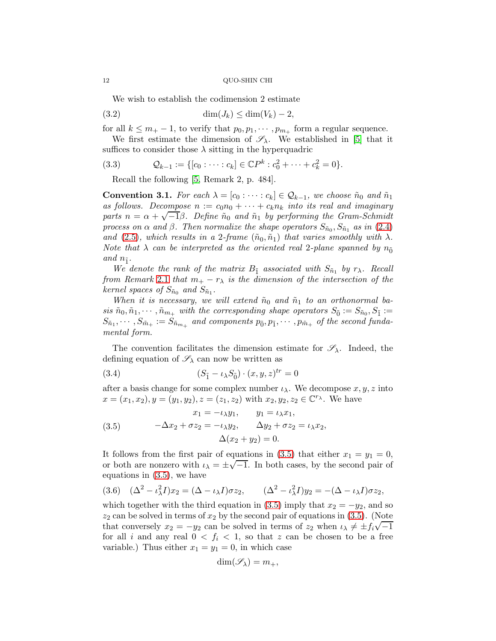We wish to establish the codimension 2 estimate

$$
(3.2) \qquad \qquad \dim(J_k) \leq \dim(V_k) - 2,
$$

for all  $k \leq m_+ - 1$ , to verify that  $p_0, p_1, \dots, p_{m_+}$  form a regular sequence.

We first estimate the dimension of  $\mathscr{S}_{\lambda}$ . We established in [\[5\]](#page-65-2) that it suffices to consider those  $\lambda$  sitting in the hyperquadric

(3.3) 
$$
Q_{k-1} := \{ [c_0 : \cdots : c_k] \in \mathbb{C}P^k : c_0^2 + \cdots + c_k^2 = 0 \}.
$$

<span id="page-11-3"></span>Recall the following [\[5,](#page-65-2) Remark 2, p. 484].

<span id="page-11-4"></span>**Convention 3.1.** For each  $\lambda = [c_0 : \cdots : c_k] \in \mathcal{Q}_{k-1}$ , we choose  $\tilde{n}_0$  and  $\tilde{n}_1$ as follows. Decompose  $n := c_0 n_0 + \cdots + c_k n_k$  into its real and imaginary parts  $n = \alpha + \sqrt{-1}\beta$ . Define  $\tilde{n}_0$  and  $\tilde{n}_1$  by performing the Gram-Schmidt process on  $\alpha$  and  $\beta$ . Then normalize the shape operators  $S_{\tilde{n}_0}, S_{\tilde{n}_1}$  as in [\(2.4\)](#page-6-1) and [\(2.5\)](#page-6-2), which results in a 2-frame  $(\tilde{n}_0, \tilde{n}_1)$  that varies smoothly with  $\lambda$ . Note that  $\lambda$  can be interpreted as the oriented real 2-plane spanned by  $n_{\tilde{0}}$ and  $n_{\tilde{1}}$ .

We denote the rank of the matrix  $B_{\tilde{1}}$  associated with  $S_{\tilde{n}_1}$  by  $r_\lambda$ . Recall from Remark [2](#page-7-2).1 that  $m_+ - r_\lambda$  is the dimension of the intersection of the kernel spaces of  $S_{\tilde{n}_0}$  and  $S_{\tilde{n}_1}$ .

When it is necessary, we will extend  $\tilde{n}_0$  and  $\tilde{n}_1$  to an orthonormal ba $sis \tilde{n}_0, \tilde{n}_1, \cdots, \tilde{n}_{m_{\pm}}$  with the corresponding shape operators  $S_{\tilde{0}} := S_{\tilde{n}_0}, S_{\tilde{1}} :=$  $S_{\tilde{n}_1},\cdots,S_{\tilde{m}_+}:=S_{\tilde{n}_{m_+}}$  and components  $p_{\tilde{0}},p_{\tilde{1}},\cdots,p_{\tilde{m}_+}$  of the second fundamental form.

The convention facilitates the dimension estimate for  $\mathscr{S}_{\lambda}$ . Indeed, the defining equation of  $\mathscr{S}_{\lambda}$  can now be written as

<span id="page-11-1"></span>(3.4) 
$$
(S_{\tilde{1}} - \iota_{\lambda} S_{\tilde{0}}) \cdot (x, y, z)^{tr} = 0
$$

after a basis change for some complex number  $\iota_{\lambda}$ . We decompose  $x, y, z$  into  $x = (x_1, x_2), y = (y_1, y_2), z = (z_1, z_2)$  with  $x_2, y_2, z_2 \in \mathbb{C}^{r_{\lambda}}$ . We have

<span id="page-11-0"></span>(3.5) 
$$
x_1 = -\iota_{\lambda} y_1, \qquad y_1 = \iota_{\lambda} x_1, -\Delta x_2 + \sigma z_2 = -\iota_{\lambda} y_2, \qquad \Delta y_2 + \sigma z_2 = \iota_{\lambda} x_2, \Delta (x_2 + y_2) = 0.
$$

It follows from the first pair of equations in [\(3.5\)](#page-11-0) that either  $x_1 = y_1 = 0$ , or both are nonzero with  $i_{\lambda} = \pm \sqrt{-1}$ . In both cases, by the second pair of equations in [\(3.5\)](#page-11-0), we have

<span id="page-11-2"></span>
$$
(3.6) \quad (\Delta^2 - \iota_\lambda^2 I)x_2 = (\Delta - \iota_\lambda I)\sigma z_2, \qquad (\Delta^2 - \iota_\lambda^2 I)y_2 = -(\Delta - \iota_\lambda I)\sigma z_2,
$$

which together with the third equation in [\(3.5\)](#page-11-0) imply that  $x_2 = -y_2$ , and so  $z_2$  can be solved in terms of  $x_2$  by the second pair of equations in [\(3.5\)](#page-11-0). (Note that conversely  $x_2 = -y_2$  can be solved in terms of  $z_2$  when  $i_{\lambda} \neq \pm i_{\lambda} \sqrt{-1}$ for all i and any real  $0 < f_i < 1$ , so that z can be chosen to be a free variable.) Thus either  $x_1 = y_1 = 0$ , in which case

$$
\dim(\mathscr{S}_{\lambda}) = m_+,
$$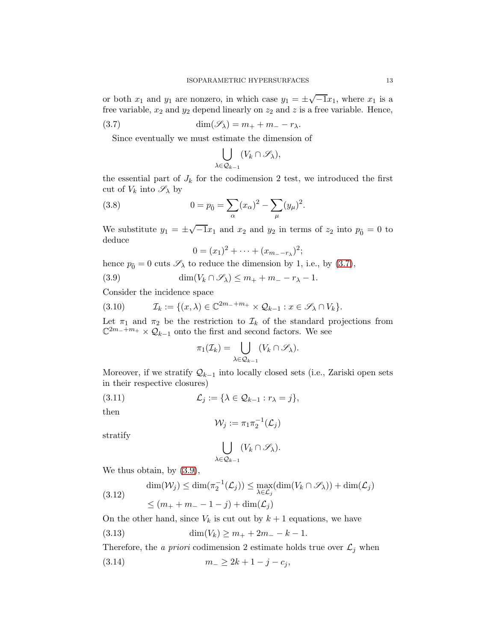or both  $x_1$  and  $y_1$  are nonzero, in which case  $y_1 = \pm \sqrt{-1}x_1$ , where  $x_1$  is a free variable,  $x_2$  and  $y_2$  depend linearly on  $z_2$  and  $z$  is a free variable. Hence,

(3.7) 
$$
\dim(\mathscr{S}_{\lambda}) = m_+ + m_- - r_{\lambda}.
$$

Since eventually we must estimate the dimension of

<span id="page-12-0"></span>
$$
\bigcup_{\lambda \in \mathcal{Q}_{k-1}} (V_k \cap \mathscr{S}_{\lambda}),
$$

the essential part of  $J_k$  for the codimension 2 test, we introduced the first cut of  $V_k$  into  $\mathscr{S}_\lambda$  by

(3.8) 
$$
0 = p_{\tilde{0}} = \sum_{\alpha} (x_{\alpha})^2 - \sum_{\mu} (y_{\mu})^2.
$$

We substitute  $y_1 = \pm \sqrt{-1}x_1$  and  $x_2$  and  $y_2$  in terms of  $z_2$  into  $p_{\tilde{0}} = 0$  to deduce

<span id="page-12-4"></span><span id="page-12-1"></span>
$$
0 = (x_1)^2 + \cdots + (x_{m-1})^2;
$$

hence  $p_{\tilde{0}} = 0$  cuts  $\mathscr{S}_{\lambda}$  to reduce the dimension by 1, i.e., by [\(3.7\)](#page-12-0),

(3.9) 
$$
\dim(V_k \cap \mathscr{S}_\lambda) \leq m_+ + m_- - r_\lambda - 1.
$$

Consider the incidence space

(3.10) 
$$
\mathcal{I}_k := \{ (x, \lambda) \in \mathbb{C}^{2m_-+m_+} \times \mathcal{Q}_{k-1} : x \in \mathscr{S}_\lambda \cap V_k \}.
$$

Let  $\pi_1$  and  $\pi_2$  be the restriction to  $\mathcal{I}_k$  of the standard projections from  $\mathbb{C}^{2m_-+m_+} \times \mathcal{Q}_{k-1}$  onto the first and second factors. We see

$$
\pi_1(\mathcal{I}_k) = \bigcup_{\lambda \in \mathcal{Q}_{k-1}} (V_k \cap \mathscr{S}_{\lambda}).
$$

Moreover, if we stratify  $\mathcal{Q}_{k-1}$  into locally closed sets (i.e., Zariski open sets in their respective closures)

$$
(3.11) \qquad \qquad \mathcal{L}_j := \{ \lambda \in \mathcal{Q}_{k-1} : r_\lambda = j \},
$$

then

<span id="page-12-3"></span>
$$
\mathcal{W}_j:=\pi_1\pi_2^{-1}(\mathcal{L}_j)
$$

stratify

$$
\bigcup_{\lambda \in \mathcal{Q}_{k-1}} (V_k \cap \mathscr{S}_{\lambda}).
$$

We thus obtain, by [\(3.9\)](#page-12-1),

$$
\dim(\mathcal{W}_j) \le \dim(\pi_2^{-1}(\mathcal{L}_j)) \le \max_{\lambda \in \mathcal{L}_j}(\dim(V_k \cap \mathcal{S}_{\lambda})) + \dim(\mathcal{L}_j)
$$
  

$$
\le (m_+ + m_- - 1 - j) + \dim(\mathcal{L}_j)
$$

On the other hand, since  $V_k$  is cut out by  $k+1$  equations, we have

(3.13) 
$$
\dim(V_k) \ge m_+ + 2m_- - k - 1.
$$

Therefore, the a priori codimension 2 estimate holds true over  $\mathcal{L}_j$  when

<span id="page-12-2"></span>
$$
(3.14) \t\t\t m_{-} \ge 2k + 1 - j - c_{j},
$$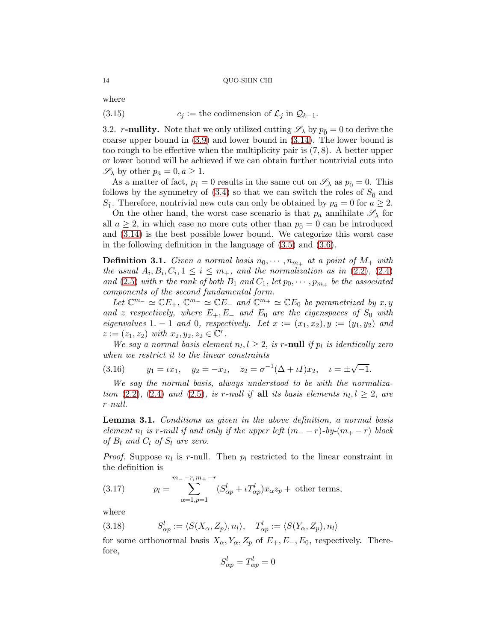where

<span id="page-13-3"></span>(3.15) 
$$
c_j := \text{the codimension of } \mathcal{L}_j \text{ in } \mathcal{Q}_{k-1}.
$$

3.2. r-nullity. Note that we only utilized cutting  $\mathscr{S}_{\lambda}$  by  $p_{\tilde{0}} = 0$  to derive the coarse upper bound in [\(3.9\)](#page-12-1) and lower bound in [\(3.14\)](#page-12-2). The lower bound is too rough to be effective when the multiplicity pair is  $(7, 8)$ . A better upper or lower bound will be achieved if we can obtain further nontrivial cuts into  $\mathscr{S}_{\lambda}$  by other  $p_{\tilde{a}} = 0, a \geq 1$ .

As a matter of fact,  $p_{\tilde{1}} = 0$  results in the same cut on  $\mathscr{S}_{\lambda}$  as  $p_{\tilde{0}} = 0$ . This follows by the symmetry of  $(3.4)$  so that we can switch the roles of  $S_{\tilde{0}}$  and  $S_{\tilde{1}}$ . Therefore, nontrivial new cuts can only be obtained by  $p_{\tilde{a}} = 0$  for  $a \geq 2$ .

On the other hand, the worst case scenario is that  $p_{\tilde{a}}$  annihilate  $\mathscr{S}_{\lambda}$  for all  $a \geq 2$ , in which case no more cuts other than  $p_{\tilde{0}} = 0$  can be introduced and [\(3.14\)](#page-12-2) is the best possible lower bound. We categorize this worst case in the following definition in the language of [\(3.5\)](#page-11-0) and [\(3.6\)](#page-11-2).

**Definition 3.1.** Given a normal basis  $n_0, \dots, n_{m_+}$  at a point of  $M_+$  with the usual  $A_i, B_i, C_i, 1 \leq i \leq m_+$ , and the normalization as in [\(2.2\)](#page-5-0), [\(2.4\)](#page-6-1) and [\(2.5\)](#page-6-2) with r the rank of both  $B_1$  and  $C_1$ , let  $p_0, \dots, p_{m_+}$  be the associated components of the second fundamental form.

Let  $\mathbb{C}^{m_-} \simeq \mathbb{C}E_+$ ,  $\mathbb{C}^{m_-} \simeq \mathbb{C}E_-$  and  $\mathbb{C}^{m_+} \simeq \mathbb{C}E_0$  be parametrized by  $x, y$ and z respectively, where  $E_+, E_-$  and  $E_0$  are the eigenspaces of  $S_0$  with eigenvalues 1. − 1 and 0, respectively. Let  $x := (x_1, x_2), y := (y_1, y_2)$  and  $z := (z_1, z_2) \text{ with } x_2, y_2, z_2 \in \mathbb{C}^r.$ 

We say a normal basis element  $n_l, l \geq 2$ , is r-null if  $p_l$  is identically zero when we restrict it to the linear constraints

<span id="page-13-2"></span>(3.16) 
$$
y_1 = \iota x_1
$$
,  $y_2 = -x_2$ ,  $z_2 = \sigma^{-1}(\Delta + \iota I)x_2$ ,  $\iota = \pm \sqrt{-1}$ .

We say the normal basis, always understood to be with the normaliza-tion [\(2.2\)](#page-5-0), [\(2.4\)](#page-6-1) and [\(2.5\)](#page-6-2), is r-null if all its basis elements  $n_l, l \geq 2$ , are r-null.

<span id="page-13-0"></span>Lemma 3.1. Conditions as given in the above definition, a normal basis element  $n_l$  is r-null if and only if the upper left  $(m_--r)$ -by- $(m_+-r)$  block of  $B_l$  and  $C_l$  of  $S_l$  are zero.

*Proof.* Suppose  $n_l$  is r-null. Then  $p_l$  restricted to the linear constraint in the definition is

<span id="page-13-4"></span>(3.17) 
$$
p_l = \sum_{\alpha=1, p=1}^{m_{-}-r, m_{+}-r} (S_{\alpha p}^l + \iota T_{\alpha p}^l) x_{\alpha} z_p + \text{ other terms},
$$

where

<span id="page-13-1"></span>(3.18) 
$$
S_{\alpha p}^l := \langle S(X_\alpha, Z_p), n_l \rangle, \quad T_{\alpha p}^l := \langle S(Y_\alpha, Z_p), n_l \rangle
$$

for some orthonormal basis  $X_{\alpha}, Y_{\alpha}, Z_p$  of  $E_+, E_-, E_0$ , respectively. Therefore,

$$
S_{\alpha p}^l = T_{\alpha p}^l = 0
$$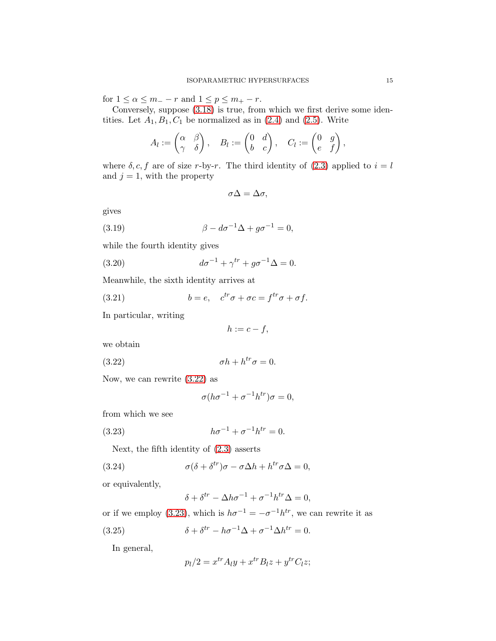for  $1 \leq \alpha \leq m_- - r$  and  $1 \leq p \leq m_+ - r$ .

Conversely, suppose [\(3.18\)](#page-13-1) is true, from which we first derive some identities. Let  $A_1, B_1, C_1$  be normalized as in  $(2.4)$  and  $(2.5)$ . Write

$$
A_l:=\begin{pmatrix} \alpha & \beta \\ \gamma & \delta \end{pmatrix}, \quad B_l:=\begin{pmatrix} 0 & d \\ b & c \end{pmatrix}, \quad C_l:=\begin{pmatrix} 0 & g \\ e & f \end{pmatrix},
$$

where  $\delta$ , c, f are of size r-by-r. The third identity of [\(2.3\)](#page-6-0) applied to  $i = l$ and  $j = 1$ , with the property

<span id="page-14-2"></span>
$$
\sigma \Delta = \Delta \sigma,
$$

gives

(3.19) 
$$
\beta - d\sigma^{-1} \Delta + g\sigma^{-1} = 0,
$$

while the fourth identity gives

(3.20) 
$$
d\sigma^{-1} + \gamma^{tr} + g\sigma^{-1} \Delta = 0.
$$

Meanwhile, the sixth identity arrives at

(3.21) 
$$
b = e, \quad c^{tr}\sigma + \sigma c = f^{tr}\sigma + \sigma f.
$$

In particular, writing

<span id="page-14-4"></span><span id="page-14-3"></span><span id="page-14-0"></span>
$$
h:=c-f,
$$

we obtain

(3.22) σh + h trσ = 0.

Now, we can rewrite [\(3.22\)](#page-14-0) as

<span id="page-14-1"></span>
$$
\sigma(h\sigma^{-1} + \sigma^{-1}h^{tr})\sigma = 0,
$$

from which we see

(3.23) 
$$
h\sigma^{-1} + \sigma^{-1}h^{tr} = 0.
$$

Next, the fifth identity of [\(2.3\)](#page-6-0) asserts

(3.24) 
$$
\sigma(\delta + \delta^{tr})\sigma - \sigma \Delta h + h^{tr}\sigma \Delta = 0,
$$

or equivalently,

<span id="page-14-6"></span>
$$
\delta + \delta^{tr} - \Delta h \sigma^{-1} + \sigma^{-1} h^{tr} \Delta = 0,
$$

or if we employ [\(3.23\)](#page-14-1), which is  $h\sigma^{-1} = -\sigma^{-1}h^{tr}$ , we can rewrite it as

(3.25) 
$$
\delta + \delta^{tr} - h\sigma^{-1}\Delta + \sigma^{-1}\Delta h^{tr} = 0.
$$

In general,

<span id="page-14-5"></span>
$$
p_l/2 = x^{tr} A_l y + x^{tr} B_l z + y^{tr} C_l z;
$$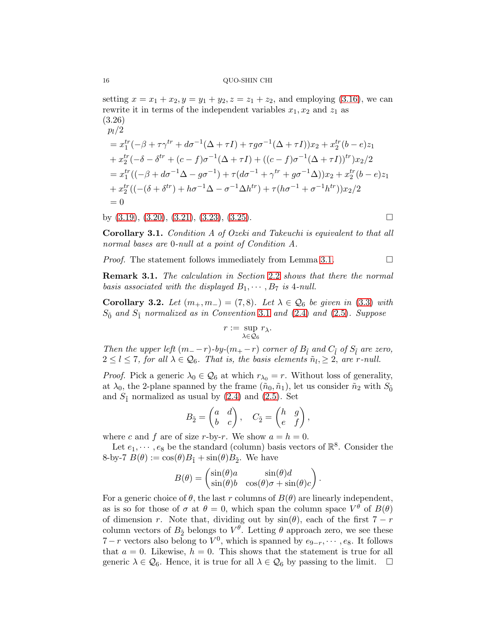setting  $x = x_1 + x_2, y = y_1 + y_2, z = z_1 + z_2$ , and employing [\(3.16\)](#page-13-2), we can rewrite it in terms of the independent variables  $x_1, x_2$  and  $z_1$  as (3.26)

$$
p_l/2
$$
  
=  $x_1^{tr}(-\beta + \tau \gamma^{tr} + d\sigma^{-1}(\Delta + \tau I) + \tau g \sigma^{-1}(\Delta + \tau I))x_2 + x_2^{tr}(b - e)z_1$   
+  $x_2^{tr}(-\delta - \delta^{tr} + (c - f)\sigma^{-1}(\Delta + \tau I) + ((c - f)\sigma^{-1}(\Delta + \tau I))^{tr})x_2/2$   
=  $x_1^{tr}((-\beta + d\sigma^{-1}\Delta - g\sigma^{-1}) + \tau(d\sigma^{-1} + \gamma^{tr} + g\sigma^{-1}\Delta))x_2 + x_2^{tr}(b - e)z_1$   
+  $x_2^{tr}((-(\delta + \delta^{tr}) + h\sigma^{-1}\Delta - \sigma^{-1}\Delta h^{tr}) + \tau(h\sigma^{-1} + \sigma^{-1}h^{tr}))x_2/2$   
= 0

by  $(3.19)$ ,  $(3.20)$ ,  $(3.21)$ ,  $(3.23)$ ,  $(3.25)$ .

Corollary 3.1. Condition A of Ozeki and Takeuchi is equivalent to that all normal bases are 0-null at a point of Condition A.

*Proof.* The statement follows immediately from Lemma [3.1.](#page-13-0)  $\Box$ 

Remark 3.1. The calculation in Section [2](#page-8-0).2 shows that there the normal basis associated with the displayed  $B_1, \cdots, B_7$  is 4-null.

<span id="page-15-0"></span>Corollary 3.2. Let  $(m_+, m_-) = (7, 8)$ . Let  $\lambda \in \mathcal{Q}_6$  be given in [\(3.3\)](#page-11-3) with  $S_{\tilde{0}}$  and  $S_{\tilde{1}}$  normalized as in Convention [3](#page-11-4).1 and [\(2.4\)](#page-6-1) and [\(2.5\)](#page-6-2). Suppose

$$
r:=\sup_{\lambda\in\mathcal{Q}_6}r_\lambda.
$$

Then the upper left  $(m_{-} - r)$ -by- $(m_{+} - r)$  corner of  $B_{\tilde{l}}$  and  $C_{\tilde{l}}$  of  $S_{\tilde{l}}$  are zero,  $2 \leq l \leq 7$ , for all  $\lambda \in \mathcal{Q}_6$ . That is, the basis elements  $\tilde{n}_l \geq 2$ , are r-null.

*Proof.* Pick a generic  $\lambda_0 \in \mathcal{Q}_6$  at which  $r_{\lambda_0} = r$ . Without loss of generality, at  $\lambda_0$ , the 2-plane spanned by the frame  $(\tilde{n}_0, \tilde{n}_1)$ , let us consider  $\tilde{n}_2$  with  $S_{\tilde{0}}$ and  $S_{\tilde{1}}$  normalized as usual by [\(2.4\)](#page-6-1) and [\(2.5\)](#page-6-2). Set

$$
B_{\tilde{2}} = \begin{pmatrix} a & d \\ b & c \end{pmatrix}, \quad C_{\tilde{2}} = \begin{pmatrix} h & g \\ e & f \end{pmatrix},
$$

where c and f are of size r-by-r. We show  $a = h = 0$ .

Let  $e_1, \dots, e_8$  be the standard (column) basis vectors of  $\mathbb{R}^8$ . Consider the 8-by-7  $B(\theta) := \cos(\theta)B_{\tilde{1}} + \sin(\theta)B_{\tilde{2}}$ . We have

$$
B(\theta) = \begin{pmatrix} \sin(\theta)a & \sin(\theta)d \\ \sin(\theta)b & \cos(\theta)\sigma + \sin(\theta)c \end{pmatrix}
$$

.

For a generic choice of  $\theta$ , the last r columns of  $B(\theta)$  are linearly independent, as is so for those of  $\sigma$  at  $\theta = 0$ , which span the column space  $V^{\theta}$  of  $B(\theta)$ of dimension r. Note that, dividing out by  $sin(\theta)$ , each of the first  $7 - r$ column vectors of  $B_{\tilde{2}}$  belongs to  $V^{\theta}$ . Letting  $\theta$  approach zero, we see these  $7-r$  vectors also belong to  $V^0$ , which is spanned by  $e_{9-r}$ ,  $\dots$ ,  $e_8$ . It follows that  $a = 0$ . Likewise,  $h = 0$ . This shows that the statement is true for all generic  $\lambda \in \mathcal{Q}_6$ . Hence, it is true for all  $\lambda \in \mathcal{Q}_6$  by passing to the limit.  $\Box$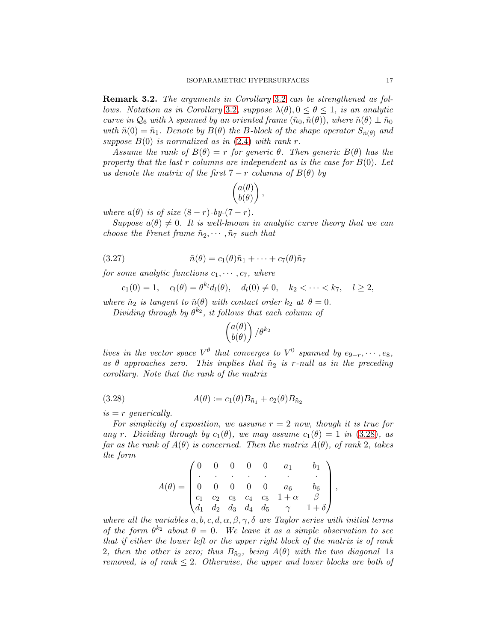<span id="page-16-1"></span>Remark 3.2. The arguments in Corollary [3](#page-15-0).2 can be strengthened as fol-lows. Notation as in Corollary [3](#page-15-0).2, suppose  $\lambda(\theta), 0 \leq \theta \leq 1$ , is an analytic curve in  $\mathcal{Q}_6$  with  $\lambda$  spanned by an oriented frame  $(\tilde{n}_0, \tilde{n}(\theta))$ , where  $\tilde{n}(\theta) \perp \tilde{n}_0$ with  $\tilde{n}(0) = \tilde{n}_1$ . Denote by  $B(\theta)$  the B-block of the shape operator  $S_{\tilde{n}(\theta)}$  and suppose  $B(0)$  is normalized as in  $(2.4)$  with rank r.

Assume the rank of  $B(\theta) = r$  for generic  $\theta$ . Then generic  $B(\theta)$  has the property that the last r columns are independent as is the case for  $B(0)$ . Let us denote the matrix of the first  $7 - r$  columns of  $B(\theta)$  by

$$
\begin{pmatrix} a(\theta) \\ b(\theta) \end{pmatrix},
$$

where  $a(\theta)$  is of size  $(8-r)$ -by- $(7-r)$ .

Suppose  $a(\theta) \neq 0$ . It is well-known in analytic curve theory that we can choose the Frenet frame  $\tilde{n}_2, \cdots, \tilde{n}_7$  such that

(3.27) 
$$
\tilde{n}(\theta) = c_1(\theta)\tilde{n}_1 + \cdots + c_7(\theta)\tilde{n}_7
$$

for some analytic functions  $c_1, \dots, c_7$ , where

$$
c_1(0) = 1
$$
,  $c_l(\theta) = \theta^{k_l} d_l(\theta)$ ,  $d_l(0) \neq 0$ ,  $k_2 < \cdots < k_7$ ,  $l \geq 2$ ,

where  $\tilde{n}_2$  is tangent to  $\tilde{n}(\theta)$  with contact order  $k_2$  at  $\theta = 0$ .

Dividing through by  $\theta^{k_2}$ , it follows that each column of

$$
\begin{pmatrix} a(\theta) \\ b(\theta) \end{pmatrix} / \theta^{k_2}
$$

lives in the vector space  $V^{\theta}$  that converges to  $V^0$  spanned by  $e_{9-r}, \cdots, e_8$ , as  $\theta$  approaches zero. This implies that  $\tilde{n}_2$  is r-null as in the preceding corollary. Note that the rank of the matrix

(3.28) 
$$
A(\theta) := c_1(\theta) B_{\tilde{n}_1} + c_2(\theta) B_{\tilde{n}_2}
$$

 $is = r$  generically.

For simplicity of exposition, we assume  $r = 2$  now, though it is true for any r. Dividing through by  $c_1(\theta)$ , we may assume  $c_1(\theta) = 1$  in [\(3.28\)](#page-16-0), as far as the rank of  $A(\theta)$  is concerned. Then the matrix  $A(\theta)$ , of rank 2, takes the form

<span id="page-16-0"></span>
$$
A(\theta) = \begin{pmatrix} 0 & 0 & 0 & 0 & 0 & a_1 & b_1 \\ \cdot & \cdot & \cdot & \cdot & \cdot & \cdot & \cdot \\ 0 & 0 & 0 & 0 & 0 & a_6 & b_6 \\ c_1 & c_2 & c_3 & c_4 & c_5 & 1 + \alpha & \beta \\ d_1 & d_2 & d_3 & d_4 & d_5 & \gamma & 1 + \delta \end{pmatrix},
$$

where all the variables  $a, b, c, d, \alpha, \beta, \gamma, \delta$  are Taylor series with initial terms of the form  $\theta^{k_2}$  about  $\theta = 0$ . We leave it as a simple observation to see that if either the lower left or the upper right block of the matrix is of rank 2, then the other is zero; thus  $B_{\tilde{n}_2}$ , being  $A(\theta)$  with the two diagonal 1s removed, is of rank  $\leq 2$ . Otherwise, the upper and lower blocks are both of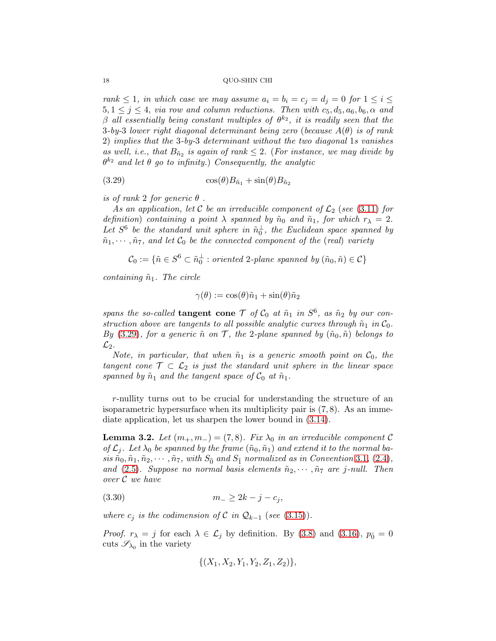rank  $\leq 1$ , in which case we may assume  $a_i = b_i = c_j = d_j = 0$  for  $1 \leq i \leq j$  $5, 1 \leq j \leq 4$ , via row and column reductions. Then with  $c_5, d_5, a_6, b_6, \alpha$  and  $\beta$  all essentially being constant multiples of  $\theta^{k_2}$ , it is readily seen that the 3-by-3 lower right diagonal determinant being zero (because  $A(\theta)$  is of rank 2) implies that the 3-by-3 determinant without the two diagonal 1s vanishes as well, i.e., that  $B_{\tilde{n}_2}$  is again of rank  $\leq 2$ . (For instance, we may divide by  $\theta^{k_2}$  and let  $\theta$  go to infinity.) Consequently, the analytic

<span id="page-17-0"></span>(3.29) 
$$
\cos(\theta)B_{\tilde{n}_1} + \sin(\theta)B_{\tilde{n}_2}
$$

is of rank 2 for generic  $\theta$ .

As an application, let C be an irreducible component of  $\mathcal{L}_2$  (see [\(3.11\)](#page-12-3) for definition) containing a point  $\lambda$  spanned by  $\tilde{n}_0$  and  $\tilde{n}_1$ , for which  $r_{\lambda} = 2$ . Let  $S^6$  be the standard unit sphere in  $\tilde{n}_0^{\perp}$ , the Euclidean space spanned by  $\tilde{n}_1, \cdots, \tilde{n}_7$ , and let  $\mathcal{C}_0$  be the connected component of the (real) variety

 $\mathcal{C}_0 := \{ \tilde{n} \in S^6 \subset \tilde{n}_0^{\perp} : \text{oriented 2-plane spanned by } (\tilde{n}_0, \tilde{n}) \in \mathcal{C} \}$ 

containing  $\tilde{n}_1$ . The circle

$$
\gamma(\theta) := \cos(\theta)\tilde{n}_1 + \sin(\theta)\tilde{n}_2
$$

spans the so-called **tangent cone**  $\mathcal T$  of  $\mathcal C_0$  at  $\tilde{n}_1$  in  $S^6$ , as  $\tilde{n}_2$  by our construction above are tangents to all possible analytic curves through  $\tilde{n}_1$  in  $\mathcal{C}_0$ . By [\(3.29\)](#page-17-0), for a generic  $\tilde{n}$  on T, the 2-plane spanned by  $(\tilde{n}_0, \tilde{n})$  belongs to  $\mathcal{L}_2$ .

Note, in particular, that when  $\tilde{n}_1$  is a generic smooth point on  $\mathcal{C}_0$ , the tangent cone  $\mathcal{T} \subset \mathcal{L}_2$  is just the standard unit sphere in the linear space spanned by  $\tilde{n}_1$  and the tangent space of  $\mathcal{C}_0$  at  $\tilde{n}_1$ .

r-nullity turns out to be crucial for understanding the structure of an isoparametric hypersurface when its multiplicity pair is  $(7, 8)$ . As an immediate application, let us sharpen the lower bound in [\(3.14\)](#page-12-2).

<span id="page-17-2"></span>**Lemma 3.2.** Let  $(m_+, m_-) = (7, 8)$ . Fix  $\lambda_0$  in an irreducible component C of  $\mathcal{L}_j$ . Let  $\lambda_0$  be spanned by the frame  $(\tilde{n}_0, \tilde{n}_1)$  and extend it to the normal basis  $\tilde{n}_0, \tilde{n}_1, \tilde{n}_2, \cdots, \tilde{n}_7$ , with  $S_0$  and  $S_1$  normalized as in Convention [3](#page-11-4).1, [\(2.4\)](#page-6-1), and [\(2.5\)](#page-6-2). Suppose no normal basis elements  $\tilde{n}_2, \dots, \tilde{n}_7$  are j-null. Then over C we have

$$
(3.30) \t m_{-} \ge 2k - j - c_{j},
$$

where  $c_j$  is the codimension of C in  $\mathcal{Q}_{k-1}$  (see [\(3.15\)](#page-13-3)).

*Proof.*  $r_{\lambda} = j$  for each  $\lambda \in \mathcal{L}_j$  by definition. By [\(3.8\)](#page-12-4) and [\(3.16\)](#page-13-2),  $p_{\tilde{0}} = 0$ cuts  $\mathscr{S}_{\lambda_0}$  in the variety

<span id="page-17-1"></span>
$$
\{(X_1, X_2, Y_1, Y_2, Z_1, Z_2)\},\
$$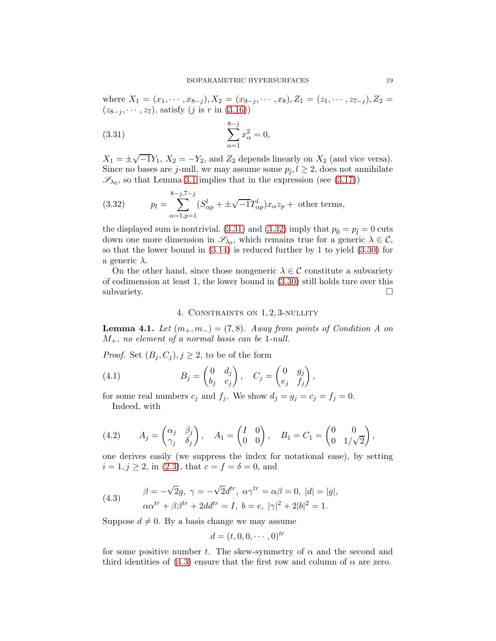where  $X_1 = (x_1, \dots, x_{8-j}), X_2 = (x_{9-j}, \dots, x_8), Z_1 = (z_1, \dots, z_{7-j}), Z_2 =$  $(z_{8-i}, \dots, z_7)$ , satisfy  $(j \text{ is } r \text{ in } (3.16))$  $(j \text{ is } r \text{ in } (3.16))$  $(j \text{ is } r \text{ in } (3.16))$ 

<span id="page-18-1"></span>(3.31) 
$$
\sum_{\alpha=1}^{8-j} x_{\alpha}^2 = 0,
$$

 $X_1 = \pm \sqrt{-1}Y_1, X_2 = -Y_2$ , and  $Z_2$  depends linearly on  $X_2$  (and vice versa). Since no bases are *j*-null, we may assume some  $p_{\tilde{l}}, l \geq 2$ , does not annihilate  $\mathscr{S}_{\lambda_0}$ , so that Lemma [3.1](#page-13-0) implies that in the expression (see [\(3.17\)](#page-13-4))

<span id="page-18-2"></span>(3.32) 
$$
p_l = \sum_{\alpha=1, p=1}^{8-j, 7-j} (S_{\alpha p}^l + \pm \sqrt{-1}T_{\alpha p}^l)x_{\alpha}z_p + \text{ other terms},
$$

the displayed sum is nontrivial. [\(3.31\)](#page-18-1) and [\(3.32\)](#page-18-2) imply that  $p_{\tilde{0}} = p_{\tilde{l}} = 0$  cuts down one more dimension in  $\mathscr{S}_{\lambda_0}$ , which remains true for a generic  $\lambda \in \mathcal{C}$ , so that the lower bound in [\(3.14\)](#page-12-2) is reduced further by 1 to yield [\(3.30\)](#page-17-1) for a generic  $\lambda$ .

On the other hand, since those nongeneric  $\lambda \in \mathcal{C}$  constitute a subvariety of codimension at least 1, the lower bound in [\(3.30\)](#page-17-1) still holds ture over this subvariety.  $\Box$ 

## <span id="page-18-4"></span>4. Constraints on 1, 2, 3-nullity

<span id="page-18-6"></span><span id="page-18-0"></span>**Lemma 4.1.** Let  $(m_+, m_-) = (7, 8)$ . Away from points of Condition A on  $M_{+}$ , no element of a normal basis can be 1-null.

*Proof.* Set  $(B_i, C_j), j \geq 2$ , to be of the form

(4.1) 
$$
B_j = \begin{pmatrix} 0 & d_j \\ b_j & c_j \end{pmatrix}, \quad C_j = \begin{pmatrix} 0 & g_j \\ e_j & f_j \end{pmatrix},
$$

for some real numbers  $c_j$  and  $f_j$ . We show  $d_j = g_j = c_j = f_j = 0$ . Indeed, with

<span id="page-18-5"></span>(4.2) 
$$
A_j = \begin{pmatrix} \alpha_j & \beta_j \\ \gamma_j & \delta_j \end{pmatrix}, \quad A_1 = \begin{pmatrix} I & 0 \\ 0 & 0 \end{pmatrix}, \quad B_1 = C_1 = \begin{pmatrix} 0 & 0 \\ 0 & 1/\sqrt{2} \end{pmatrix},
$$

one derives easily (we suppress the index for notational ease), by setting  $i = 1, j \ge 2$ , in [\(2.3\)](#page-6-0), that  $c = f = \delta = 0$ , and

<span id="page-18-3"></span>(4.3) 
$$
\beta = -\sqrt{2}g, \ \gamma = -\sqrt{2}d^{tr}, \ \alpha \gamma^{tr} = \alpha \beta = 0, \ |d| = |g|, \alpha \alpha^{tr} + \beta \beta^{tr} + 2dd^{tr} = I, \ b = e, \ |\gamma|^2 + 2|b|^2 = 1.
$$

Suppose  $d \neq 0$ . By a basis change we may assume

$$
d=(t,0,0,\cdots,0)^{tr}
$$

for some positive number t. The skew-symmetry of  $\alpha$  and the second and third identities of [\(4.3\)](#page-18-3) ensure that the first row and column of  $\alpha$  are zero.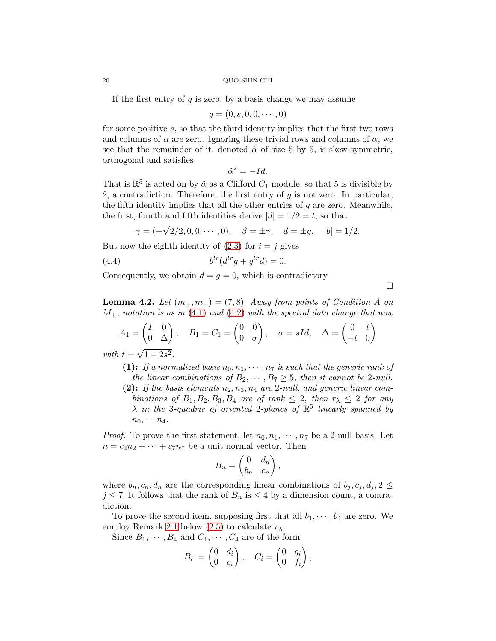If the first entry of  $g$  is zero, by a basis change we may assume

$$
g=(0,s,0,0,\cdots,0)
$$

for some positive s, so that the third identity implies that the first two rows and columns of  $\alpha$  are zero. Ignoring these trivial rows and columns of  $\alpha$ , we see that the remainder of it, denoted  $\tilde{\alpha}$  of size 5 by 5, is skew-symmetric, orthogonal and satisfies

$$
\tilde{\alpha}^2 = -Id.
$$

That is  $\mathbb{R}^5$  is acted on by  $\tilde{\alpha}$  as a Clifford  $C_1$ -module, so that 5 is divisible by 2, a contradiction. Therefore, the first entry of  $g$  is not zero. In particular, the fifth identity implies that all the other entries of  $g$  are zero. Meanwhile, the first, fourth and fifth identities derive  $|d| = 1/2 = t$ , so that

$$
\gamma = (-\sqrt{2}/2, 0, 0, \cdots, 0), \quad \beta = \pm \gamma, \quad d = \pm g, \quad |b| = 1/2.
$$

But now the eighth identity of  $(2.3)$  for  $i = j$  gives

$$
(4.4) \t\t\t btr(dtrg + gtrd) = 0.
$$

Consequently, we obtain  $d = g = 0$ , which is contradictory.

 $\Box$ 

<span id="page-19-0"></span>**Lemma 4.2.** Let  $(m_+, m_-) = (7, 8)$ . Away from points of Condition A on  $M_{+}$ , notation is as in [\(4.1\)](#page-18-4) and [\(4.2\)](#page-18-5) with the spectral data change that now

$$
A_1 = \begin{pmatrix} I & 0 \\ 0 & \Delta \end{pmatrix}, \quad B_1 = C_1 = \begin{pmatrix} 0 & 0 \\ 0 & \sigma \end{pmatrix}, \quad \sigma = sId, \quad \Delta = \begin{pmatrix} 0 & t \\ -t & 0 \end{pmatrix}
$$

with  $t = \sqrt{1 - 2s^2}$ .

- (1): If a normalized basis  $n_0, n_1, \cdots, n_7$  is such that the generic rank of the linear combinations of  $B_2, \dots, B_7 \geq 5$ , then it cannot be 2-null. (2): If the basis elements  $n_2, n_3, n_4$  are 2-null, and generic linear com-
- binations of  $B_1, B_2, B_3, B_4$  are of rank  $\leq 2$ , then  $r_{\lambda} \leq 2$  for any  $\lambda$  in the 3-quadric of oriented 2-planes of  $\mathbb{R}^5$  linearly spanned by  $n_0, \cdots n_4.$

*Proof.* To prove the first statement, let  $n_0, n_1, \dots, n_7$  be a 2-null basis. Let  $n = c_2 n_2 + \cdots + c_7 n_7$  be a unit normal vector. Then

$$
B_n = \begin{pmatrix} 0 & d_n \\ b_n & c_n \end{pmatrix},
$$

where  $b_n, c_n, d_n$  are the corresponding linear combinations of  $b_i, c_i, d_i, 2 \leq$  $j \leq 7$ . It follows that the rank of  $B_n$  is  $\leq 4$  by a dimension count, a contradiction.

To prove the second item, supposing first that all  $b_1, \dots, b_4$  are zero. We employ Remark [2.1](#page-7-2) below [\(2.5\)](#page-6-2) to calculate  $r_{\lambda}$ .

Since  $B_1, \dots, B_4$  and  $C_1, \dots, C_4$  are of the form

$$
B_i := \begin{pmatrix} 0 & d_i \\ 0 & c_i \end{pmatrix}, \quad C_i = \begin{pmatrix} 0 & g_i \\ 0 & f_i \end{pmatrix},
$$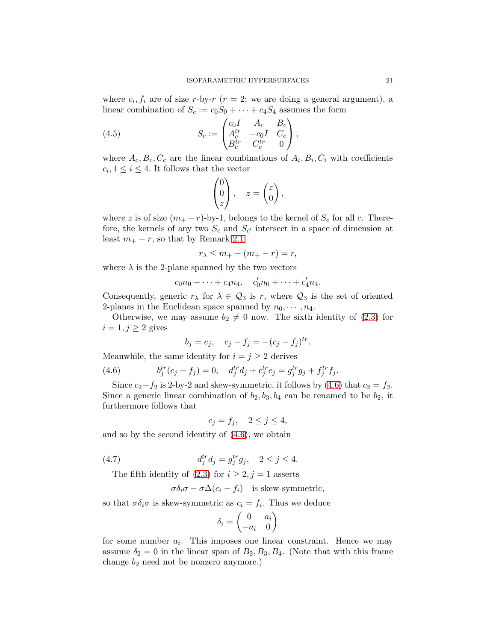where  $c_i, f_i$  are of size r-by-r  $(r = 2;$  we are doing a general argument), a linear combination of  $S_c := c_0S_0 + \cdots + c_4S_4$  assumes the form

(4.5) 
$$
S_c := \begin{pmatrix} c_0 I & A_c & B_c \\ A_c^{tr} & -c_0 I & C_c \\ B_c^{tr} & C_c^{tr} & 0 \end{pmatrix},
$$

where  $A_c, B_c, C_c$  are the linear combinations of  $A_i, B_i, C_i$  with coefficients  $c_i, 1 \leq i \leq 4$ . It follows that the vector

<span id="page-20-2"></span>
$$
\begin{pmatrix} 0 \\ 0 \\ z \end{pmatrix}, \quad z = \begin{pmatrix} z \\ 0 \end{pmatrix},
$$

where z is of size  $(m_+ - r)$ -by-1, belongs to the kernel of  $S_c$  for all c. Therefore, the kernels of any two  $S_c$  and  $S_{c'}$  intersect in a space of dimension at least  $m_+ - r$ , so that by Remark [2.1](#page-7-2)

$$
r_{\lambda} \le m_+ - (m_+ - r) = r,
$$

where  $\lambda$  is the 2-plane spanned by the two vectors

$$
c_0n_0 + \cdots + c_4n_4
$$
,  $c'_0n_0 + \cdots + c'_4n_4$ .

Consequently, generic  $r_{\lambda}$  for  $\lambda \in \mathcal{Q}_3$  is r, where  $\mathcal{Q}_3$  is the set of oriented 2-planes in the Euclidean space spanned by  $n_0, \dots, n_4$ .

Otherwise, we may assume  $b_2 \neq 0$  now. The sixth identity of [\(2.3\)](#page-6-0) for  $i = 1, j \geq 2$  gives

<span id="page-20-0"></span>
$$
b_j = e_j
$$
,  $c_j - f_j = -(c_j - f_j)^{tr}$ .

Meanwhile, the same identity for  $i = j \geq 2$  derives

(4.6) 
$$
b_j^{tr}(c_j - f_j) = 0, \quad d_j^{tr}d_j + c_j^{tr}c_j = g_j^{tr}g_j + f_j^{tr}f_j.
$$

Since  $c_2-f_2$  is 2-by-2 and skew-symmetric, it follows by [\(4.6\)](#page-20-0) that  $c_2 = f_2$ . Since a generic linear combination of  $b_2, b_3, b_4$  can be renamed to be  $b_2$ , it furthermore follows that

 $c_j = f_j$ ,  $2 \leq j \leq 4$ ,

and so by the second identity of [\(4.6\)](#page-20-0), we obtain

(4.7) 
$$
d_j^{tr} d_j = g_j^{tr} g_j, \quad 2 \le j \le 4.
$$

The fifth identity of  $(2.3)$  for  $i \ge 2, j = 1$  asserts

<span id="page-20-1"></span>
$$
\sigma \delta_i \sigma - \sigma \Delta (c_i - f_i)
$$
 is skew-symmetric,

so that  $\sigma \delta_i \sigma$  is skew-symmetric as  $c_i = f_i$ . Thus we deduce

$$
\delta_i = \begin{pmatrix} 0 & a_i \\ -a_i & 0 \end{pmatrix}
$$

for some number  $a_i$ . This imposes one linear constraint. Hence we may assume  $\delta_2 = 0$  in the linear span of  $B_2, B_3, B_4$ . (Note that with this frame change  $b_2$  need not be nonzero anymore.)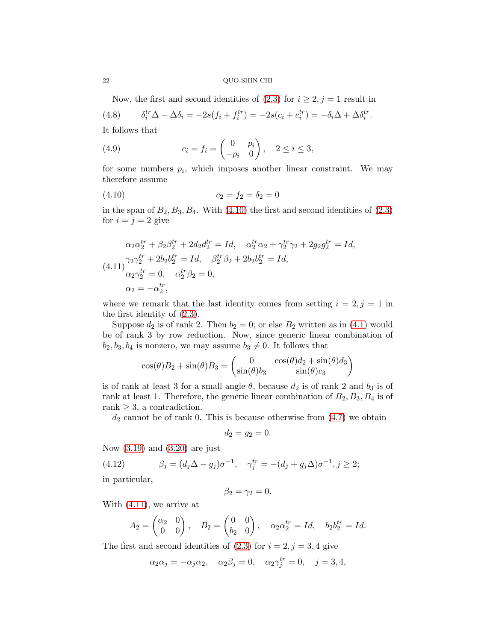Now, the first and second identities of  $(2.3)$  for  $i \geq 2, j = 1$  result in

(4.8) 
$$
\delta_i^{tr} \Delta - \Delta \delta_i = -2s(f_i + f_i^{tr}) = -2s(c_i + c_i^{tr}) = -\delta_i \Delta + \Delta \delta_i^{tr}.
$$

It follows that

<span id="page-21-3"></span>(4.9) 
$$
c_i = f_i = \begin{pmatrix} 0 & p_i \\ -p_i & 0 \end{pmatrix}, \quad 2 \le i \le 3,
$$

for some numbers  $p_i$ , which imposes another linear constraint. We may therefore assume

<span id="page-21-0"></span>
$$
(4.10) \t\t\t c_2 = f_2 = \delta_2 = 0
$$

in the span of  $B_2, B_3, B_4$ . With  $(4.10)$  the first and second identities of  $(2.3)$ for  $i = j = 2$  give

<span id="page-21-1"></span>
$$
\alpha_2 \alpha_2^{tr} + \beta_2 \beta_2^{tr} + 2d_2 d_2^{tr} = Id, \quad \alpha_2^{tr} \alpha_2 + \gamma_2^{tr} \gamma_2 + 2g_2 g_2^{tr} = Id,
$$
  
(4.11)
$$
\gamma_2 \gamma_2^{tr} + 2b_2 b_2^{tr} = Id, \quad \beta_2^{tr} \beta_2 + 2b_2 b_2^{tr} = Id,
$$

$$
\alpha_2 \gamma_2^{tr} = 0, \quad \alpha_2^{tr} \beta_2 = 0,
$$

$$
\alpha_2 = -\alpha_2^{tr},
$$

where we remark that the last identity comes from setting  $i = 2, j = 1$  in the first identity of [\(2.3\)](#page-6-0).

Suppose  $d_2$  is of rank 2. Then  $b_2 = 0$ ; or else  $B_2$  written as in [\(4.1\)](#page-18-4) would be of rank 3 by row reduction. Now, since generic linear combination of  $b_2, b_3, b_4$  is nonzero, we may assume  $b_3 \neq 0$ . It follows that

$$
\cos(\theta)B_2 + \sin(\theta)B_3 = \begin{pmatrix} 0 & \cos(\theta)d_2 + \sin(\theta)d_3 \\ \sin(\theta)b_3 & \sin(\theta)c_3 \end{pmatrix}
$$

is of rank at least 3 for a small angle  $\theta$ , because  $d_2$  is of rank 2 and  $b_3$  is of rank at least 1. Therefore, the generic linear combination of  $B_2, B_3, B_4$  is of rank  $\geq$  3, a contradiction.

 $d_2$  cannot be of rank 0. This is because otherwise from  $(4.7)$  we obtain

$$
d_2=g_2=0.
$$

Now [\(3.19\)](#page-14-2) and [\(3.20\)](#page-14-3) are just

<span id="page-21-2"></span>(4.12) 
$$
\beta_j = (d_j \Delta - g_j)\sigma^{-1}, \quad \gamma_j^{tr} = -(d_j + g_j \Delta)\sigma^{-1}, j \ge 2;
$$

in particular,

$$
\beta_2=\gamma_2=0.
$$

With [\(4.11\)](#page-21-1), we arrive at

$$
A_2 = \begin{pmatrix} \alpha_2 & 0 \\ 0 & 0 \end{pmatrix}, \quad B_2 = \begin{pmatrix} 0 & 0 \\ b_2 & 0 \end{pmatrix}, \quad \alpha_2 \alpha_2^{tr} = Id, \quad b_2 b_2^{tr} = Id.
$$

The first and second identities of  $(2.3)$  for  $i = 2, j = 3, 4$  give

$$
\alpha_2 \alpha_j = -\alpha_j \alpha_2, \quad \alpha_2 \beta_j = 0, \quad \alpha_2 \gamma_j^{tr} = 0, \quad j = 3, 4,
$$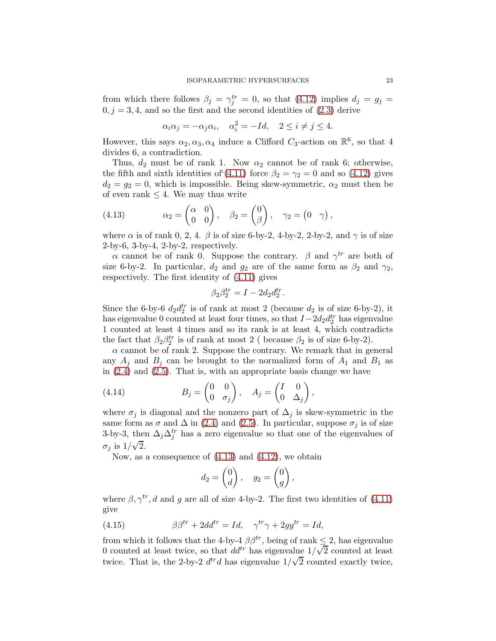from which there follows  $\beta_j = \gamma_j^{tr} = 0$ , so that [\(4.12\)](#page-21-2) implies  $d_j = g_j =$  $0, j = 3, 4$ , and so the first and the second identities of  $(2.3)$  derive

$$
\alpha_i \alpha_j = -\alpha_j \alpha_i, \quad \alpha_i^2 = -Id, \quad 2 \le i \ne j \le 4.
$$

However, this says  $\alpha_2, \alpha_3, \alpha_4$  induce a Clifford  $C_3$ -action on  $\mathbb{R}^6$ , so that 4 divides 6, a contradiction.

Thus,  $d_2$  must be of rank 1. Now  $\alpha_2$  cannot be of rank 6; otherwise, the fifth and sixth identities of [\(4.11\)](#page-21-1) force  $\beta_2 = \gamma_2 = 0$  and so [\(4.12\)](#page-21-2) gives  $d_2 = g_2 = 0$ , which is impossible. Being skew-symmetric,  $\alpha_2$  must then be of even rank  $\leq 4$ . We may thus write

<span id="page-22-0"></span>(4.13) 
$$
\alpha_2 = \begin{pmatrix} \alpha & 0 \\ 0 & 0 \end{pmatrix}, \quad \beta_2 = \begin{pmatrix} 0 \\ \beta \end{pmatrix}, \quad \gamma_2 = \begin{pmatrix} 0 & \gamma \end{pmatrix},
$$

where  $\alpha$  is of rank 0, 2, 4.  $\beta$  is of size 6-by-2, 4-by-2, 2-by-2, and  $\gamma$  is of size 2-by-6, 3-by-4, 2-by-2, respectively.

 $\alpha$  cannot be of rank 0. Suppose the contrary.  $\beta$  and  $\gamma^{tr}$  are both of size 6-by-2. In particular,  $d_2$  and  $g_2$  are of the same form as  $\beta_2$  and  $\gamma_2$ , respectively. The first identity of [\(4.11\)](#page-21-1) gives

$$
\beta_2 \beta_2^{tr} = I - 2d_2 d_2^{tr}.
$$

Since the 6-by-6  $d_2 d_2^{tr}$  is of rank at most 2 (because  $d_2$  is of size 6-by-2), it has eigenvalue 0 counted at least four times, so that  $I-2d_2d_2^{tr}$  has eigenvalue 1 counted at least 4 times and so its rank is at least 4, which contradicts the fact that  $\beta_2 \beta_2^{tr}$  is of rank at most 2 ( because  $\beta_2$  is of size 6-by-2).

 $\alpha$  cannot be of rank 2. Suppose the contrary. We remark that in general any  $A_i$  and  $B_j$  can be brought to the normalized form of  $A_1$  and  $B_1$  as in [\(2.4\)](#page-6-1) and [\(2.5\)](#page-6-2). That is, with an appropriate basis change we have

(4.14) 
$$
B_j = \begin{pmatrix} 0 & 0 \\ 0 & \sigma_j \end{pmatrix}, \quad A_j = \begin{pmatrix} I & 0 \\ 0 & \Delta_j \end{pmatrix},
$$

where  $\sigma_j$  is diagonal and the nonzero part of  $\Delta_j$  is skew-symmetric in the same form as  $\sigma$  and  $\Delta$  in [\(2.4\)](#page-6-1) and [\(2.5\)](#page-6-2). In particular, suppose  $\sigma_j$  is of size 3-by-3, then  $\Delta_j \Delta_j^{tr}$  has a zero eigenvalue so that one of the eigenvalues of  $\sigma_j$  is  $1/\sqrt{2}$ .

Now, as a consequence of  $(4.13)$  and  $(4.12)$ , we obtain

<span id="page-22-1"></span>
$$
d_2 = \begin{pmatrix} 0 \\ d \end{pmatrix}, \quad g_2 = \begin{pmatrix} 0 \\ g \end{pmatrix},
$$

where  $\beta, \gamma^{tr}, d$  and g are all of size 4-by-2. The first two identities of [\(4.11\)](#page-21-1) give

(4.15) 
$$
\beta \beta^{tr} + 2dd^{tr} = Id, \quad \gamma^{tr} \gamma + 2gg^{tr} = Id,
$$

from which it follows that the 4-by-4  $\beta\beta^{tr}$ , being of rank  $\leq 2$ , has eigenvalue 0 counted at least twice, so that  $dd^{tr}$  has eigenvalue  $1/\sqrt{2}$  counted at least twice. That is, the 2-by-2  $d^{tr}d$  has eigenvalue  $1/\sqrt{2}$  counted exactly twice,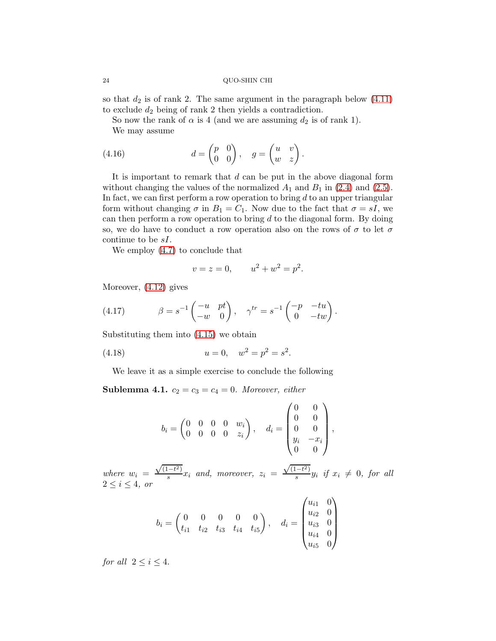so that  $d_2$  is of rank 2. The same argument in the paragraph below  $(4.11)$ to exclude  $d_2$  being of rank 2 then yields a contradiction.

.

.

<span id="page-23-0"></span>So now the rank of  $\alpha$  is 4 (and we are assuming  $d_2$  is of rank 1). We may assume

(4.16) 
$$
d = \begin{pmatrix} p & 0 \\ 0 & 0 \end{pmatrix}, \quad g = \begin{pmatrix} u & v \\ w & z \end{pmatrix}
$$

It is important to remark that  $d$  can be put in the above diagonal form without changing the values of the normalized  $A_1$  and  $B_1$  in [\(2.4\)](#page-6-1) and [\(2.5\)](#page-6-2). In fact, we can first perform a row operation to bring  $d$  to an upper triangular form without changing  $\sigma$  in  $B_1 = C_1$ . Now due to the fact that  $\sigma = sI$ , we can then perform a row operation to bring  $d$  to the diagonal form. By doing so, we do have to conduct a row operation also on the rows of  $\sigma$  to let  $\sigma$ continue to be sI.

We employ [\(4.7\)](#page-20-1) to conclude that

<span id="page-23-1"></span>
$$
v = z = 0, \qquad u^2 + w^2 = p^2.
$$

Moreover, [\(4.12\)](#page-21-2) gives

(4.17) 
$$
\beta = s^{-1} \begin{pmatrix} -u & pt \\ -w & 0 \end{pmatrix}, \quad \gamma^{tr} = s^{-1} \begin{pmatrix} -p & -tu \\ 0 & -tw \end{pmatrix}
$$

Substituting them into [\(4.15\)](#page-22-1) we obtain

(4.18) 
$$
u = 0, \quad w^2 = p^2 = s^2.
$$

We leave it as a simple exercise to conclude the following

**Sublemma 4.1.**  $c_2 = c_3 = c_4 = 0$ . Moreover, either

<span id="page-23-2"></span>
$$
b_i = \begin{pmatrix} 0 & 0 & 0 & 0 & w_i \\ 0 & 0 & 0 & 0 & z_i \end{pmatrix}, \quad d_i = \begin{pmatrix} 0 & 0 \\ 0 & 0 \\ 0 & 0 \\ y_i & -x_i \\ 0 & 0 \end{pmatrix},
$$

where  $w_i =$  $\sqrt{(1-t^2)}$  $\frac{z_i-z_j}{s}x_i$  and, moreover,  $z_i =$  $\sqrt{(1-t^2)}$  $\frac{e^{-i} - i}{s} y_i$  if  $x_i \neq 0$ , for all  $2 \leq i \leq 4$ , or

$$
b_i = \begin{pmatrix} 0 & 0 & 0 & 0 & 0 \\ t_{i1} & t_{i2} & t_{i3} & t_{i4} & t_{i5} \end{pmatrix}, \quad d_i = \begin{pmatrix} u_{i1} & 0 \\ u_{i2} & 0 \\ u_{i3} & 0 \\ u_{i4} & 0 \\ u_{i5} & 0 \end{pmatrix}
$$

for all  $2 \leq i \leq 4$ .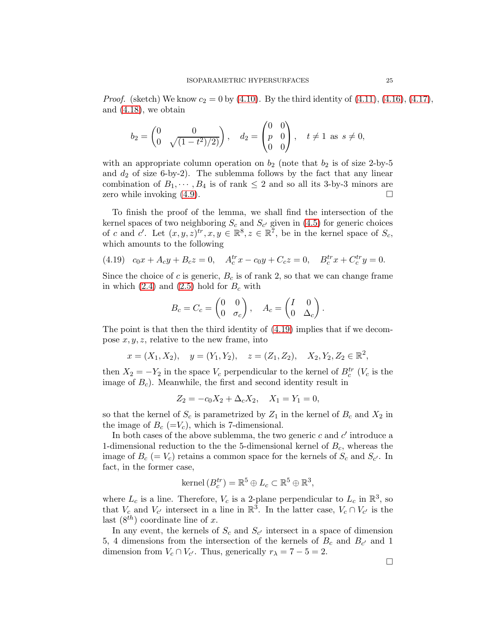*Proof.* (sketch) We know  $c_2 = 0$  by [\(4.10\)](#page-21-0). By the third identity of [\(4.11\)](#page-21-1), [\(4.16\)](#page-23-0), [\(4.17\)](#page-23-1), and [\(4.18\)](#page-23-2), we obtain

$$
b_2 = \begin{pmatrix} 0 & 0 \\ 0 & \sqrt{(1-t^2)/2} \end{pmatrix}, \quad d_2 = \begin{pmatrix} 0 & 0 \\ p & 0 \\ 0 & 0 \end{pmatrix}, \quad t \neq 1 \text{ as } s \neq 0,
$$

with an appropriate column operation on  $b_2$  (note that  $b_2$  is of size 2-by-5 and  $d_2$  of size 6-by-2). The sublemma follows by the fact that any linear combination of  $B_1, \dots, B_4$  is of rank  $\leq 2$  and so all its 3-by-3 minors are zero while invoking (4.9). zero while invoking [\(4.9\)](#page-21-3).

To finish the proof of the lemma, we shall find the intersection of the kernel spaces of two neighboring  $S_c$  and  $S_{c'}$  given in [\(4.5\)](#page-20-2) for generic choices of c and c'. Let  $(x, y, z)^{tr}$ ,  $x, y \in \mathbb{R}^8$ ,  $z \in \mathbb{R}^7$ , be in the kernel space of  $S_c$ , which amounts to the following

<span id="page-24-0"></span>
$$
(4.19) \quad c_0x + A_cy + B_cz = 0, \quad A_c^{tr}x - c_0y + C_cz = 0, \quad B_c^{tr}x + C_c^{tr}y = 0.
$$

Since the choice of c is generic,  $B_c$  is of rank 2, so that we can change frame in which  $(2.4)$  and  $(2.5)$  hold for  $B_c$  with

$$
B_c = C_c = \begin{pmatrix} 0 & 0 \\ 0 & \sigma_c \end{pmatrix}, \quad A_c = \begin{pmatrix} I & 0 \\ 0 & \Delta_c \end{pmatrix}.
$$

The point is that then the third identity of [\(4.19\)](#page-24-0) implies that if we decompose  $x, y, z$ , relative to the new frame, into

$$
x = (X_1, X_2),
$$
  $y = (Y_1, Y_2),$   $z = (Z_1, Z_2),$   $X_2, Y_2, Z_2 \in \mathbb{R}^2,$ 

then  $X_2 = -Y_2$  in the space  $V_c$  perpendicular to the kernel of  $B_c^{tr}$  ( $V_c$  is the image of  $B<sub>c</sub>$ ). Meanwhile, the first and second identity result in

$$
Z_2 = -c_0 X_2 + \Delta_c X_2, \quad X_1 = Y_1 = 0,
$$

so that the kernel of  $S_c$  is parametrized by  $Z_1$  in the kernel of  $B_c$  and  $X_2$  in the image of  $B_c$  (=V<sub>c</sub>), which is 7-dimensional.

In both cases of the above sublemma, the two generic  $c$  and  $c'$  introduce a 1-dimensional reduction to the the 5-dimensional kernel of  $B_c$ , whereas the image of  $B_c (= V_c)$  retains a common space for the kernels of  $S_c$  and  $S_{c'}$ . In fact, in the former case,

kernel 
$$
(B_c^{tr}) = \mathbb{R}^5 \oplus L_c \subset \mathbb{R}^5 \oplus \mathbb{R}^3
$$
,

where  $L_c$  is a line. Therefore,  $V_c$  is a 2-plane perpendicular to  $L_c$  in  $\mathbb{R}^3$ , so that  $V_c$  and  $V_{c'}$  intersect in a line in  $\mathbb{R}^3$ . In the latter case,  $V_c \cap V_{c'}$  is the last  $(8^{th})$  coordinate line of x.

In any event, the kernels of  $S_c$  and  $S_{c'}$  intersect in a space of dimension 5, 4 dimensions from the intersection of the kernels of  $B_c$  and  $B_{c'}$  and 1 dimension from  $V_c \cap V_{c'}$ . Thus, generically  $r_{\lambda} = 7 - 5 = 2$ .

 $\Box$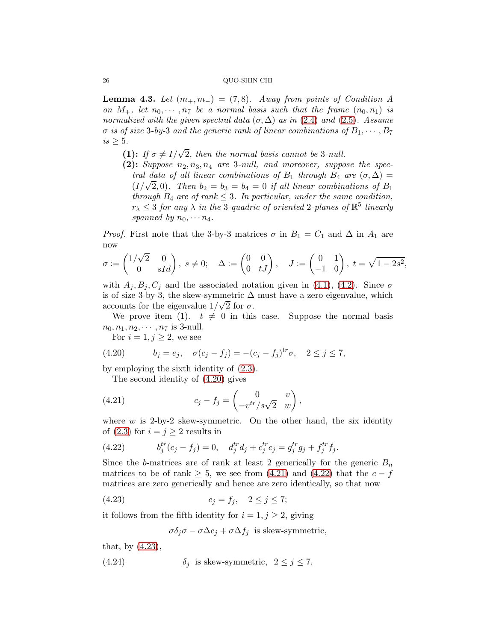<span id="page-25-5"></span>**Lemma 4.3.** Let  $(m_+, m_-) = (7, 8)$ . Away from points of Condition A on  $M_+$ , let  $n_0, \dots, n_7$  be a normal basis such that the frame  $(n_0, n_1)$  is normalized with the given spectral data  $(\sigma, \Delta)$  as in [\(2.4\)](#page-6-1) and [\(2.5\)](#page-6-2). Assume  $\sigma$  is of size 3-by-3 and the generic rank of linear combinations of  $B_1, \cdots, B_7$  $is \geq 5$ .

- (1): If  $\sigma \neq I/\sqrt{2}$ , then the normal basis cannot be 3-null.
- (2): Suppose  $n_2, n_3, n_4$  are 3-null, and moreover, suppose the spectral data of all linear combinations of  $B_1$  through  $B_4$  are  $(\sigma, \Delta)$  = ( $I/\sqrt{2}$ , 0). Then  $b_2 = b_3 = b_4 = 0$  if all linear combinations of  $B_1$ through  $B_4$  are of rank  $\leq$  3. In particular, under the same condition,  $r_{\lambda} \leq 3$  for any  $\lambda$  in the 3-quadric of oriented 2-planes of  $\mathbb{R}^5$  linearly spanned by  $n_0, \cdots n_4$ .

*Proof.* First note that the 3-by-3 matrices  $\sigma$  in  $B_1 = C_1$  and  $\Delta$  in  $A_1$  are now

$$
\sigma := \begin{pmatrix} 1/\sqrt{2} & 0 \\ 0 & sId \end{pmatrix}, \ s \neq 0; \quad \Delta := \begin{pmatrix} 0 & 0 \\ 0 & tJ \end{pmatrix}, \quad J := \begin{pmatrix} 0 & 1 \\ -1 & 0 \end{pmatrix}, \ t = \sqrt{1 - 2s^2},
$$

with  $A_j, B_j, C_j$  and the associated notation given in [\(4.1\)](#page-18-4), [\(4.2\)](#page-18-5). Since  $\sigma$ is of size 3-by-3, the skew-symmetric  $\Delta$  must have a zero eigenvalue, which  $\frac{1}{2}$  accounts for the eigenvalue  $1/\sqrt{2}$  for  $\sigma$ .

We prove item (1).  $t \neq 0$  in this case. Suppose the normal basis  $n_0, n_1, n_2, \cdots, n_7$  is 3-null.

<span id="page-25-0"></span>For  $i = 1, j \geq 2$ , we see

(4.20) 
$$
b_j = e_j, \quad \sigma(c_j - f_j) = -(c_j - f_j)^{tr} \sigma, \quad 2 \leq j \leq 7,
$$

by employing the sixth identity of [\(2.3\)](#page-6-0).

<span id="page-25-1"></span>The second identity of [\(4.20\)](#page-25-0) gives

(4.21) 
$$
c_j - f_j = \begin{pmatrix} 0 & v \\ -v^{tr}/s\sqrt{2} & w \end{pmatrix},
$$

where  $w$  is 2-by-2 skew-symmetric. On the other hand, the six identity of [\(2.3\)](#page-6-0) for  $i = j \geq 2$  results in

<span id="page-25-2"></span>(4.22) 
$$
b_j^{tr}(c_j - f_j) = 0, \quad d_j^{tr}d_j + c_j^{tr}c_j = g_j^{tr}g_j + f_j^{tr}f_j.
$$

Since the b-matrices are of rank at least 2 generically for the generic  $B_n$ matrices to be of rank  $\geq$  5, we see from [\(4.21\)](#page-25-1) and [\(4.22\)](#page-25-2) that the  $c - f$ matrices are zero generically and hence are zero identically, so that now

(4.23) 
$$
c_j = f_j, \quad 2 \le j \le 7;
$$

it follows from the fifth identity for  $i = 1, j \geq 2$ , giving

<span id="page-25-4"></span><span id="page-25-3"></span>
$$
\sigma \delta_j \sigma - \sigma \Delta c_j + \sigma \Delta f_j
$$
 is skew-symmetric,

that, by [\(4.23\)](#page-25-3),

(4.24) 
$$
\delta_j \text{ is skew-symmetric}, \quad 2 \leq j \leq 7.
$$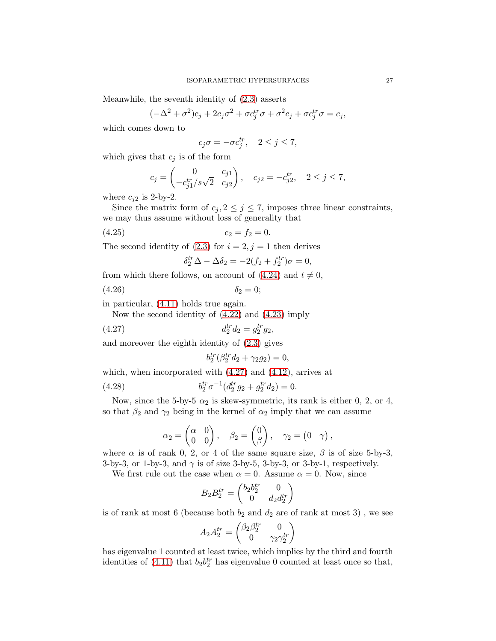Meanwhile, the seventh identity of [\(2.3\)](#page-6-0) asserts

$$
(-\Delta^2 + \sigma^2)c_j + 2c_j\sigma^2 + \sigma c_j^{tr}\sigma + \sigma^2 c_j + \sigma c_j^{tr}\sigma = c_j,
$$

which comes down to

$$
c_j \sigma = -\sigma c_j^{tr}, \quad 2 \le j \le 7,
$$

which gives that  $c_j$  is of the form

$$
c_j = \begin{pmatrix} 0 & c_{j1} \\ -c_{j1}^{tr}/s\sqrt{2} & c_{j2} \end{pmatrix}, \quad c_{j2} = -c_{j2}^{tr}, \quad 2 \le j \le 7,
$$

where  $c_{i2}$  is 2-by-2.

Since the matrix form of  $c_j$ ,  $2 \leq j \leq 7$ , imposes three linear constraints, we may thus assume without loss of generality that

$$
(4.25) \t\t\t c_2 = f_2 = 0.
$$

The second identity of  $(2.3)$  for  $i = 2, j = 1$  then derives

$$
\delta_2^{tr} \Delta - \Delta \delta_2 = -2(f_2 + f_2^{tr})\sigma = 0,
$$

from which there follows, on account of  $(4.24)$  and  $t \neq 0$ ,

(4.26)  $\delta_2 = 0;$ 

in particular, [\(4.11\)](#page-21-1) holds true again.

Now the second identity of [\(4.22\)](#page-25-2) and [\(4.23\)](#page-25-3) imply

(4.27) 
$$
d_2^{tr} d_2 = g_2^{tr} g_2,
$$

and moreover the eighth identity of [\(2.3\)](#page-6-0) gives

<span id="page-26-1"></span><span id="page-26-0"></span>
$$
b_2^{tr}(\beta_2^{tr}d_2 + \gamma_2 g_2) = 0,
$$

which, when incorporated with [\(4.27\)](#page-26-0) and [\(4.12\)](#page-21-2), arrives at

(4.28) 
$$
b_2^{tr} \sigma^{-1} (d_2^{tr} g_2 + g_2^{tr} d_2) = 0.
$$

Now, since the 5-by-5  $\alpha_2$  is skew-symmetric, its rank is either 0, 2, or 4, so that  $\beta_2$  and  $\gamma_2$  being in the kernel of  $\alpha_2$  imply that we can assume

$$
\alpha_2 = \begin{pmatrix} \alpha & 0 \\ 0 & 0 \end{pmatrix}, \quad \beta_2 = \begin{pmatrix} 0 \\ \beta \end{pmatrix}, \quad \gamma_2 = \begin{pmatrix} 0 & \gamma \end{pmatrix},
$$

where  $\alpha$  is of rank 0, 2, or 4 of the same square size,  $\beta$  is of size 5-by-3, 3-by-3, or 1-by-3, and  $\gamma$  is of size 3-by-5, 3-by-3, or 3-by-1, respectively.

We first rule out the case when  $\alpha = 0$ . Assume  $\alpha = 0$ . Now, since

$$
B_2 B_2^{tr} = \begin{pmatrix} b_2 b_2^{tr} & 0 \\ 0 & d_2 d_2^{tr} \end{pmatrix}
$$

is of rank at most 6 (because both  $b_2$  and  $d_2$  are of rank at most 3), we see

$$
A_2A_2^{tr}=\begin{pmatrix} \beta_2\beta_2^{tr}&0\\0&\gamma_2\gamma_2^{tr}\end{pmatrix}
$$

has eigenvalue 1 counted at least twice, which implies by the third and fourth identities of  $(4.11)$  that  $b_2b_2^{tr}$  has eigenvalue 0 counted at least once so that,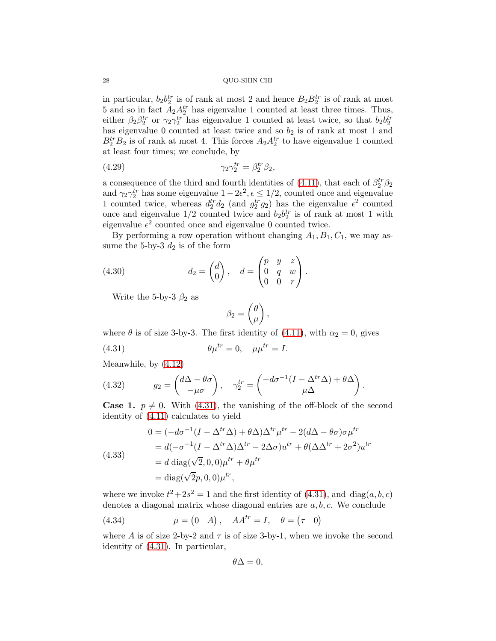in particular,  $b_2 b_2^{tr}$  is of rank at most 2 and hence  $B_2 B_2^{tr}$  is of rank at most 5 and so in fact  $A_2 A_2^{tr}$  has eigenvalue 1 counted at least three times. Thus, either  $\beta_2 \beta_2^{tr}$  or  $\gamma_2 \gamma_2^{tr}$  has eigenvalue 1 counted at least twice, so that  $b_2 b_2^{tr}$ has eigenvalue 0 counted at least twice and so  $b_2$  is of rank at most 1 and  $B_2^{tr}B_2$  is of rank at most 4. This forces  $A_2A_2^{tr}$  to have eigenvalue 1 counted at least four times; we conclude, by

<span id="page-27-1"></span>(4.29) 
$$
\gamma_2 \gamma_2^{tr} = \beta_2^{tr} \beta_2,
$$

a consequence of the third and fourth identities of [\(4.11\)](#page-21-1), that each of  $\beta_2^{tr}\beta_2$ and  $\gamma_2 \gamma_2^{tr}$  has some eigenvalue  $1 - 2\epsilon^2$ ,  $\epsilon \leq 1/2$ , counted once and eigenvalue 1 counted twice, whereas  $d_2^{tr} d_2$  (and  $g_2^{tr} g_2$ ) has the eigenvalue  $\epsilon^2$  counted once and eigenvalue  $1/2$  counted twice and  $b_2b_2^{tr}$  is of rank at most 1 with eigenvalue  $\epsilon^2$  counted once and eigenvalue 0 counted twice.

By performing a row operation without changing  $A_1, B_1, C_1$ , we may assume the 5-by-3  $d_2$  is of the form

(4.30) 
$$
d_2 = \begin{pmatrix} d \\ 0 \end{pmatrix}, \quad d = \begin{pmatrix} p & y & z \\ 0 & q & w \\ 0 & 0 & r \end{pmatrix}.
$$

Write the 5-by-3  $\beta_2$  as

<span id="page-27-3"></span><span id="page-27-0"></span>
$$
\beta_2 = \begin{pmatrix} \theta \\ \mu \end{pmatrix},
$$

where  $\theta$  is of size 3-by-3. The first identity of [\(4.11\)](#page-21-1), with  $\alpha_2 = 0$ , gives

(4.31) 
$$
\theta \mu^{tr} = 0, \quad \mu \mu^{tr} = I.
$$

Meanwhile, by [\(4.12\)](#page-21-2)

<span id="page-27-5"></span>(4.32) 
$$
g_2 = \begin{pmatrix} d\Delta - \theta \sigma \\ -\mu \sigma \end{pmatrix}, \quad \gamma_2^{tr} = \begin{pmatrix} -d\sigma^{-1}(I - \Delta^{tr}\Delta) + \theta \Delta \\ \mu \Delta \end{pmatrix}.
$$

**Case 1.**  $p \neq 0$ . With [\(4.31\)](#page-27-0), the vanishing of the off-block of the second identity of [\(4.11\)](#page-21-1) calculates to yield

<span id="page-27-4"></span>(4.33)  
\n
$$
0 = (-d\sigma^{-1}(I - \Delta^{tr}\Delta) + \theta \Delta) \Delta^{tr} \mu^{tr} - 2(d\Delta - \theta \sigma) \sigma \mu^{tr}
$$
\n
$$
= d(-\sigma^{-1}(I - \Delta^{tr}\Delta) \Delta^{tr} - 2\Delta \sigma) u^{tr} + \theta (\Delta \Delta^{tr} + 2\sigma^2) u^{tr}
$$
\n
$$
= d \operatorname{diag}(\sqrt{2}, 0, 0)\mu^{tr} + \theta \mu^{tr}
$$
\n
$$
= \operatorname{diag}(\sqrt{2}p, 0, 0) \mu^{tr},
$$

where we invoke  $t^2+2s^2=1$  and the first identity of  $(4.31)$ , and  $diag(a, b, c)$ denotes a diagonal matrix whose diagonal entries are  $a, b, c$ . We conclude

<span id="page-27-2"></span>(4.34) 
$$
\mu = \begin{pmatrix} 0 & A \end{pmatrix}, \quad AA^{tr} = I, \quad \theta = \begin{pmatrix} \tau & 0 \end{pmatrix}
$$

where A is of size 2-by-2 and  $\tau$  is of size 3-by-1, when we invoke the second identity of [\(4.31\)](#page-27-0). In particular,

$$
\theta \Delta =0,
$$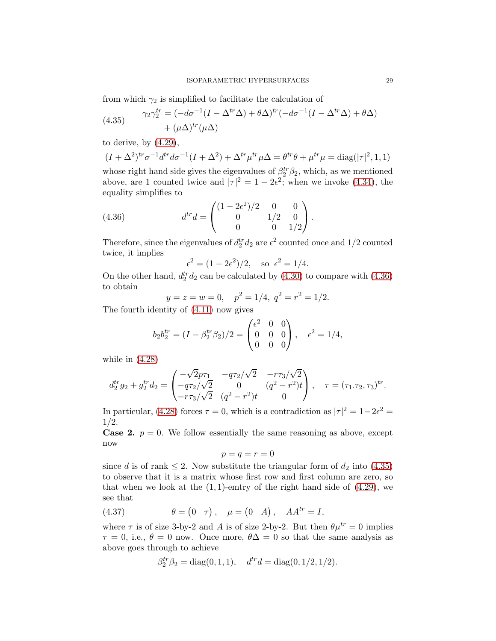from which  $\gamma_2$  is simplified to facilitate the calculation of

<span id="page-28-1"></span>(4.35) 
$$
\gamma_2 \gamma_2^{tr} = (-d\sigma^{-1}(I - \Delta^{tr}\Delta) + \theta \Delta)^{tr}(-d\sigma^{-1}(I - \Delta^{tr}\Delta) + \theta \Delta) + (\mu \Delta)^{tr}(\mu \Delta)
$$

to derive, by  $(4.29)$ ,

$$
(I + \Delta^2)^{tr} \sigma^{-1} d^{tr} d\sigma^{-1} (I + \Delta^2) + \Delta^{tr} \mu^{tr} \mu \Delta = \theta^{tr} \theta + \mu^{tr} \mu = \text{diag}(|\tau|^2, 1, 1)
$$

whose right hand side gives the eigenvalues of  $\beta_2^{tr} \beta_2$ , which, as we mentioned above, are 1 counted twice and  $|\tau|^2 = 1 - 2\epsilon^2$ ; when we invoke [\(4.34\)](#page-27-2), the equality simplifies to

(4.36) 
$$
d^{tr}d = \begin{pmatrix} (1 - 2\epsilon^2)/2 & 0 & 0 \\ 0 & 1/2 & 0 \\ 0 & 0 & 1/2 \end{pmatrix}.
$$

Therefore, since the eigenvalues of  $d_2^{tr} d_2$  are  $\epsilon^2$  counted once and 1/2 counted twice, it implies

<span id="page-28-0"></span>
$$
\epsilon^2 = (1 - 2\epsilon^2)/2
$$
, so  $\epsilon^2 = 1/4$ .

On the other hand,  $d_2^{tr}d_2$  can be calculated by [\(4.30\)](#page-27-3) to compare with [\(4.36\)](#page-28-0) to obtain

$$
y = z = w = 0
$$
,  $p^2 = 1/4$ ,  $q^2 = r^2 = 1/2$ .

The fourth identity of [\(4.11\)](#page-21-1) now gives

$$
b_2 b_2^{tr} = (I - \beta_2^{tr} \beta_2)/2 = \begin{pmatrix} \epsilon^2 & 0 & 0 \\ 0 & 0 & 0 \\ 0 & 0 & 0 \end{pmatrix}, \quad \epsilon^2 = 1/4,
$$

while in [\(4.28\)](#page-26-1)

$$
d_2^{tr} g_2 + g_2^{tr} d_2 = \begin{pmatrix} -\sqrt{2}p\tau_1 & -q\tau_2/\sqrt{2} & -r\tau_3/\sqrt{2} \\ -q\tau_2/\sqrt{2} & 0 & (q^2 - r^2)t \\ -r\tau_3/\sqrt{2} & (q^2 - r^2)t & 0 \end{pmatrix}, \quad \tau = (\tau_1 \cdot \tau_2, \tau_3)^{tr}.
$$

In particular, [\(4.28\)](#page-26-1) forces  $\tau = 0$ , which is a contradiction as  $|\tau|^2 = 1 - 2\epsilon^2 =$ 1/2.

**Case 2.**  $p = 0$ . We follow essentially the same reasoning as above, except now

$$
p=q=r=0
$$

since d is of rank  $\leq 2$ . Now substitute the triangular form of  $d_2$  into [\(4.35\)](#page-28-1) to observe that it is a matrix whose first row and first column are zero, so that when we look at the  $(1, 1)$ -emtry of the right hand side of  $(4.29)$ , we see that

(4.37) 
$$
\theta = (0 \tau), \mu = (0 \ A), \ AA^{tr} = I,
$$

where  $\tau$  is of size 3-by-2 and A is of size 2-by-2. But then  $\theta \mu^{tr} = 0$  implies  $\tau = 0$ , i.e.,  $\theta = 0$  now. Once more,  $\theta \Delta = 0$  so that the same analysis as above goes through to achieve

$$
\beta_2^{tr} \beta_2 = \text{diag}(0, 1, 1), \quad d^{tr} d = \text{diag}(0, 1/2, 1/2).
$$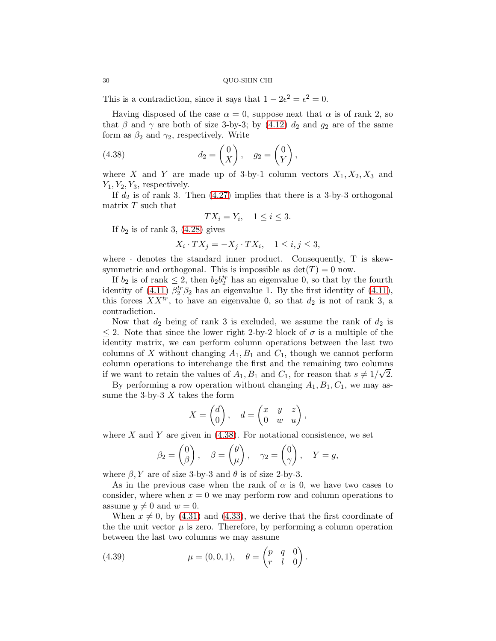This is a contradiction, since it says that  $1 - 2\epsilon^2 = \epsilon^2 = 0$ .

Having disposed of the case  $\alpha = 0$ , suppose next that  $\alpha$  is of rank 2, so that  $\beta$  and  $\gamma$  are both of size 3-by-3; by [\(4.12\)](#page-21-2)  $d_2$  and  $g_2$  are of the same form as  $\beta_2$  and  $\gamma_2$ , respectively. Write

(4.38) 
$$
d_2 = \begin{pmatrix} 0 \\ X \end{pmatrix}, \quad g_2 = \begin{pmatrix} 0 \\ Y \end{pmatrix},
$$

where X and Y are made up of 3-by-1 column vectors  $X_1, X_2, X_3$  and  $Y_1, Y_2, Y_3$ , respectively.

If  $d_2$  is of rank 3. Then  $(4.27)$  implies that there is a 3-by-3 orthogonal matrix T such that

<span id="page-29-0"></span>
$$
TX_i = Y_i, \quad 1 \le i \le 3.
$$

If  $b_2$  is of rank 3,  $(4.28)$  gives

$$
X_i \cdot TX_j = -X_j \cdot TX_i, \quad 1 \le i, j \le 3,
$$

where  $\cdot$  denotes the standard inner product. Consequently, T is skewsymmetric and orthogonal. This is impossible as  $det(T) = 0$  now.

If  $b_2$  is of rank  $\leq 2$ , then  $b_2 b_2^{tr}$  has an eigenvalue 0, so that by the fourth identity of [\(4.11\)](#page-21-1)  $\beta_2^{tr} \beta_2$  has an eigenvalue 1. By the first identity of (4.11), this forces  $XX^{tr}$ , to have an eigenvalue 0, so that  $d_2$  is not of rank 3, a contradiction.

Now that  $d_2$  being of rank 3 is excluded, we assume the rank of  $d_2$  is  $\leq$  2. Note that since the lower right 2-by-2 block of  $\sigma$  is a multiple of the identity matrix, we can perform column operations between the last two columns of X without changing  $A_1, B_1$  and  $C_1$ , though we cannot perform column operations to interchange the first and the remaining two columns if we want to retain the values of  $A_1$ ,  $B_1$  and  $C_1$ , for reason that  $s \neq 1/\sqrt{2}$ .

By performing a row operation without changing  $A_1, B_1, C_1$ , we may assume the 3-by-3  $X$  takes the form

$$
X = \begin{pmatrix} d \\ 0 \end{pmatrix}, \quad d = \begin{pmatrix} x & y & z \\ 0 & w & u \end{pmatrix},
$$

where X and Y are given in  $(4.38)$ . For notational consistence, we set

$$
\beta_2 = \begin{pmatrix} 0 \\ \beta \end{pmatrix}, \quad \beta = \begin{pmatrix} \theta \\ \mu \end{pmatrix}, \quad \gamma_2 = \begin{pmatrix} 0 \\ \gamma \end{pmatrix}, \quad Y = g,
$$

where  $\beta$ , Y are of size 3-by-3 and  $\theta$  is of size 2-by-3.

As in the previous case when the rank of  $\alpha$  is 0, we have two cases to consider, where when  $x = 0$  we may perform row and column operations to assume  $y \neq 0$  and  $w = 0$ .

When  $x \neq 0$ , by [\(4.31\)](#page-27-0) and [\(4.33\)](#page-27-4), we derive that the first coordinate of the the unit vector  $\mu$  is zero. Therefore, by performing a column operation between the last two columns we may assume

<span id="page-29-1"></span>(4.39) 
$$
\mu = (0,0,1), \quad \theta = \begin{pmatrix} p & q & 0 \\ r & l & 0 \end{pmatrix}.
$$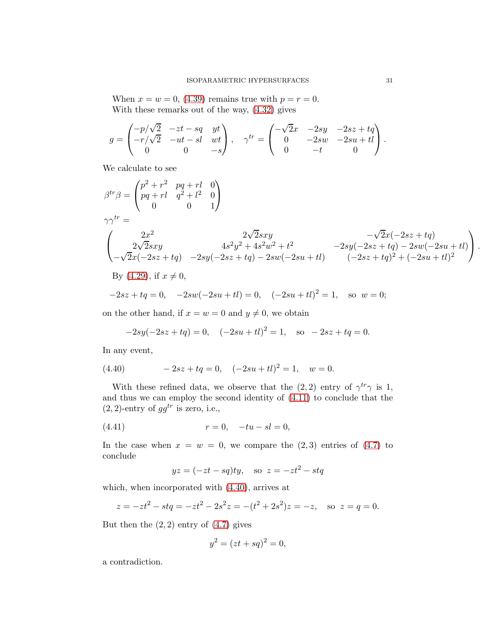When  $x = w = 0$ , [\(4.39\)](#page-29-1) remains true with  $p = r = 0$ . With these remarks out of the way, [\(4.32\)](#page-27-5) gives

$$
g = \begin{pmatrix} -p/\sqrt{2} & -zt - sq & yt \\ -r/\sqrt{2} & -ut - sl & wt \\ 0 & 0 & -s \end{pmatrix}, \quad \gamma^{tr} = \begin{pmatrix} -\sqrt{2}x & -2sy & -2sz + tq \\ 0 & -2sw & -2su + tl \\ 0 & -t & 0 \end{pmatrix}.
$$

We calculate to see

$$
\beta^{tr}\beta = \begin{pmatrix} p^2 + r^2 & pq + rl & 0 \\ pq + rl & q^2 + l^2 & 0 \\ 0 & 0 & 1 \end{pmatrix}
$$
  
\n
$$
\gamma \gamma^{tr} = \begin{pmatrix} 2x^2 & 2\sqrt{2}sxy & -\sqrt{2}x(-2sz + tq) \\ 2\sqrt{2}sxy & 4s^2y^2 + 4s^2w^2 + t^2 & -2sy(-2sz + tq) - 2sw(-2su + tl) \\ -\sqrt{2}x(-2sz + tq) & -2sy(-2sz + tq) - 2sw(-2su + tl) & (-2sz + tq)^2 + (-2su + tl)^2 \end{pmatrix}.
$$
  
\nBy (4.29), if  $x \neq 0$ ,  
\n
$$
-2sz + tq = 0, \quad -2sw(-2su + tl) = 0, \quad (-2su + tl)^2 = 1, \quad \text{so } w = 0;
$$

on the other hand, if  $x = w = 0$  and  $y \neq 0$ , we obtain

<span id="page-30-0"></span>
$$
-2sy(-2sz+tq) = 0, \quad (-2su+tl)^{2} = 1, \quad \text{so } -2sz+tq = 0.
$$

In any event,

(4.40) 
$$
-2sz + tq = 0, \quad (-2su + tl)^2 = 1, \quad w = 0.
$$

With these refined data, we observe that the  $(2, 2)$  entry of  $\gamma^{tr}\gamma$  is 1, and thus we can employ the second identity of [\(4.11\)](#page-21-1) to conclude that the  $(2, 2)$ -entry of  $gg^{tr}$  is zero, i.e.,

(4.41) 
$$
r = 0, \quad -tu - sl = 0,
$$

In the case when  $x = w = 0$ , we compare the  $(2,3)$  entries of  $(4.7)$  to conclude

<span id="page-30-1"></span>
$$
yz = (-zt - sq)ty, \quad \text{so } z = -zt^2 - stq
$$

which, when incorporated with [\(4.40\)](#page-30-0), arrives at

$$
z = -zt^2 - stq = -zt^2 - 2s^2z = -(t^2 + 2s^2)z = -z, \text{ so } z = q = 0.
$$

But then the  $(2, 2)$  entry of  $(4.7)$  gives

$$
y^2 = (zt + sq)^2 = 0,
$$

a contradiction.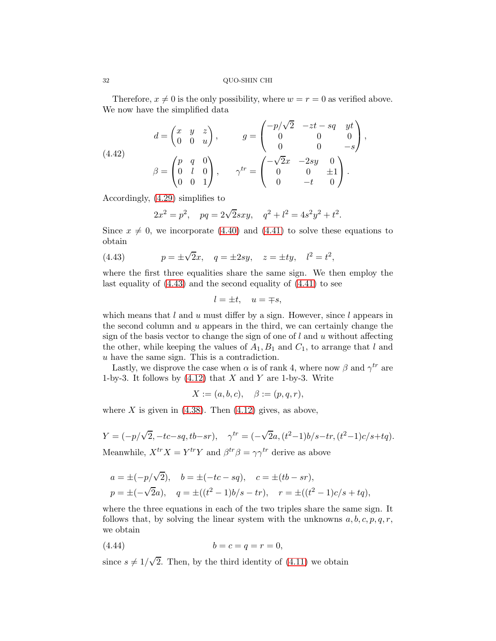Therefore,  $x \neq 0$  is the only possibility, where  $w = r = 0$  as verified above. We now have the simplified data

(4.42) 
$$
d = \begin{pmatrix} x & y & z \\ 0 & 0 & u \end{pmatrix}, \qquad g = \begin{pmatrix} -p/\sqrt{2} & -zt - sq & yt \\ 0 & 0 & 0 \\ 0 & 0 & -s \end{pmatrix},
$$

$$
\beta = \begin{pmatrix} p & q & 0 \\ 0 & l & 0 \\ 0 & 0 & 1 \end{pmatrix}, \qquad \gamma^{tr} = \begin{pmatrix} -\sqrt{2}x & -2sy & 0 \\ 0 & 0 & \pm 1 \\ 0 & -t & 0 \end{pmatrix}.
$$

Accordingly, [\(4.29\)](#page-27-1) simplifies to

<span id="page-31-1"></span><span id="page-31-0"></span>
$$
2x^2 = p^2
$$
,  $pq = 2\sqrt{2}sxy$ ,  $q^2 + l^2 = 4s^2y^2 + t^2$ .

Since  $x \neq 0$ , we incorporate [\(4.40\)](#page-30-0) and [\(4.41\)](#page-30-1) to solve these equations to obtain

(4.43) 
$$
p = \pm \sqrt{2}x
$$
,  $q = \pm 2sy$ ,  $z = \pm ty$ ,  $l^2 = t^2$ ,

where the first three equalities share the same sign. We then employ the last equality of [\(4.43\)](#page-31-0) and the second equality of [\(4.41\)](#page-30-1) to see

$$
l = \pm t, \quad u = \mp s,
$$

which means that  $l$  and  $u$  must differ by a sign. However, since  $l$  appears in the second column and  $u$  appears in the third, we can certainly change the sign of the basis vector to change the sign of one of  $l$  and  $u$  without affecting the other, while keeping the values of  $A_1, B_1$  and  $C_1$ , to arrange that l and u have the same sign. This is a contradiction.

Lastly, we disprove the case when  $\alpha$  is of rank 4, where now  $\beta$  and  $\gamma^{tr}$  are 1-by-3. It follows by  $(4.12)$  that X and Y are 1-by-3. Write

$$
X := (a, b, c), \quad \beta := (p, q, r),
$$

where X is given in  $(4.38)$ . Then  $(4.12)$  gives, as above,

$$
Y = (-p/\sqrt{2}, -tc - sq, tb - sr), \quad \gamma^{tr} = (-\sqrt{2}a, (t^2 - 1)b/s - tr, (t^2 - 1)c/s + tq).
$$
  
Meanwhile,  $X^{tr}X = Y^{tr}Y$  and  $\beta^{tr}\beta = \gamma\gamma^{tr}$  derive as above

$$
a = \pm(-p/\sqrt{2}),
$$
  $b = \pm(-tc - sq),$   $c = \pm(tb - sr),$   
\n $p = \pm(-\sqrt{2}a),$   $q = \pm((t^2 - 1)b/s - tr),$   $r = \pm((t^2 - 1)c/s + tq),$ 

where the three equations in each of the two triples share the same sign. It follows that, by solving the linear system with the unknowns  $a, b, c, p, q, r$ , we obtain

<span id="page-31-2"></span>
$$
(4.44) \t\t b = c = q = r = 0,
$$

since  $s \neq 1/\sqrt{2}$ . Then, by the third identity of [\(4.11\)](#page-21-1) we obtain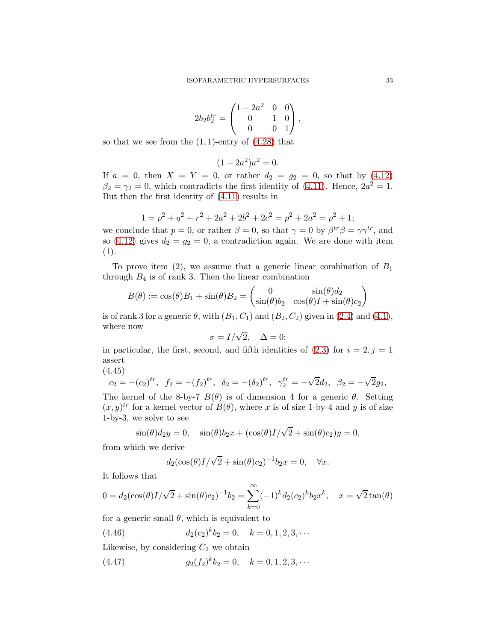$$
2b_2b_2^{tr} = \begin{pmatrix} 1 - 2a^2 & 0 & 0 \\ 0 & 1 & 0 \\ 0 & 0 & 1 \end{pmatrix},
$$

so that we see from the  $(1, 1)$ -entry of  $(4.28)$  that

$$
(1 - 2a^2)a^2 = 0.
$$

If  $a = 0$ , then  $X = Y = 0$ , or rather  $d_2 = g_2 = 0$ , so that by [\(4.12\)](#page-21-2)  $\beta_2 = \gamma_2 = 0$ , which contradicts the first identity of [\(4.11\)](#page-21-1). Hence,  $2a^2 = 1$ . But then the first identity of [\(4.11\)](#page-21-1) results in

$$
1 = p2 + q2 + r2 + 2a2 + 2b2 + 2c2 = p2 + 2a2 = p2 + 1;
$$

we conclude that  $p = 0$ , or rather  $\beta = 0$ , so that  $\gamma = 0$  by  $\beta^{tr} \beta = \gamma \gamma^{tr}$ , and so [\(4.12\)](#page-21-2) gives  $d_2 = g_2 = 0$ , a contradiction again. We are done with item (1).

To prove item  $(2)$ , we assume that a generic linear combination of  $B_1$ through  $B_4$  is of rank 3. Then the linear combination

$$
B(\theta) := \cos(\theta)B_1 + \sin(\theta)B_2 = \begin{pmatrix} 0 & \sin(\theta)d_2 \\ \sin(\theta)b_2 & \cos(\theta)I + \sin(\theta)c_2 \end{pmatrix}
$$

is of rank 3 for a generic  $\theta$ , with  $(B_1, C_1)$  and  $(B_2, C_2)$  given in [\(2.4\)](#page-6-1) and [\(4.1\)](#page-18-4), where now

$$
\sigma = I/\sqrt{2}, \quad \Delta = 0;
$$

in particular, the first, second, and fifth identities of  $(2.3)$  for  $i = 2, j = 1$ assert

(4.45)

<span id="page-32-2"></span>
$$
c_2 = -(c_2)^{tr}
$$
,  $f_2 = -(f_2)^{tr}$ ,  $\delta_2 = -(\delta_2)^{tr}$ ,  $\gamma_2^{tr} = -\sqrt{2}d_2$ ,  $\beta_2 = -\sqrt{2}g_2$ ,

The kernel of the 8-by-7  $B(\theta)$  is of dimension 4 for a generic  $\theta$ . Setting  $(x, y)^{tr}$  for a kernel vector of  $B(\theta)$ , where x is of size 1-by-4 and y is of size 1-by-3, we solve to see

$$
\sin(\theta)d_2y = 0, \quad \sin(\theta)b_2x + (\cos(\theta)I/\sqrt{2} + \sin(\theta)c_2)y = 0,
$$

from which we derive

<span id="page-32-0"></span>
$$
d_2(\cos(\theta)I/\sqrt{2} + \sin(\theta)c_2)^{-1}b_2x = 0, \quad \forall x.
$$

It follows that

$$
0 = d_2(\cos(\theta)I/\sqrt{2} + \sin(\theta)c_2)^{-1}b_2 = \sum_{k=0}^{\infty} (-1)^k d_2(c_2)^k b_2 x^k, \quad x = \sqrt{2} \tan(\theta)
$$

for a generic small  $\theta$ , which is equivalent to

(4.46) 
$$
d_2(c_2)^k b_2 = 0, \quad k = 0, 1, 2, 3, \cdots
$$

Likewise, by considering  $C_2$  we obtain

<span id="page-32-1"></span>(4.47) 
$$
g_2(f_2)^k b_2 = 0, \quad k = 0, 1, 2, 3, \cdots
$$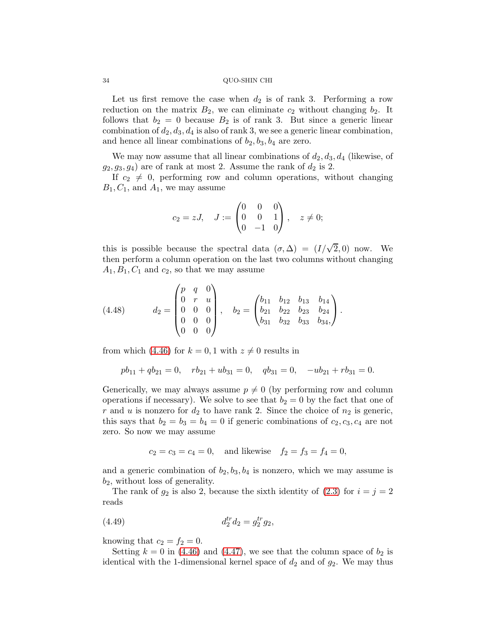Let us first remove the case when  $d_2$  is of rank 3. Performing a row reduction on the matrix  $B_2$ , we can eliminate  $c_2$  without changing  $b_2$ . It follows that  $b_2 = 0$  because  $B_2$  is of rank 3. But since a generic linear combination of  $d_2, d_3, d_4$  is also of rank 3, we see a generic linear combination, and hence all linear combinations of  $b_2$ ,  $b_3$ ,  $b_4$  are zero.

We may now assume that all linear combinations of  $d_2, d_3, d_4$  (likewise, of  $(g_2, g_3, g_4)$  are of rank at most 2. Assume the rank of  $d_2$  is 2.

If  $c_2 \neq 0$ , performing row and column operations, without changing  $B_1, C_1$ , and  $A_1$ , we may assume

$$
c_2 = zJ, \quad J := \begin{pmatrix} 0 & 0 & 0 \\ 0 & 0 & 1 \\ 0 & -1 & 0 \end{pmatrix}, \quad z \neq 0;
$$

this is possible because the spectral data  $(\sigma, \Delta) = (I/\sqrt{2}, 0)$  now. We then perform a column operation on the last two columns without changing  $A_1, B_1, C_1$  and  $c_2$ , so that we may assume

<span id="page-33-1"></span>(4.48) 
$$
d_2 = \begin{pmatrix} p & q & 0 \\ 0 & r & u \\ 0 & 0 & 0 \\ 0 & 0 & 0 \\ 0 & 0 & 0 \end{pmatrix}, \quad b_2 = \begin{pmatrix} b_{11} & b_{12} & b_{13} & b_{14} \\ b_{21} & b_{22} & b_{23} & b_{24} \\ b_{31} & b_{32} & b_{33} & b_{34} \end{pmatrix}.
$$

from which [\(4.46\)](#page-32-0) for  $k = 0, 1$  with  $z \neq 0$  results in

$$
pb_{11} + qb_{21} = 0, \quad rb_{21} + ub_{31} = 0, \quad qb_{31} = 0, \quad -ub_{21} + rb_{31} = 0.
$$

Generically, we may always assume  $p \neq 0$  (by performing row and column operations if necessary). We solve to see that  $b_2 = 0$  by the fact that one of r and u is nonzero for  $d_2$  to have rank 2. Since the choice of  $n_2$  is generic, this says that  $b_2 = b_3 = b_4 = 0$  if generic combinations of  $c_2, c_3, c_4$  are not zero. So now we may assume

<span id="page-33-0"></span>
$$
c_2 = c_3 = c_4 = 0
$$
, and likewise  $f_2 = f_3 = f_4 = 0$ ,

and a generic combination of  $b_2$ ,  $b_3$ ,  $b_4$  is nonzero, which we may assume is  $b_2$ , without loss of generality.

The rank of  $g_2$  is also 2, because the sixth identity of  $(2.3)$  for  $i = j = 2$ reads

(4.49) 
$$
d_2^{tr} d_2 = g_2^{tr} g_2,
$$

knowing that  $c_2 = f_2 = 0$ .

Setting  $k = 0$  in [\(4.46\)](#page-32-0) and [\(4.47\)](#page-32-1), we see that the column space of  $b_2$  is identical with the 1-dimensional kernel space of  $d_2$  and of  $g_2$ . We may thus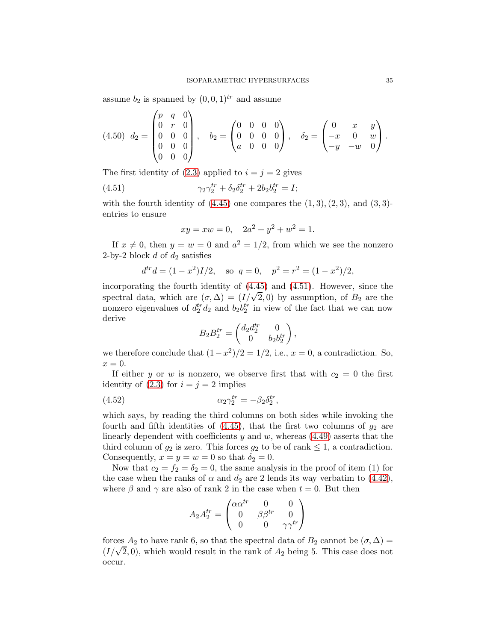assume  $b_2$  is spanned by  $(0, 0, 1)^{tr}$  and assume

$$
(4.50) \ d_2 = \begin{pmatrix} p & q & 0 \\ 0 & r & 0 \\ 0 & 0 & 0 \\ 0 & 0 & 0 \\ 0 & 0 & 0 \end{pmatrix}, \quad b_2 = \begin{pmatrix} 0 & 0 & 0 & 0 \\ 0 & 0 & 0 & 0 \\ a & 0 & 0 & 0 \end{pmatrix}, \quad \delta_2 = \begin{pmatrix} 0 & x & y \\ -x & 0 & w \\ -y & -w & 0 \end{pmatrix}.
$$

The first identity of  $(2.3)$  applied to  $i = j = 2$  gives

(4.51) 
$$
\gamma_2 \gamma_2^{tr} + \delta_2 \delta_2^{tr} + 2b_2 b_2^{tr} = I;
$$

with the fourth identity of  $(4.45)$  one compares the  $(1, 3), (2, 3)$ , and  $(3, 3)$ entries to ensure

<span id="page-34-0"></span>
$$
xy = xw = 0
$$
,  $2a^2 + y^2 + w^2 = 1$ .

If  $x \neq 0$ , then  $y = w = 0$  and  $a^2 = 1/2$ , from which we see the nonzero 2-by-2 block  $d$  of  $d_2$  satisfies

$$
d^{tr}d = (1 - x^2)I/2
$$
, so  $q = 0$ ,  $p^2 = r^2 = (1 - x^2)/2$ ,

incorporating the fourth identity of [\(4.45\)](#page-32-2) and [\(4.51\)](#page-34-0). However, since the spectral data, which are  $(\sigma, \Delta) = (I/\sqrt{2}, 0)$  by assumption, of  $B_2$  are the nonzero eigenvalues of  $d_2^{tr} d_2$  and  $b_2 b_2^{tr}$  in view of the fact that we can now derive

$$
B_2B_2^{tr} = \begin{pmatrix} d_2d_2^{tr} & 0\\ 0 & b_2b_2^{tr} \end{pmatrix},
$$

we therefore conclude that  $(1-x^2)/2 = 1/2$ , i.e.,  $x = 0$ , a contradiction. So,  $x=0.$ 

If either y or w is nonzero, we observe first that with  $c_2 = 0$  the first identity of  $(2.3)$  for  $i = j = 2$  implies

(4.52) 
$$
\alpha_2 \gamma_2^{tr} = -\beta_2 \delta_2^{tr},
$$

which says, by reading the third columns on both sides while invoking the fourth and fifth identities of  $(4.45)$ , that the first two columns of  $g_2$  are linearly dependent with coefficients  $y$  and  $w$ , whereas  $(4.49)$  asserts that the third column of  $g_2$  is zero. This forces  $g_2$  to be of rank  $\leq 1$ , a contradiction. Consequently,  $x = y = w = 0$  so that  $\delta_2 = 0$ .

Now that  $c_2 = f_2 = \delta_2 = 0$ , the same analysis in the proof of item (1) for the case when the ranks of  $\alpha$  and  $d_2$  are 2 lends its way verbatim to [\(4.42\)](#page-31-1), where  $\beta$  and  $\gamma$  are also of rank 2 in the case when  $t = 0$ . But then

$$
A_2 A_2^{tr} = \begin{pmatrix} \alpha \alpha^{tr} & 0 & 0 \\ 0 & \beta \beta^{tr} & 0 \\ 0 & 0 & \gamma \gamma^{tr} \end{pmatrix}
$$

forces  $A_2$  to have rank 6, so that the spectral data of  $B_2$  cannot be  $(\sigma, \Delta)$  =  $(I/\sqrt{2}, 0)$ , which would result in the rank of  $A_2$  being 5. This case does not occur.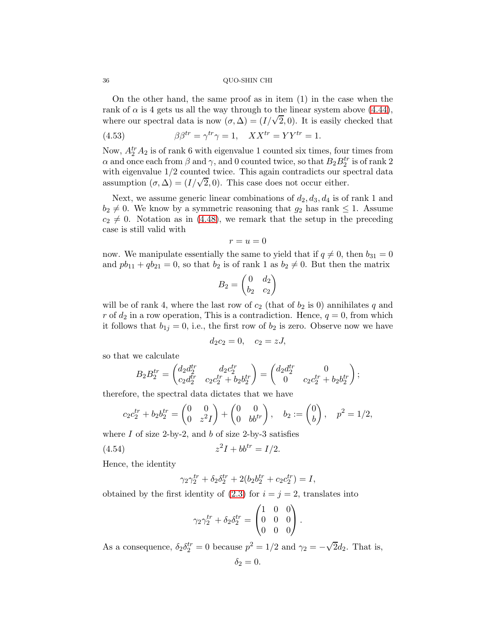On the other hand, the same proof as in item (1) in the case when the rank of  $\alpha$  is 4 gets us all the way through to the linear system above [\(4.44\)](#page-31-2), where our spectral data is now  $(\sigma, \Delta) = (I/\sqrt{2}, 0)$ . It is easily checked that

<span id="page-35-1"></span>(4.53) 
$$
\beta \beta^{tr} = \gamma^{tr} \gamma = 1, \quad XX^{tr} = YY^{tr} = 1.
$$

Now,  $A_2^{tr} A_2$  is of rank 6 with eigenvalue 1 counted six times, four times from  $\alpha$  and once each from  $\beta$  and  $\gamma$ , and 0 counted twice, so that  $B_2 B_2^{tr}$  is of rank 2 with eigenvalue 1/2 counted twice. This again contradicts our spectral data assumption  $(\sigma, \Delta) = (I/\sqrt{2}, 0)$ . This case does not occur either.

Next, we assume generic linear combinations of  $d_2, d_3, d_4$  is of rank 1 and  $b_2 \neq 0$ . We know by a symmetric reasoning that  $g_2$  has rank  $\leq 1$ . Assume  $c_2 \neq 0$ . Notation as in [\(4.48\)](#page-33-1), we remark that the setup in the preceding case is still valid with

$$
r = u = 0
$$

now. We manipulate essentially the same to yield that if  $q \neq 0$ , then  $b_{31} = 0$ and  $pb_{11} + qb_{21} = 0$ , so that  $b_2$  is of rank 1 as  $b_2 \neq 0$ . But then the matrix

$$
B_2 = \begin{pmatrix} 0 & d_2 \\ b_2 & c_2 \end{pmatrix}
$$

will be of rank 4, where the last row of  $c_2$  (that of  $b_2$  is 0) annihilates q and r of  $d_2$  in a row operation, This is a contradiction. Hence,  $q = 0$ , from which it follows that  $b_{1j} = 0$ , i.e., the first row of  $b_2$  is zero. Observe now we have

$$
d_2c_2=0, \quad c_2=zJ,
$$

so that we calculate

$$
B_2B_2^{tr} = \begin{pmatrix} d_2d_2^{tr} & d_2c_2^{tr} \\ c_2d_2^{tr} & c_2c_2^{tr} + b_2b_2^{tr} \end{pmatrix} = \begin{pmatrix} d_2d_2^{tr} & 0 \\ 0 & c_2c_2^{tr} + b_2b_2^{tr} \end{pmatrix};
$$

therefore, the spectral data dictates that we have

$$
c_2 c_2^{tr} + b_2 b_2^{tr} = \begin{pmatrix} 0 & 0 \\ 0 & z^2 I \end{pmatrix} + \begin{pmatrix} 0 & 0 \\ 0 & b b^{tr} \end{pmatrix}, \quad b_2 := \begin{pmatrix} 0 \\ b \end{pmatrix}, \quad p^2 = 1/2,
$$

where  $I$  of size 2-by-2, and  $b$  of size 2-by-3 satisfies

$$
(4.54) \t\t\t z2I + bbtr = I/2.
$$

Hence, the identity

<span id="page-35-0"></span>
$$
\gamma_2 \gamma_2^{tr} + \delta_2 \delta_2^{tr} + 2(b_2 b_2^{tr} + c_2 c_2^{tr}) = I,
$$

obtained by the first identity of  $(2.3)$  for  $i = j = 2$ , translates into

$$
\gamma_2 \gamma_2^{tr} + \delta_2 \delta_2^{tr} = \begin{pmatrix} 1 & 0 & 0 \\ 0 & 0 & 0 \\ 0 & 0 & 0 \end{pmatrix}.
$$

As a consequence,  $\delta_2 \delta_2^{tr} = 0$  because  $p^2 = 1/2$  and  $\gamma_2 = -\sqrt{2}d_2$ . That is,

$$
\delta_2=0.
$$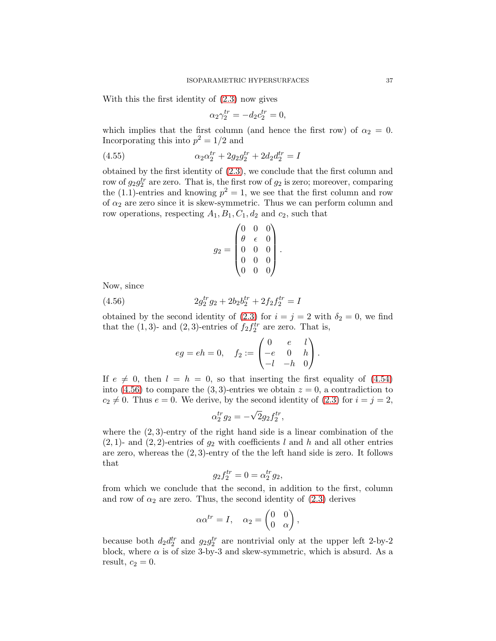With this the first identity of [\(2.3\)](#page-6-0) now gives

$$
\alpha_2 \gamma_2^{tr} = -d_2 c_2^{tr} = 0,
$$

which implies that the first column (and hence the first row) of  $\alpha_2 = 0$ . Incorporating this into  $p^2 = 1/2$  and

(4.55) 
$$
\alpha_2 \alpha_2^{tr} + 2g_2 g_2^{tr} + 2d_2 d_2^{tr} = I
$$

obtained by the first identity of [\(2.3\)](#page-6-0), we conclude that the first column and row of  $g_2 g_2^{tr}$  are zero. That is, the first row of  $g_2$  is zero; moreover, comparing the (1.1)-entries and knowing  $p^2 = 1$ , we see that the first column and row of  $\alpha_2$  are zero since it is skew-symmetric. Thus we can perform column and row operations, respecting  $A_1, B_1, C_1, d_2$  and  $c_2$ , such that

$$
g_2 = \begin{pmatrix} 0 & 0 & 0 \\ \theta & \epsilon & 0 \\ 0 & 0 & 0 \\ 0 & 0 & 0 \\ 0 & 0 & 0 \end{pmatrix}.
$$

Now, since

(4.56) 
$$
2g_2^{tr}g_2 + 2b_2b_2^{tr} + 2f_2f_2^{tr} = I
$$

obtained by the second identity of [\(2.3\)](#page-6-0) for  $i = j = 2$  with  $\delta_2 = 0$ , we find that the  $(1,3)$ - and  $(2,3)$ -entries of  $f_2 f_2^{tr}$  are zero. That is,

<span id="page-36-0"></span>
$$
eg = eh = 0, \quad f_2 := \begin{pmatrix} 0 & e & l \\ -e & 0 & h \\ -l & -h & 0 \end{pmatrix}.
$$

If  $e \neq 0$ , then  $l = h = 0$ , so that inserting the first equality of [\(4.54\)](#page-35-0) into [\(4.56\)](#page-36-0) to compare the (3, 3)-entries we obtain  $z = 0$ , a contradiction to  $c_2 \neq 0$ . Thus  $e = 0$ . We derive, by the second identity of  $(2.3)$  for  $i = j = 2$ ,

$$
\alpha_2^{tr} g_2 = -\sqrt{2}g_2 f_2^{tr},
$$

where the  $(2, 3)$ -entry of the right hand side is a linear combination of the  $(2, 1)$ - and  $(2, 2)$ -entries of  $g_2$  with coefficients l and h and all other entries are zero, whereas the  $(2, 3)$ -entry of the the left hand side is zero. It follows that

$$
g_2 f_2^{tr} = 0 = \alpha_2^{tr} g_2,
$$

from which we conclude that the second, in addition to the first, column and row of  $\alpha_2$  are zero. Thus, the second identity of  $(2.3)$  derives

$$
\alpha \alpha^{tr} = I, \quad \alpha_2 = \begin{pmatrix} 0 & 0 \\ 0 & \alpha \end{pmatrix},
$$

because both  $d_2 d_2^{tr}$  and  $g_2 g_2^{tr}$  are nontrivial only at the upper left 2-by-2 block, where  $\alpha$  is of size 3-by-3 and skew-symmetric, which is absurd. As a result,  $c_2 = 0$ .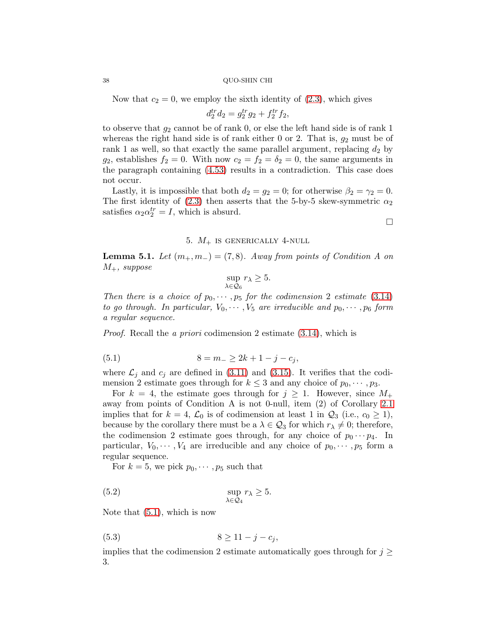Now that  $c_2 = 0$ , we employ the sixth identity of  $(2.3)$ , which gives

$$
d_2^{tr} d_2 = g_2^{tr} g_2 + f_2^{tr} f_2,
$$

to observe that  $g_2$  cannot be of rank 0, or else the left hand side is of rank 1 whereas the right hand side is of rank either 0 or 2. That is,  $g_2$  must be of rank 1 as well, so that exactly the same parallel argument, replacing  $d_2$  by  $g_2$ , establishes  $f_2 = 0$ . With now  $c_2 = f_2 = \delta_2 = 0$ , the same arguments in the paragraph containing [\(4.53\)](#page-35-1) results in a contradiction. This case does not occur.

Lastly, it is impossible that both  $d_2 = g_2 = 0$ ; for otherwise  $\beta_2 = \gamma_2 = 0$ . The first identity of [\(2.3\)](#page-6-0) then asserts that the 5-by-5 skew-symmetric  $\alpha_2$ satisfies  $\alpha_2 \alpha_2^{tr} = I$ , which is absurd.

## 5.  $M_+$  is generically 4-null

<span id="page-37-4"></span><span id="page-37-0"></span>**Lemma 5.1.** Let  $(m_+, m_-) = (7, 8)$ . Away from points of Condition A on  $M_{+}$ , suppose

<span id="page-37-1"></span>
$$
\sup_{\lambda \in \mathcal{Q}_6} r_{\lambda} \ge 5.
$$

Then there is a choice of  $p_0, \dots, p_5$  for the codimension 2 estimate [\(3.14\)](#page-12-2) to go through. In particular,  $V_0, \dots, V_5$  are irreducible and  $p_0, \dots, p_6$  form a regular sequence.

Proof. Recall the a priori codimension 2 estimate [\(3.14\)](#page-12-2), which is

(5.1) 
$$
8 = m_- \ge 2k + 1 - j - c_j,
$$

where  $\mathcal{L}_i$  and  $c_i$  are defined in [\(3.11\)](#page-12-3) and [\(3.15\)](#page-13-3). It verifies that the codimension 2 estimate goes through for  $k \leq 3$  and any choice of  $p_0, \dots, p_3$ .

For  $k = 4$ , the estimate goes through for  $j \ge 1$ . However, since  $M_+$ away from points of Condition A is not 0-null, item (2) of Corollary [2.1](#page-7-3) implies that for  $k = 4$ ,  $\mathcal{L}_0$  is of codimension at least 1 in  $\mathcal{Q}_3$  (i.e.,  $c_0 \geq 1$ ), because by the corollary there must be a  $\lambda \in \mathcal{Q}_3$  for which  $r_{\lambda} \neq 0$ ; therefore, the codimension 2 estimate goes through, for any choice of  $p_0 \cdots p_4$ . In particular,  $V_0, \dots, V_4$  are irreducible and any choice of  $p_0, \dots, p_5$  form a regular sequence.

<span id="page-37-2"></span>For  $k = 5$ , we pick  $p_0, \dots, p_5$  such that

(5.2) 
$$
\sup_{\lambda \in \mathcal{Q}_4} r_{\lambda} \geq 5.
$$

Note that [\(5.1\)](#page-37-1), which is now

<span id="page-37-3"></span>
$$
(5.3) \t\t\t 8 \ge 11 - j - c_j,
$$

implies that the codimension 2 estimate automatically goes through for  $j \geq$ 3.

 $\Box$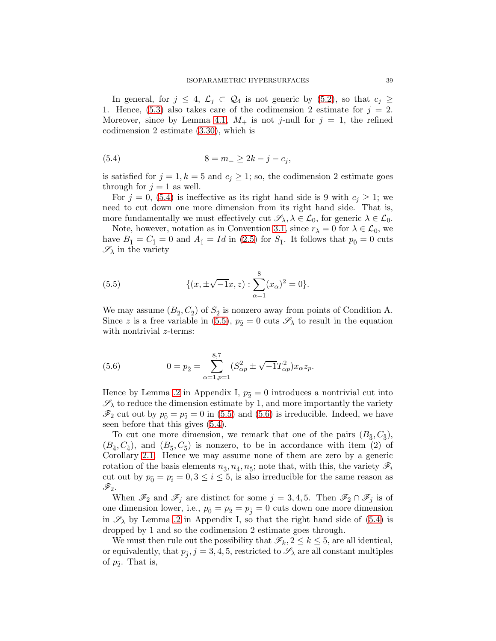In general, for  $j \leq 4$ ,  $\mathcal{L}_j \subset \mathcal{Q}_4$  is not generic by  $(5.2)$ , so that  $c_j \geq$ 1. Hence, [\(5.3\)](#page-37-3) also takes care of the codimension 2 estimate for  $j = 2$ . Moreover, since by Lemma [4.1,](#page-18-6)  $M_+$  is not j-null for  $j = 1$ , the refined codimension 2 estimate [\(3.30\)](#page-17-1), which is

<span id="page-38-0"></span>(5.4) 
$$
8 = m_- \ge 2k - j - c_j,
$$

is satisfied for  $j = 1, k = 5$  and  $c_j \geq 1$ ; so, the codimension 2 estimate goes through for  $j = 1$  as well.

For  $j = 0$ , [\(5.4\)](#page-38-0) is ineffective as its right hand side is 9 with  $c_j \geq 1$ ; we need to cut down one more dimension from its right hand side. That is, more fundamentally we must effectively cut  $\mathscr{S}_{\lambda}, \lambda \in \mathcal{L}_0$ , for generic  $\lambda \in \mathcal{L}_0$ .

Note, however, notation as in Convention [3.1,](#page-11-4) since  $r_{\lambda} = 0$  for  $\lambda \in \mathcal{L}_0$ , we have  $B_{\tilde{1}} = C_{\tilde{1}} = 0$  and  $A_{\tilde{1}} = Id$  in [\(2.5\)](#page-6-2) for  $S_{\tilde{1}}$ . It follows that  $p_{\tilde{0}} = 0$  cuts  $\mathscr{S}_{\lambda}$  in the variety

<span id="page-38-1"></span>(5.5) 
$$
\{(x, \pm \sqrt{-1}x, z) : \sum_{\alpha=1}^{8} (x_{\alpha})^2 = 0\}.
$$

We may assume  $(B_2, C_2)$  of  $S_2$  is nonzero away from points of Condition A. Since z is a free variable in [\(5.5\)](#page-38-1),  $p_5 = 0$  cuts  $\mathscr{S}_{\lambda}$  to result in the equation with nontrivial *z*-terms:

<span id="page-38-2"></span>(5.6) 
$$
0 = p_{\tilde{2}} = \sum_{\alpha=1, p=1}^{8,7} (S_{\alpha p}^2 \pm \sqrt{-1}T_{\alpha p}^2)x_{\alpha}z_p.
$$

Hence by Lemma [.2](#page-63-0) in Appendix I,  $p_{\tilde{2}} = 0$  introduces a nontrivial cut into  $\mathscr{S}_{\lambda}$  to reduce the dimension estimate by 1, and more importantly the variety  $\mathscr{F}_2$  cut out by  $p_{\tilde{0}} = p_{\tilde{2}} = 0$  in [\(5.5\)](#page-38-1) and [\(5.6\)](#page-38-2) is irreducible. Indeed, we have seen before that this gives [\(5.4\)](#page-38-0).

To cut one more dimension, we remark that one of the pairs  $(B_3, C_3)$ ,  $(B_4, C_4)$ , and  $(B_5, C_5)$  is nonzero, to be in accordance with item (2) of Corollary [2.1.](#page-7-3) Hence we may assume none of them are zero by a generic rotation of the basis elements  $n_{\tilde{3}}, n_{\tilde{4}}, n_{\tilde{5}}$ ; note that, with this, the variety  $\mathscr{F}_i$ cut out by  $p_{\tilde{0}} = p_{\tilde{i}} = 0, 3 \le i \le 5$ , is also irreducible for the same reason as  $\mathscr{F}_2.$ 

When  $\mathscr{F}_2$  and  $\mathscr{F}_j$  are distinct for some  $j = 3, 4, 5$ . Then  $\mathscr{F}_2 \cap \mathscr{F}_j$  is of one dimension lower, i.e.,  $p_{\tilde{0}} = p_{\tilde{2}} = p_{\tilde{i}} = 0$  cuts down one more dimension in  $\mathscr{S}_{\lambda}$  by Lemma [.2](#page-63-0) in Appendix I, so that the right hand side of [\(5.4\)](#page-38-0) is dropped by 1 and so the codimension 2 estimate goes through.

We must then rule out the possibility that  $\mathscr{F}_k$ ,  $2 \leq k \leq 5$ , are all identical, or equivalently, that  $p_{\tilde{j}}, j = 3, 4, 5$ , restricted to  $\mathscr{S}_{\lambda}$  are all constant multiples of  $p_{\tilde{2}}$ . That is,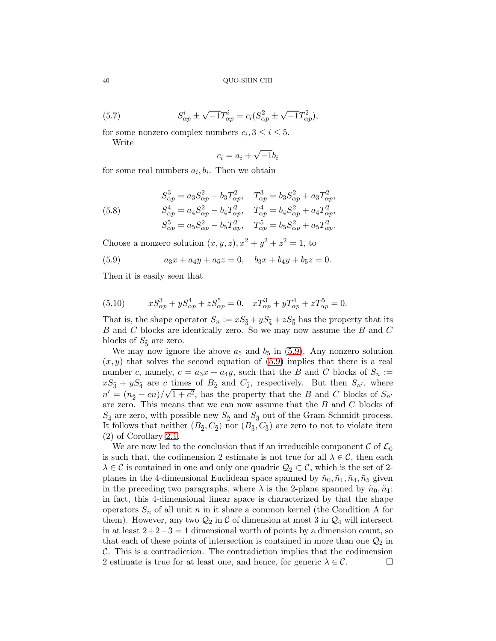(5.7) 
$$
S_{\alpha p}^i \pm \sqrt{-1}T_{\alpha p}^i = c_i(S_{\alpha p}^2 \pm \sqrt{-1}T_{\alpha p}^2),
$$

for some nonzero complex numbers  $c_i, 3 \leq i \leq 5$ . Write

<span id="page-39-1"></span>
$$
c_i = a_i + \sqrt{-1}b_i
$$

for some real numbers  $a_i, b_i$ . Then we obtain

<span id="page-39-3"></span>(5.8) 
$$
S_{\alpha p}^{3} = a_{3}S_{\alpha p}^{2} - b_{3}T_{\alpha p}^{2}, \quad T_{\alpha p}^{3} = b_{3}S_{\alpha p}^{2} + a_{3}T_{\alpha p}^{2},
$$

$$
S_{\alpha p}^{4} = a_{4}S_{\alpha p}^{2} - b_{4}T_{\alpha p}^{2}, \quad T_{\alpha p}^{4} = b_{4}S_{\alpha p}^{2} + a_{4}T_{\alpha p}^{2},
$$

$$
S_{\alpha p}^{5} = a_{5}S_{\alpha p}^{2} - b_{5}T_{\alpha p}^{2}, \quad T_{\alpha p}^{5} = b_{5}S_{\alpha p}^{2} + a_{5}T_{\alpha p}^{2}.
$$

Choose a nonzero solution  $(x, y, z)$ ,  $x^2 + y^2 + z^2 = 1$ , to

<span id="page-39-0"></span>(5.9) 
$$
a_3x + a_4y + a_5z = 0, \quad b_3x + b_4y + b_5z = 0.
$$

Then it is easily seen that

<span id="page-39-2"></span>(5.10) 
$$
xS_{\alpha p}^3 + yS_{\alpha p}^4 + zS_{\alpha p}^5 = 0. \quad xT_{\alpha p}^3 + yT_{\alpha p}^4 + zT_{\alpha p}^5 = 0.
$$

That is, the shape operator  $S_n := xS_{\tilde{3}} + yS_{\tilde{4}} + zS_{\tilde{5}}$  has the property that its B and C blocks are identically zero. So we may now assume the B and C blocks of  $S_{\tilde{5}}$  are zero.

We may now ignore the above  $a_5$  and  $b_5$  in [\(5.9\)](#page-39-0). Any nonzero solution  $(x, y)$  that solves the second equation of [\(5.9\)](#page-39-0) implies that there is a real number c, namely,  $c = a_3x + a_4y$ , such that the B and C blocks of  $S_n :=$  $xS_{\tilde{3}} + yS_{\tilde{4}}$  are c times of  $B_{\tilde{2}}$  and  $C_{\tilde{2}}$ , respectively. But then  $S_{n'}$ , where  $n' = (n<sub>2</sub> - cn)/\sqrt{1+c<sup>2</sup>}$ , has the property that the B and C blocks of  $S_{n'}$ are zero. This means that we can now assume that the  $B$  and  $C$  blocks of  $S_{\tilde{4}}$  are zero, with possible new  $S_{\tilde{2}}$  and  $S_{\tilde{3}}$  out of the Gram-Schmidt process. It follows that neither  $(B_2, C_2)$  nor  $(B_3, C_3)$  are zero to not to violate item (2) of Corollary [2.1.](#page-7-3)

We are now led to the conclusion that if an irreducible component  $\mathcal C$  of  $\mathcal L_0$ is such that, the codimension 2 estimate is not true for all  $\lambda \in \mathcal{C}$ , then each  $\lambda \in \mathcal{C}$  is contained in one and only one quadric  $\mathcal{Q}_2 \subset \mathcal{C}$ , which is the set of 2planes in the 4-dimensional Euclidean space spanned by  $\tilde{n}_0$ ,  $\tilde{n}_1$ ,  $\tilde{n}_4$ ,  $\tilde{n}_5$  given in the preceding two paragraphs, where  $\lambda$  is the 2-plane spanned by  $\tilde{n}_0, \tilde{n}_1$ ; in fact, this 4-dimensional linear space is characterized by that the shape operators  $S_n$  of all unit n in it share a common kernel (the Condition A for them). However, any two  $\mathcal{Q}_2$  in C of dimension at most 3 in  $\mathcal{Q}_4$  will intersect in at least  $2+2-3=1$  dimensional worth of points by a dimension count, so that each of these points of intersection is contained in more than one  $\mathcal{Q}_2$  in C. This is a contradiction. The contradiction implies that the codimension 2 estimate is true for at least one, and hence, for generic  $\lambda \in \mathcal{C}$ . 2 estimate is true for at least one, and hence, for generic  $\lambda \in \mathcal{C}$ .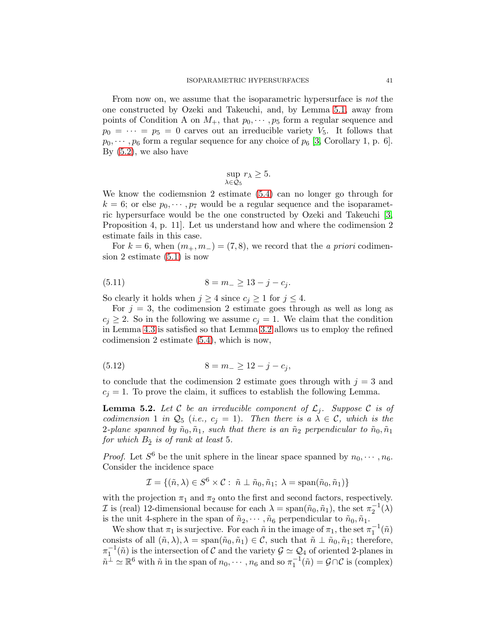From now on, we assume that the isoparametric hypersurface is not the one constructed by Ozeki and Takeuchi, and, by Lemma [5.1,](#page-37-4) away from points of Condition A on  $M_+$ , that  $p_0, \dots, p_5$  form a regular sequence and  $p_0 = \cdots = p_5 = 0$  carves out an irreducible variety  $V_5$ . It follows that  $p_0, \dots, p_6$  form a regular sequence for any choice of  $p_6$  [\[3,](#page-65-1) Corollary 1, p. 6]. By [\(5.2\)](#page-37-2), we also have

$$
\sup_{\lambda \in \mathcal{Q}_5} r_{\lambda} \ge 5.
$$

We know the codiemsnion 2 estimate [\(5.4\)](#page-38-0) can no longer go through for  $k = 6$ ; or else  $p_0, \dots, p_7$  would be a regular sequence and the isoparametric hypersurface would be the one constructed by Ozeki and Takeuchi [\[3,](#page-65-1) Proposition 4, p. 11]. Let us understand how and where the codimension 2 estimate fails in this case.

For  $k = 6$ , when  $(m_+, m_-) = (7, 8)$ , we record that the *a priori* codimension 2 estimate [\(5.1\)](#page-37-1) is now

(5.11) 
$$
8 = m_- \ge 13 - j - c_j.
$$

So clearly it holds when  $j \geq 4$  since  $c_j \geq 1$  for  $j \leq 4$ .

For  $j = 3$ , the codimension 2 estimate goes through as well as long as  $c_j \geq 2$ . So in the following we assume  $c_j = 1$ . We claim that the condition in Lemma [4.3](#page-25-5) is satisfied so that Lemma [3.2](#page-17-2) allows us to employ the refined codimension 2 estimate [\(5.4\)](#page-38-0), which is now,

<span id="page-40-1"></span>
$$
(5.12) \t\t 8 = m_{-} \ge 12 - j - c_{j},
$$

to conclude that the codimension 2 estimate goes through with  $j = 3$  and  $c_i = 1$ . To prove the claim, it suffices to establish the following Lemma.

<span id="page-40-0"></span>**Lemma 5.2.** Let C be an irreducible component of  $\mathcal{L}_j$ . Suppose C is of codimension 1 in  $\mathcal{Q}_5$  (i.e.,  $c_j = 1$ ). Then there is  $a \lambda \in \mathcal{C}$ , which is the 2-plane spanned by  $\tilde{n}_0, \tilde{n}_1$ , such that there is an  $\tilde{n}_2$  perpendicular to  $\tilde{n}_0, \tilde{n}_1$ for which  $B_{\tilde{2}}$  is of rank at least 5.

*Proof.* Let  $S^6$  be the unit sphere in the linear space spanned by  $n_0, \dots, n_6$ . Consider the incidence space

$$
\mathcal{I} = \{ (\tilde{n}, \lambda) \in S^6 \times \mathcal{C} : \tilde{n} \perp \tilde{n}_0, \tilde{n}_1; \lambda = \text{span}(\tilde{n}_0, \tilde{n}_1) \}
$$

with the projection  $\pi_1$  and  $\pi_2$  onto the first and second factors, respectively. *I* is (real) 12-dimensional because for each  $\lambda = \text{span}(\tilde{n}_0, \tilde{n}_1)$ , the set  $\pi_2^{-1}(\lambda)$ is the unit 4-sphere in the span of  $\tilde{n}_2, \dots, \tilde{n}_6$  perpendicular to  $\tilde{n}_0, \tilde{n}_1$ .

We show that  $\pi_1$  is surjective. For each  $\tilde{n}$  in the image of  $\pi_1$ , the set  $\pi_1^{-1}(\tilde{n})$ consists of all  $(\tilde{n}, \lambda), \lambda = \text{span}(\tilde{n}_0, \tilde{n}_1) \in \mathcal{C}$ , such that  $\tilde{n} \perp \tilde{n}_0, \tilde{n}_1$ ; therefore,  $\pi_1^{-1}(\tilde{n})$  is the intersection of C and the variety  $\mathcal{G} \simeq \mathcal{Q}_4$  of oriented 2-planes in  $\tilde{n}^{\perp} \simeq \mathbb{R}^6$  with  $\tilde{n}$  in the span of  $n_0, \dots, n_6$  and so  $\pi_1^{-1}(\tilde{n}) = \mathcal{G} \cap \mathcal{C}$  is (complex)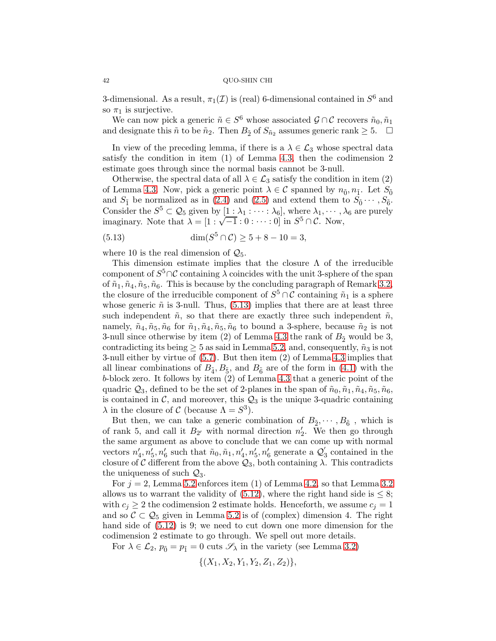3-dimensional. As a result,  $\pi_1(\mathcal{I})$  is (real) 6-dimensional contained in  $S^6$  and so  $\pi_1$  is surjective.

We can now pick a generic  $\tilde{n} \in S^6$  whose associated  $\mathcal{G} \cap \mathcal{C}$  recovers  $\tilde{n}_0, \tilde{n}_1$ and designate this  $\tilde{n}$  to be  $\tilde{n}_2$ . Then  $B_{\tilde{2}}$  of  $S_{\tilde{n}_2}$  assumes generic rank  $\geq 5$ .  $\Box$ 

In view of the preceding lemma, if there is a  $\lambda \in \mathcal{L}_3$  whose spectral data satisfy the condition in item (1) of Lemma [4.3,](#page-25-5) then the codimension 2 estimate goes through since the normal basis cannot be 3-null.

Otherwise, the spectral data of all  $\lambda \in \mathcal{L}_3$  satisfy the condition in item (2) of Lemma [4.3.](#page-25-5) Now, pick a generic point  $\lambda \in \mathcal{C}$  spanned by  $n_{\tilde{0}}, n_{\tilde{1}}$ . Let  $S_{\tilde{0}}$ and  $S_1$  be normalized as in [\(2.4\)](#page-6-1) and [\(2.5\)](#page-6-2) and extend them to  $S_0 \cdots, S_{\tilde{6}}$ . Consider the  $S^5 \subset \mathcal{Q}_5$  given by  $[1 : \lambda_1 : \cdots : \lambda_6]$ , where  $\lambda_1, \cdots, \lambda_6$  are purely imaginary. Note that  $\lambda = [1 : \sqrt{-1} : 0 : \cdots : 0]$  in  $S^5 \cap C$ . Now,

<span id="page-41-0"></span>(5.13) 
$$
\dim(S^5 \cap C) \ge 5 + 8 - 10 = 3,
$$

where 10 is the real dimension of  $\mathcal{Q}_5$ .

This dimension estimate implies that the closure  $\Lambda$  of the irreducible component of  $S^5 \cap \mathcal{C}$  containing  $\lambda$  coincides with the unit 3-sphere of the span of  $\tilde{n}_1, \tilde{n}_4, \tilde{n}_5, \tilde{n}_6$ . This is because by the concluding paragraph of Remark [3.2,](#page-16-1) the closure of the irreducible component of  $S^5 \cap \mathcal{C}$  containing  $\tilde{n}_1$  is a sphere whose generic  $\tilde{n}$  is 3-null. Thus, [\(5.13\)](#page-41-0) implies that there are at least three such independent  $\tilde{n}$ , so that there are exactly three such independent  $\tilde{n}$ , namely,  $\tilde{n}_4, \tilde{n}_5, \tilde{n}_6$  for  $\tilde{n}_1, \tilde{n}_4, \tilde{n}_5, \tilde{n}_6$  to bound a 3-sphere, because  $\tilde{n}_2$  is not 3-null since otherwise by item (2) of Lemma [4.3](#page-25-5) the rank of  $B_{\tilde{2}}$  would be 3, contradicting its being  $\geq 5$  as said in Lemma [5.2,](#page-40-0) and, consequently,  $\tilde{n}_3$  is not 3-null either by virtue of [\(5.7\)](#page-39-1). But then item (2) of Lemma [4.3](#page-25-5) implies that all linear combinations of  $B_{\tilde{4}}$ ,  $B_{\tilde{5}}$ , and  $B_{\tilde{6}}$  are of the form in [\(4.1\)](#page-18-4) with the b-block zero. It follows by item (2) of Lemma [4.3](#page-25-5) that a generic point of the quadric  $Q_3$ , defined to be the set of 2-planes in the span of  $\tilde{n}_0, \tilde{n}_1, \tilde{n}_4, \tilde{n}_5, \tilde{n}_6$ , is contained in  $\mathcal{C}$ , and moreover, this  $\mathcal{Q}_3$  is the unique 3-quadric containing  $\lambda$  in the closure of C (because  $\Lambda = S^3$ ).

But then, we can take a generic combination of  $B_{\tilde{2}}, \dots, B_{\tilde{6}}$ , which is of rank 5, and call it  $B_{2'}$  with normal direction  $n'_2$ . We then go through the same argument as above to conclude that we can come up with normal vectors  $n'_4, n'_5, n'_6$  such that  $\tilde{n}_0, \tilde{n}_1, n'_4, n'_5, n'_6$  generate a  $\mathcal{Q}'_3$ 3 contained in the closure of C different from the above  $\mathcal{Q}_3$ , both containing  $\lambda$ . This contradicts the uniqueness of such  $\mathcal{Q}_3$ .

For  $j = 2$ , Lemma [5.2](#page-40-0) enforces item (1) of Lemma [4.2,](#page-19-0) so that Lemma [3.2](#page-17-2) allows us to warrant the validity of  $(5.12)$ , where the right hand side is  $\leq 8$ ; with  $c_j \geq 2$  the codimension 2 estimate holds. Henceforth, we assume  $c_j = 1$ and so  $C \subset Q_5$  given in Lemma [5.2](#page-40-0) is of (complex) dimension 4. The right hand side of  $(5.12)$  is 9; we need to cut down one more dimension for the codimension 2 estimate to go through. We spell out more details.

For  $\lambda \in \mathcal{L}_2$ ,  $p_{\tilde{0}} = p_{\tilde{1}} = 0$  cuts  $\mathscr{S}_{\lambda}$  in the variety (see Lemma [3.2\)](#page-17-2)

$$
\{(X_1, X_2, Y_1, Y_2, Z_1, Z_2)\},\
$$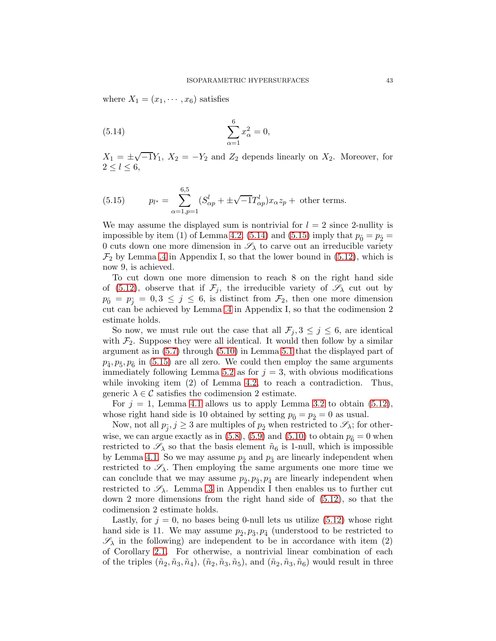where  $X_1 = (x_1, \dots, x_6)$  satisfies

<span id="page-42-0"></span>(5.14) 
$$
\sum_{\alpha=1}^{6} x_{\alpha}^{2} = 0,
$$

 $X_1 = \pm \sqrt{-1}Y_1$ ,  $X_2 = -Y_2$  and  $Z_2$  depends linearly on  $X_2$ . Moreover, for  $2 \leq l \leq 6$ ,

<span id="page-42-1"></span>(5.15) 
$$
p_{l^*} = \sum_{\alpha=1, p=1}^{6,5} (S_{\alpha p}^l + \pm \sqrt{-1}T_{\alpha p}^l)x_{\alpha}z_p + \text{ other terms.}
$$

We may assume the displayed sum is nontrivial for  $l = 2$  since 2-nullity is impossible by item (1) of Lemma [4.2.](#page-19-0) [\(5.14\)](#page-42-0) and [\(5.15\)](#page-42-1) imply that  $p_{\tilde{0}} = p_{\tilde{2}} =$ 0 cuts down one more dimension in  $\mathscr{S}_{\lambda}$  to carve out an irreducible variety  $\mathcal{F}_2$  by Lemma [.4](#page-65-6) in Appendix I, so that the lower bound in  $(5.12)$ , which is now 9, is achieved.

To cut down one more dimension to reach 8 on the right hand side of [\(5.12\)](#page-40-1), observe that if  $\mathcal{F}_j$ , the irreducible variety of  $\mathscr{S}_{\lambda}$  cut out by  $p_{\tilde{0}} = p_{\tilde{i}} = 0, 3 \leq j \leq 6$ , is distinct from  $\mathcal{F}_2$ , then one more dimension cut can be achieved by Lemma [.4](#page-65-6) in Appendix I, so that the codimension 2 estimate holds.

So now, we must rule out the case that all  $\mathcal{F}_j$ ,  $3 \leq j \leq 6$ , are identical with  $\mathcal{F}_2$ . Suppose they were all identical. It would then follow by a similar argument as in [\(5.7\)](#page-39-1) through [\(5.10\)](#page-39-2) in Lemma [5.1](#page-37-4) that the displayed part of  $p_{\tilde{4}}, p_{\tilde{5}}, p_{\tilde{6}}$  in [\(5.15\)](#page-42-1) are all zero. We could then employ the same arguments immediately following Lemma [5.2](#page-40-0) as for  $j = 3$ , with obvious modifications while invoking item  $(2)$  of Lemma [4.2,](#page-19-0) to reach a contradiction. Thus, generic  $\lambda \in \mathcal{C}$  satisfies the codimension 2 estimate.

For  $j = 1$ , Lemma [4.1](#page-18-6) allows us to apply Lemma [3.2](#page-17-2) to obtain  $(5.12)$ , whose right hand side is 10 obtained by setting  $p_{\tilde{0}} = p_{\tilde{2}} = 0$  as usual.

Now, not all  $p_{\tilde{j}}$ ,  $j \geq 3$  are multiples of  $p_{\tilde{2}}$  when restricted to  $\mathscr{S}_{\lambda}$ ; for other-wise, we can argue exactly as in [\(5.8\)](#page-39-3), [\(5.9\)](#page-39-0) and [\(5.10\)](#page-39-2) to obtain  $p_{\tilde{6}} = 0$  when restricted to  $\mathscr{S}_{\lambda}$  so that the basis element  $\tilde{n}_6$  is 1-null, which is impossible by Lemma [4.1.](#page-18-6) So we may assume  $p_{\tilde{2}}$  and  $p_{\tilde{3}}$  are linearly independent when restricted to  $\mathscr{S}_{\lambda}$ . Then employing the same arguments one more time we can conclude that we may assume  $p_{\tilde{2}}, p_{\tilde{3}}, p_{\tilde{4}}$  are linearly independent when restricted to  $\mathscr{S}_{\lambda}$ . Lemma [.3](#page-64-0) in Appendix I then enables us to further cut down 2 more dimensions from the right hand side of [\(5.12\)](#page-40-1), so that the codimension 2 estimate holds.

Lastly, for  $j = 0$ , no bases being 0-null lets us utilize [\(5.12\)](#page-40-1) whose right hand side is 11. We may assume  $p_{\tilde{2}}, p_{\tilde{3}}, p_{\tilde{4}}$  (understood to be restricted to  $\mathscr{S}_{\lambda}$  in the following) are independent to be in accordance with item (2) of Corollary [2.1.](#page-7-3) For otherwise, a nontrivial linear combination of each of the triples  $(\tilde{n}_2, \tilde{n}_3, \tilde{n}_4), (\tilde{n}_2, \tilde{n}_3, \tilde{n}_5)$ , and  $(\tilde{n}_2, \tilde{n}_3, \tilde{n}_6)$  would result in three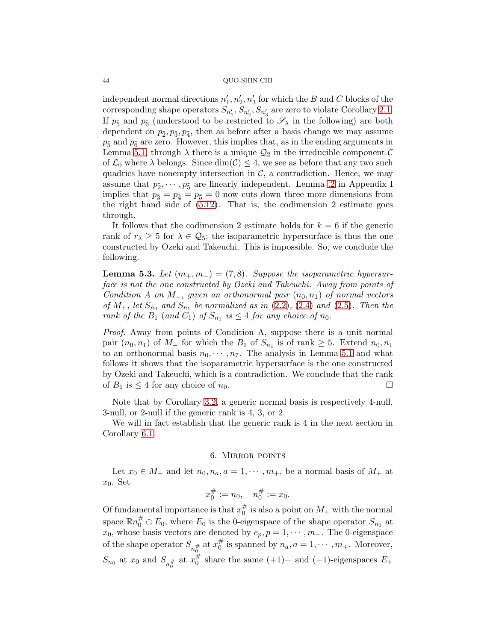independent normal directions  $n'_1, n'_2, n'_3$  for which the B and C blocks of the corresponding shape operators  $S_{n'_1}, S_{n'_2}, S_{n'_3}$  are zero to violate Corollary [2.1.](#page-7-3) If  $p_{\tilde{5}}$  and  $p_{\tilde{6}}$  (understood to be restricted to  $\mathscr{S}_{\lambda}$  in the following) are both dependent on  $p_2, p_3, p_4$ , then as before after a basis change we may assume  $p_{\tilde{5}}$  and  $p_{\tilde{6}}$  are zero. However, this implies that, as in the ending arguments in Lemma [5.1,](#page-37-4) through  $\lambda$  there is a unique  $\mathcal{Q}_2$  in the irreducible component  $\mathcal C$ of  $\mathcal{L}_0$  where  $\lambda$  belongs. Since  $\dim(\mathcal{C}) \leq 4$ , we see as before that any two such quadrics have nonempty intersection in  $\mathcal{C}$ , a contradiction. Hence, we may assume that  $p_2, \dots, p_5$  are linearly independent. Lemma [.2](#page-63-0) in Appendix I implies that  $p_{\tilde{3}} = p_{\tilde{4}} = p_{\tilde{5}} = 0$  now cuts down three more dimensions from the right hand side of  $(5.12)$ . That is, the codimension 2 estimate goes through.

It follows that the codimension 2 estimate holds for  $k = 6$  if the generic rank of  $r_{\lambda} \geq 5$  for  $\lambda \in \mathcal{Q}_5$ ; the isoparametric hypersurface is thus the one constructed by Ozeki and Takeuchi. This is impossible. So, we conclude the following.

<span id="page-43-1"></span>**Lemma 5.3.** Let  $(m_+, m_-) = (7, 8)$ . Suppose the isoparametric hypersurface is not the one constructed by Ozeki and Takeuchi. Away from points of Condition A on  $M_+$ , given an orthonormal pair  $(n_0, n_1)$  of normal vectors of  $M_+$ , let  $S_{n_0}$  and  $S_{n_1}$  be normalized as in [\(2.2\)](#page-5-0), [\(2.4\)](#page-6-1) and [\(2.5\)](#page-6-2). Then the rank of the  $B_1$  (and  $C_1$ ) of  $S_{n_1}$  is  $\leq 4$  for any choice of  $n_0$ .

Proof. Away from points of Condition A, suppose there is a unit normal pair  $(n_0, n_1)$  of  $M_+$  for which the  $B_1$  of  $S_{n_1}$  is of rank  $\geq 5$ . Extend  $n_0, n_1$ to an orthonormal basis  $n_0, \dots, n_7$ . The analysis in Lemma [5.1](#page-37-4) and what follows it shows that the isoparametric hypersurface is the one constructed by Ozeki and Takeuchi, which is a contradiction. We conclude that the rank of  $B_1$  is  $\leq 4$  for any choice of  $n_0$ .

Note that by Corollary [3.2,](#page-15-0) a generic normal basis is respectively 4-null, 3-null, or 2-null if the generic rank is 4, 3, or 2.

We will in fact establish that the generic rank is 4 in the next section in Corollary [6.1.](#page-44-0)

## 6. Mirror points

<span id="page-43-0"></span>Let  $x_0 \in M_+$  and let  $n_0, n_a, a = 1, \dots, m_+$ , be a normal basis of  $M_+$  at  $x_0$ . Set

$$
x_0^\# := n_0, \quad n_0^\# := x_0.
$$

Of fundamental importance is that  $x_0^{\#}$  $\frac{\pi}{0}$  is also a point on  $M_+$  with the normal space  $\mathbb{R}n_0^{\#}\oplus E_0$ , where  $E_0$  is the 0-eigenspace of the shape operator  $S_{n_0}$  at  $x_0$ , whose basis vectors are denoted by  $e_p, p = 1, \cdots, m_+$ . The 0-eigenspace of the shape operator  $S_{n_0^{\#}}$  at  $x_0^{\#}$  $\frac{\pi}{0}$  is spanned by  $n_a$ ,  $a = 1, \cdots, m_+$ . Moreover,  $S_{n_0}$  at  $x_0$  and  $S_{n_0^{\#}}$  at  $x_0^{\#}$  $\frac{\pi}{0}$  share the same (+1)– and (-1)-eigenspaces  $E_{+}$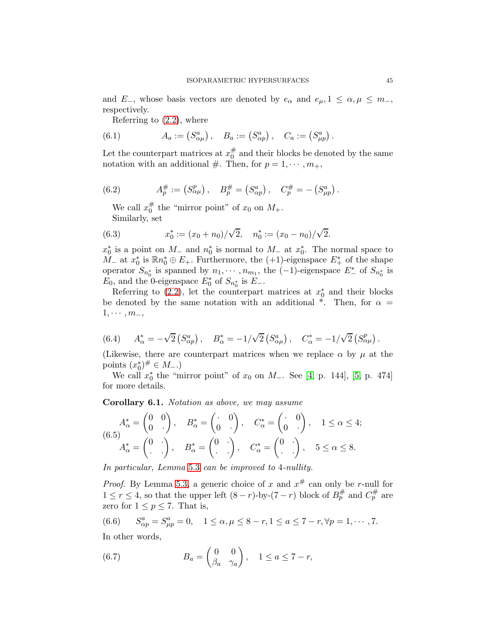and  $E_-,$  whose basis vectors are denoted by  $e_{\alpha}$  and  $e_{\mu}, 1 \leq \alpha, \mu \leq m_-,$ respectively.

<span id="page-44-1"></span>Referring to [\(2.2\)](#page-5-0), where

(6.1) 
$$
A_a := (S^a_{\alpha\mu}), \quad B_a := (S^a_{\alpha p}), \quad C_a := (S^a_{\mu p}).
$$

Let the counterpart matrices at  $x_0^{\#}$  $_{0}^{\#}$  and their blocks be denoted by the same notation with an additional #. Then, for  $p = 1, \dots, m_+$ ,

(6.2) 
$$
A_p^{\#} := (S_{\alpha\mu}^p), \quad B_p^{\#} = (S_{\alpha p}^a), \quad C_p^{\#} = - (S_{\mu p}^a).
$$

<span id="page-44-7"></span><span id="page-44-2"></span>We call  $x_0^{\#}$  $_{0}^{\#}$  the "mirror point" of  $x_{0}$  on  $M_{+}$ . Similarly, set

(6.3) 
$$
x_0^* := (x_0 + n_0) / \sqrt{2}, \quad n_0^* := (x_0 - n_0) / \sqrt{2}.
$$

 $x_0^*$  is a point on  $M_-$  and  $n_0^*$  is normal to  $M_-$  at  $x_0^*$ . The normal space to  $M_-$  at  $x_0^*$  is  $\mathbb{R}n_0^* \oplus E_+$ . Furthermore, the  $(+1)$ -eigenspace  $E_+^*$  of the shape operator  $S_{n_0^*}$  is spanned by  $n_1, \dots, n_{m_1}$ , the  $(-1)$ -eigenspace  $E^*$  of  $S_{n_0^*}$  is  $E_0$ , and the 0-eigenspace  $E_0^*$  of  $S_{n_0^*}$  is  $E_-$ .

Referring to [\(2.2\)](#page-5-0), let the counterpart matrices at  $x_0^*$  and their blocks be denoted by the same notation with an additional \*. Then, for  $\alpha =$  $1, \cdots, m_-,$ 

<span id="page-44-3"></span>(6.4) 
$$
A^*_{\alpha} = -\sqrt{2} \left( S^a_{\alpha p} \right), \quad B^*_{\alpha} = -1/\sqrt{2} \left( S^a_{\alpha \mu} \right), \quad C^*_{\alpha} = -1/\sqrt{2} \left( S^p_{\alpha \mu} \right).
$$

(Likewise, there are counterpart matrices when we replace  $\alpha$  by  $\mu$  at the points  $(x_0^*)^{\#} \in M_-\$ .

We call  $x_0^*$  the "mirror point" of  $x_0$  on  $M_-.$  See [\[4,](#page-65-3) p. 144], [\[5,](#page-65-2) p. 474] for more details.

<span id="page-44-0"></span>Corollary 6.1. Notation as above, we may assume

<span id="page-44-4"></span>
$$
A_{\alpha}^* = \begin{pmatrix} 0 & 0 \\ 0 & . \end{pmatrix}, \quad B_{\alpha}^* = \begin{pmatrix} \cdot & 0 \\ 0 & \cdot \end{pmatrix}, \quad C_{\alpha}^* = \begin{pmatrix} \cdot & 0 \\ 0 & \cdot \end{pmatrix}, \quad 1 \le \alpha \le 4;
$$
  

$$
A_{\alpha}^* = \begin{pmatrix} 0 & \cdot \\ \cdot & \cdot \end{pmatrix}, \quad B_{\alpha}^* = \begin{pmatrix} 0 & \cdot \\ \cdot & \cdot \end{pmatrix}, \quad C_{\alpha}^* = \begin{pmatrix} 0 & \cdot \\ \cdot & \cdot \end{pmatrix}, \quad 5 \le \alpha \le 8.
$$

In particular, Lemma [5](#page-43-1).3 can be improved to 4-nullity.

*Proof.* By Lemma [5.3,](#page-43-1) a generic choice of x and  $x^{\#}$  can only be r-null for  $1 \leq r \leq 4$ , so that the upper left  $(8-r)$ -by- $(7-r)$  block of  $B_p^{\#}$  and  $C_p^{\#}$  are zero for  $1 \leq p \leq 7$ . That is,

<span id="page-44-5"></span>(6.6) 
$$
S_{\alpha p}^a = S_{\mu p}^a = 0, \quad 1 \le \alpha, \mu \le 8 - r, 1 \le a \le 7 - r, \forall p = 1, \cdots, 7.
$$

In other words,

<span id="page-44-6"></span>(6.7) 
$$
B_a = \begin{pmatrix} 0 & 0 \\ \beta_a & \gamma_a \end{pmatrix}, \quad 1 \le a \le 7 - r,
$$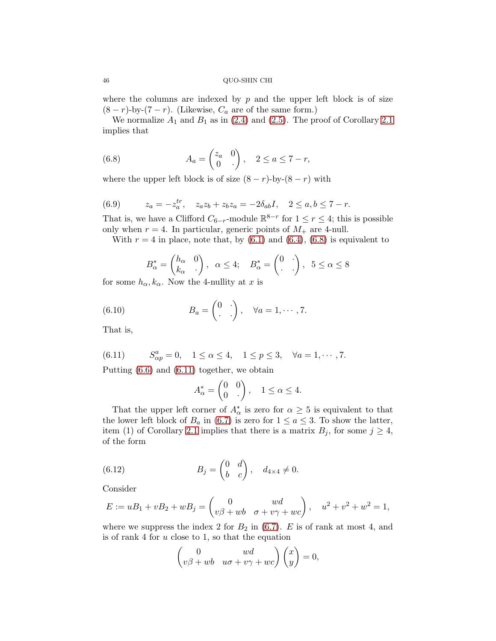where the columns are indexed by  $p$  and the upper left block is of size  $(8 - r)$ -by- $(7 - r)$ . (Likewise,  $C_a$  are of the same form.)

We normalize  $A_1$  and  $B_1$  as in [\(2.4\)](#page-6-1) and [\(2.5\)](#page-6-2). The proof of Corollary [2.1](#page-7-3) implies that

<span id="page-45-0"></span>(6.8) 
$$
A_a = \begin{pmatrix} z_a & 0 \\ 0 & \cdot \end{pmatrix}, \quad 2 \le a \le 7 - r,
$$

where the upper left block is of size  $(8 - r)$ -by- $(8 - r)$  with

<span id="page-45-3"></span>(6.9) 
$$
z_a = -z_a^{tr}, \quad z_a z_b + z_b z_a = -2\delta_{ab} I, \quad 2 \le a, b \le 7 - r.
$$

That is, we have a Clifford  $C_{6-r}$ -module  $\mathbb{R}^{8-r}$  for  $1 \leq r \leq 4$ ; this is possible only when  $r = 4$ . In particular, generic points of  $M_+$  are 4-null.

With  $r = 4$  in place, note that, by  $(6.1)$  and  $(6.4)$ ,  $(6.8)$  is equivalent to

<span id="page-45-2"></span>
$$
B_{\alpha}^* = \begin{pmatrix} h_{\alpha} & 0 \\ k_{\alpha} & \cdot \end{pmatrix}, \ \ \alpha \le 4; \quad B_{\alpha}^* = \begin{pmatrix} 0 & \cdot \\ \cdot & \cdot \end{pmatrix}, \ \ 5 \le \alpha \le 8
$$

for some  $h_{\alpha}, k_{\alpha}$ . Now the 4-nullity at x is

(6.10) 
$$
B_a = \begin{pmatrix} 0 & \cdot \\ \cdot & \cdot \end{pmatrix}, \quad \forall a = 1, \cdots, 7.
$$

That is,

<span id="page-45-1"></span> $(6.11)$  $a_{\alpha p}^{a} = 0, \quad 1 \le \alpha \le 4, \quad 1 \le p \le 3, \quad \forall a = 1, \cdots, 7.$ Putting [\(6.6\)](#page-44-5) and [\(6.11\)](#page-45-1) together, we obtain

$$
A_{\alpha}^* = \begin{pmatrix} 0 & 0 \\ 0 & \cdot \end{pmatrix}, \quad 1 \le \alpha \le 4.
$$

That the upper left corner of  $A^*_{\alpha}$  is zero for  $\alpha \geq 5$  is equivalent to that the lower left block of  $B_a$  in [\(6.7\)](#page-44-6) is zero for  $1 \le a \le 3$ . To show the latter, item (1) of Corollary [2.1](#page-7-3) implies that there is a matrix  $B_j$ , for some  $j \geq 4$ , of the form

(6.12) 
$$
B_j = \begin{pmatrix} 0 & d \\ b & c \end{pmatrix}, \quad d_{4 \times 4} \neq 0.
$$

Consider

$$
E := uB_1 + vB_2 + wB_j = \begin{pmatrix} 0 & wd \\ v\beta + wb & \sigma + v\gamma + wc \end{pmatrix}, \quad u^2 + v^2 + w^2 = 1,
$$

where we suppress the index 2 for  $B_2$  in [\(6.7\)](#page-44-6). E is of rank at most 4, and is of rank 4 for  $u$  close to 1, so that the equation

$$
\begin{pmatrix} 0 & wd \\ v\beta + wb & u\sigma + v\gamma + wc \end{pmatrix} \begin{pmatrix} x \\ y \end{pmatrix} = 0,
$$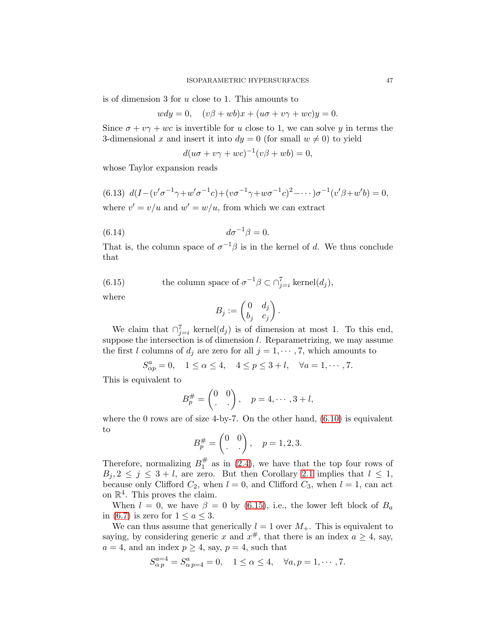is of dimension 3 for u close to 1. This amounts to

$$
wdy = 0, \quad (v\beta + wb)x + (u\sigma + v\gamma + wc)y = 0.
$$

Since  $\sigma + v\gamma + wc$  is invertible for u close to 1, we can solve y in terms the 3-dimensional x and insert it into  $dy = 0$  (for small  $w \neq 0$ ) to yield

$$
d(u\sigma + v\gamma + wc)^{-1}(v\beta + wb) = 0,
$$

whose Taylor expansion reads

<span id="page-46-1"></span>(6.13)  $d(I - (v' \sigma^{-1} \gamma + w' \sigma^{-1} c) + (v \sigma^{-1} \gamma + w \sigma^{-1} c)^2 - \cdots) \sigma^{-1} (v' \beta + w' b) = 0,$ where  $v' = v/u$  and  $w' = w/u$ , from which we can extract

$$
(6.14) \t\t d\sigma^{-1}\beta = 0.
$$

That is, the column space of  $\sigma^{-1}\beta$  is in the kernel of d. We thus conclude that

(6.15) the column space of 
$$
\sigma^{-1}\beta \subset \bigcap_{j=i}^{7} \text{kernel}(d_j)
$$
,

where

<span id="page-46-0"></span>
$$
B_j := \begin{pmatrix} 0 & d_j \\ b_j & c_j \end{pmatrix}.
$$

We claim that  $\bigcap_{j=i}^{7} \text{kernel}(d_j)$  is of dimension at most 1. To this end, suppose the intersection is of dimension l. Reparametrizing, we may assume the first l columns of  $d_j$  are zero for all  $j = 1, \dots, 7$ , which amounts to

$$
S_{\alpha p}^a = 0
$$
,  $1 \le \alpha \le 4$ ,  $4 \le p \le 3 + l$ ,  $\forall a = 1, \cdots, 7$ .

This is equivalent to

$$
B_p^{\#} = \begin{pmatrix} 0 & 0 \\ . & . \end{pmatrix}, \quad p = 4, \cdots, 3 + l,
$$

where the 0 rows are of size 4-by-7. On the other hand,  $(6.10)$  is equivalent to

$$
B_p^{\#} = \begin{pmatrix} 0 & 0 \\ . & . \end{pmatrix}, \quad p = 1, 2, 3.
$$

Therefore, normalizing  $B_1^{\#}$  $\frac{\pi}{1}$  as in [\(2.4\)](#page-6-1), we have that the top four rows of  $B_j, 2 \leq j \leq 3 + l$ , are zero. But then Corollary [2.1](#page-7-3) implies that  $l \leq 1$ , because only Clifford  $C_2$ , when  $l = 0$ , and Clifford  $C_3$ , when  $l = 1$ , can act on  $\mathbb{R}^4$ . This proves the claim.

When  $l = 0$ , we have  $\beta = 0$  by [\(6.15\)](#page-46-0), i.e., the lower left block of  $B_a$ in [\(6.7\)](#page-44-6) is zero for  $1 \le a \le 3$ .

We can thus assume that generically  $l = 1$  over  $M_{+}$ . This is equivalent to saying, by considering generic x and  $x^{\#}$ , that there is an index  $a \ge 4$ , say,  $a = 4$ , and an index  $p \ge 4$ , say,  $p = 4$ , such that

$$
S_{\alpha p}^{a=4} = S_{\alpha p=4}^{a} = 0, \quad 1 \le \alpha \le 4, \quad \forall a, p = 1, \cdots, 7.
$$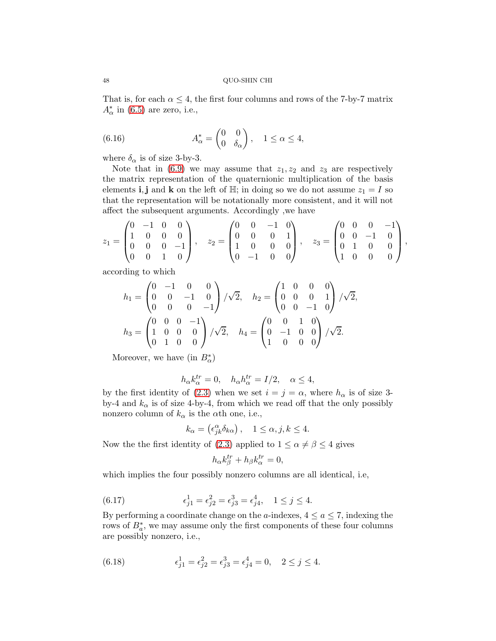That is, for each  $\alpha \leq 4$ , the first four columns and rows of the 7-by-7 matrix  $A^*_{\alpha}$  in [\(6.5\)](#page-44-4) are zero, i.e.,

<span id="page-47-0"></span>(6.16) 
$$
A_{\alpha}^* = \begin{pmatrix} 0 & 0 \\ 0 & \delta_{\alpha} \end{pmatrix}, \quad 1 \leq \alpha \leq 4,
$$

where  $\delta_{\alpha}$  is of size 3-by-3.

Note that in  $(6.9)$  we may assume that  $z_1, z_2$  and  $z_3$  are respectively the matrix representation of the quaternionic multiplication of the basis elements i, j and k on the left of  $\mathbb{H}$ ; in doing so we do not assume  $z_1 = I$  so that the representation will be notationally more consistent, and it will not affect the subsequent arguments. Accordingly ,we have

$$
z_1 = \begin{pmatrix} 0 & -1 & 0 & 0 \\ 1 & 0 & 0 & 0 \\ 0 & 0 & 0 & -1 \\ 0 & 0 & 1 & 0 \end{pmatrix}, \quad z_2 = \begin{pmatrix} 0 & 0 & -1 & 0 \\ 0 & 0 & 0 & 1 \\ 1 & 0 & 0 & 0 \\ 0 & -1 & 0 & 0 \end{pmatrix}, \quad z_3 = \begin{pmatrix} 0 & 0 & 0 & -1 \\ 0 & 0 & -1 & 0 \\ 0 & 1 & 0 & 0 \\ 1 & 0 & 0 & 0 \end{pmatrix},
$$

according to which

$$
h_1 = \begin{pmatrix} 0 & -1 & 0 & 0 \\ 0 & 0 & -1 & 0 \\ 0 & 0 & 0 & -1 \end{pmatrix} / \sqrt{2}, \quad h_2 = \begin{pmatrix} 1 & 0 & 0 & 0 \\ 0 & 0 & 0 & 1 \\ 0 & 0 & -1 & 0 \end{pmatrix} / \sqrt{2},
$$

$$
h_3 = \begin{pmatrix} 0 & 0 & 0 & -1 \\ 1 & 0 & 0 & 0 \\ 0 & 1 & 0 & 0 \end{pmatrix} / \sqrt{2}, \quad h_4 = \begin{pmatrix} 0 & 0 & 1 & 0 \\ 0 & -1 & 0 & 0 \\ 1 & 0 & 0 & 0 \end{pmatrix} / \sqrt{2}.
$$

Moreover, we have (in  $B_{\alpha}^*$ )

$$
h_{\alpha}k_{\alpha}^{tr} = 0, \quad h_{\alpha}h_{\alpha}^{tr} = I/2, \quad \alpha \le 4,
$$

by the first identity of [\(2.3\)](#page-6-0) when we set  $i = j = \alpha$ , where  $h_{\alpha}$  is of size 3by-4 and  $k_{\alpha}$  is of size 4-by-4, from which we read off that the only possibly nonzero column of  $k_{\alpha}$  is the  $\alpha$ th one, i.e.,

$$
k_{\alpha} = \left(\epsilon_{jk}^{\alpha} \delta_{k\alpha}\right), \quad 1 \leq \alpha, j, k \leq 4.
$$

Now the the first identity of [\(2.3\)](#page-6-0) applied to  $1 \le \alpha \neq \beta \le 4$  gives

<span id="page-47-1"></span>
$$
h_{\alpha}k_{\beta}^{tr} + h_{\beta}k_{\alpha}^{tr} = 0,
$$

which implies the four possibly nonzero columns are all identical, i.e,

(6.17) 
$$
\epsilon_{j1}^1 = \epsilon_{j2}^2 = \epsilon_{j3}^3 = \epsilon_{j4}^4, \quad 1 \le j \le 4.
$$

By performing a coordinate change on the a-indexes,  $4 \le a \le 7$ , indexing the rows of  $B^*_{a}$ , we may assume only the first components of these four columns are possibly nonzero, i.e.,

<span id="page-47-2"></span>(6.18) 
$$
\epsilon_{j1}^1 = \epsilon_{j2}^2 = \epsilon_{j3}^3 = \epsilon_{j4}^4 = 0, \quad 2 \le j \le 4.
$$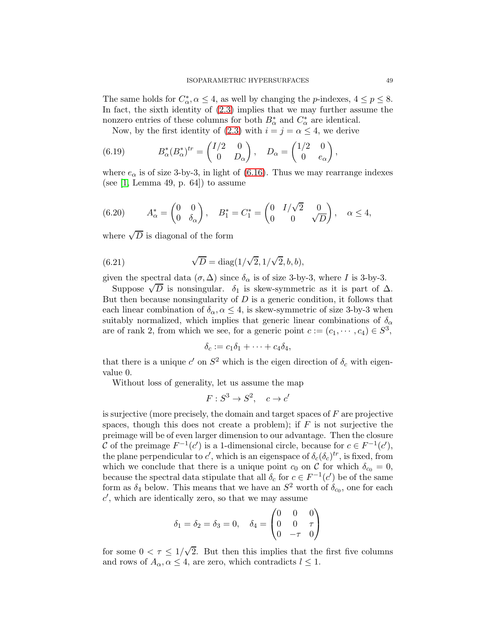The same holds for  $C^*_{\alpha}$ ,  $\alpha \leq 4$ , as well by changing the *p*-indexes,  $4 \leq p \leq 8$ . In fact, the sixth identity of [\(2.3\)](#page-6-0) implies that we may further assume the nonzero entries of these columns for both  $B^*_{\alpha}$  and  $C^*_{\alpha}$  are identical.

<span id="page-48-0"></span>Now, by the first identity of [\(2.3\)](#page-6-0) with  $i = j = \alpha \leq 4$ , we derive

(6.19) 
$$
B_{\alpha}^*(B_{\alpha}^*)^{tr} = \begin{pmatrix} I/2 & 0 \\ 0 & D_{\alpha} \end{pmatrix}, \quad D_{\alpha} = \begin{pmatrix} 1/2 & 0 \\ 0 & e_{\alpha} \end{pmatrix},
$$

where  $e_{\alpha}$  is of size 3-by-3, in light of [\(6.16\)](#page-47-0). Thus we may rearrange indexes (see [\[1,](#page-65-0) Lemma 49, p. 64]) to assume

(6.20) 
$$
A_{\alpha}^* = \begin{pmatrix} 0 & 0 \\ 0 & \delta_{\alpha} \end{pmatrix}, \quad B_1^* = C_1^* = \begin{pmatrix} 0 & I/\sqrt{2} & 0 \\ 0 & 0 & \sqrt{D} \end{pmatrix}, \quad \alpha \le 4,
$$

where  $\sqrt{D}$  is diagonal of the form

(6.21) 
$$
\sqrt{D} = \text{diag}(1/\sqrt{2}, 1/\sqrt{2}, b, b),
$$

given the spectral data  $(\sigma, \Delta)$  since  $\delta_{\alpha}$  is of size 3-by-3, where I is 3-by-3.

Suppose  $\sqrt{D}$  is nonsingular.  $\delta_1$  is skew-symmetric as it is part of  $\Delta$ . But then because nonsingularity of  $D$  is a generic condition, it follows that each linear combination of  $\delta_{\alpha}, \alpha \leq 4$ , is skew-symmetric of size 3-by-3 when suitably normalized, which implies that generic linear combinations of  $\delta_{\alpha}$ are of rank 2, from which we see, for a generic point  $c := (c_1, \dots, c_4) \in S^3$ ,

$$
\delta_c := c_1 \delta_1 + \cdots + c_4 \delta_4,
$$

that there is a unique  $c'$  on  $S^2$  which is the eigen direction of  $\delta_c$  with eigenvalue 0.

Without loss of generality, let us assume the map

$$
F: S^3 \to S^2, \quad c \to c'
$$

is surjective (more precisely, the domain and target spaces of F are projective spaces, though this does not create a problem); if  $F$  is not surjective the preimage will be of even larger dimension to our advantage. Then the closure C of the preimage  $F^{-1}(c')$  is a 1-dimensional circle, because for  $c \in F^{-1}(c')$ , the plane perpendicular to c', which is an eigenspace of  $\delta_c(\delta_c)^{tr}$ , is fixed, from which we conclude that there is a unique point  $c_0$  on C for which  $\delta_{c_0} = 0$ , because the spectral data stipulate that all  $\delta_c$  for  $c \in F^{-1}(c')$  be of the same form as  $\delta_4$  below. This means that we have an  $S^2$  worth of  $\delta_{c_0}$ , one for each  $c'$ , which are identically zero, so that we may assume

$$
\delta_1 = \delta_2 = \delta_3 = 0, \quad \delta_4 = \begin{pmatrix} 0 & 0 & 0 \\ 0 & 0 & \tau \\ 0 & -\tau & 0 \end{pmatrix}
$$

for some  $0 < \tau \leq 1/\sqrt{2}$ . But then this implies that the first five columns and rows of  $A_{\alpha}, \alpha \leq 4$ , are zero, which contradicts  $l \leq 1$ .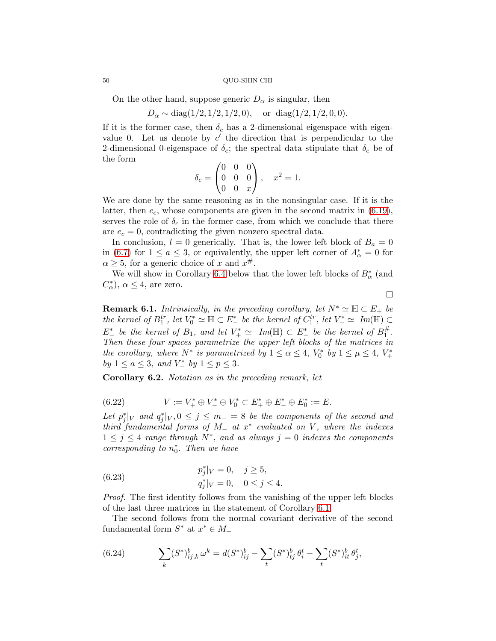On the other hand, suppose generic  $D_{\alpha}$  is singular, then

$$
D_{\alpha} \sim \text{diag}(1/2, 1/2, 1/2, 0)
$$
, or  $\text{diag}(1/2, 1/2, 0, 0)$ .

If it is the former case, then  $\delta_c$  has a 2-dimensional eigenspace with eigenvalue 0. Let us denote by  $c'$  the direction that is perpendicular to the 2-dimensional 0-eigenspace of  $\delta_c$ ; the spectral data stipulate that  $\delta_c$  be of the form

$$
\delta_c = \begin{pmatrix} 0 & 0 & 0 \\ 0 & 0 & 0 \\ 0 & 0 & x \end{pmatrix}, \quad x^2 = 1.
$$

We are done by the same reasoning as in the nonsingular case. If it is the latter, then  $e_c$ , whose components are given in the second matrix in  $(6.19)$ , serves the role of  $\delta_c$  in the former case, from which we conclude that there are  $e_c = 0$ , contradicting the given nonzero spectral data.

In conclusion,  $l = 0$  generically. That is, the lower left block of  $B_a = 0$ in [\(6.7\)](#page-44-6) for  $1 \le a \le 3$ , or equivalently, the upper left corner of  $A^*_{\alpha} = 0$  for  $\alpha \geq 5$ , for a generic choice of x and  $x^{\#}$ .

We will show in Corollary [6.4](#page-50-0) below that the lower left blocks of  $B^*_{\alpha}$  (and  $C^*_{\alpha}$ ,  $\alpha \leq 4$ , are zero.

 $\Box$ 

<span id="page-49-3"></span>**Remark 6.1.** Intrinsically, in the preceding corollary, let  $N^* \simeq \mathbb{H} \subset E_+$  be the kernel of  $B_1^{tr}$ , let  $V_0^* \simeq \mathbb{H} \subset E_-^*$  be the kernel of  $C_1^{tr}$ , let  $V_-^* \simeq Im(\mathbb{H}) \subset$  $E^*_-$  be the kernel of  $B_1$ , and let  $V^*_+ \simeq Im(\mathbb{H}) \subset E^*_+$  be the kernel of  $B_1^{\#}$ 1 . Then these four spaces parametrize the upper left blocks of the matrices in the corollary, where  $N^*$  is parametrized by  $1 \leq \alpha \leq 4$ ,  $V_0^*$  by  $1 \leq \mu \leq 4$ ,  $V_+^*$ by  $1 \leq a \leq 3$ , and  $V_{-}^{*}$  by  $1 \leq p \leq 3$ .

Corollary 6.2. Notation as in the preceding remark, let

<span id="page-49-1"></span>(6.22) 
$$
V := V_{+}^{*} \oplus V_{-}^{*} \oplus V_{0}^{*} \subset E_{+}^{*} \oplus E_{-}^{*} \oplus E_{0}^{*} := E.
$$

Let  $p_j^*|_V$  and  $q_j^*|_V$ ,  $0 \le j \le m$  = 8 be the components of the second and third fundamental forms of  $M_$  at  $x^*$  evaluated on V, where the indexes  $1 \leq j \leq 4$  range through  $N^*$ , and as always  $j = 0$  indexes the components corresponding to  $n_0^*$ . Then we have

<span id="page-49-2"></span>(6.23) 
$$
p_j^*|_V = 0, \quad j \ge 5, q_j^*|_V = 0, \quad 0 \le j \le 4.
$$

Proof. The first identity follows from the vanishing of the upper left blocks of the last three matrices in the statement of Corollary [6.1.](#page-44-0)

The second follows from the normal covariant derivative of the second fundamental form  $S^*$  at  $x^* \in M$ <sub>-</sub>

<span id="page-49-0"></span>(6.24) 
$$
\sum_{k} (S^*)_{ij;k}^b \omega^k = d(S^*)_{ij}^b - \sum_{t} (S^*)_{tj}^b \theta_i^t - \sum_{t} (S^*)_{it}^b \theta_j^t,
$$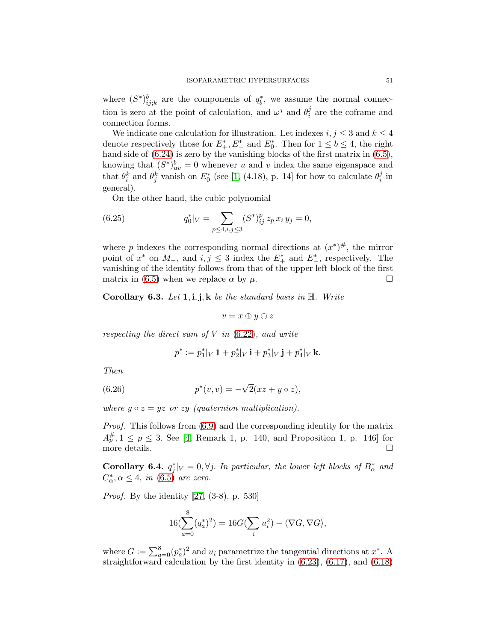where  $(S^*)_{ij;k}^b$  are the components of  $q_b^*$ , we assume the normal connection is zero at the point of calculation, and  $\omega^j$  and  $\theta_i^j$  $i$  are the coframe and connection forms.

We indicate one calculation for illustration. Let indexes  $i, j \leq 3$  and  $k \leq 4$ denote respectively those for  $E^*_+, E^*_-$  and  $E^*_0$ . Then for  $1 \leq b \leq 4$ , the right hand side of  $(6.24)$  is zero by the vanishing blocks of the first matrix in  $(6.5)$ , knowing that  $(S^*)_{uv}^b = 0$  whenever u and v index the same eigenspace and that  $\theta_i^k$  and  $\theta_j^k$  vanish on  $E_0^*$  (see [\[1,](#page-65-0) (4.18), p. 14] for how to calculate  $\theta_i^j$  $\frac{j}{i}$  in general).

<span id="page-50-2"></span>On the other hand, the cubic polynomial

(6.25) 
$$
q_0^*|_V = \sum_{p \le 4, i,j \le 3} (S^*)_{ij}^p z_p x_i y_j = 0,
$$

where p indexes the corresponding normal directions at  $(x^*)^{\#}$ , the mirror point of  $x^*$  on  $M_-,$  and  $i, j \leq 3$  index the  $E_+^*$  and  $E_-^*$ , respectively. The vanishing of the identity follows from that of the upper left block of the first matrix in [\(6.5\)](#page-44-4) when we replace  $\alpha$  by  $\mu$ .

Corollary 6.3. Let  $1, i, j, k$  be the standard basis in  $\mathbb{H}$ . Write

$$
v=x\oplus y\oplus z
$$

respecting the direct sum of  $V$  in  $(6.22)$ , and write

<span id="page-50-1"></span>
$$
p^* := p_1^*|_V \mathbf{1} + p_2^*|_V \mathbf{i} + p_3^*|_V \mathbf{j} + p_4^*|_V \mathbf{k}.
$$

Then

(6.26) 
$$
p^*(v,v) = -\sqrt{2}(xz + y \circ z),
$$

where  $y \circ z = yz$  or  $zy$  (quaternion multiplication).

Proof. This follows from [\(6.9\)](#page-45-3) and the corresponding identity for the matrix  $A_p^{\#}, 1 \leq p \leq 3$ . See [\[4,](#page-65-3) Remark 1, p. 140, and Proposition 1, p. 146] for more details.  $\Box$ 

<span id="page-50-0"></span>Corollary 6.4.  $q_j^*|_V = 0, \forall j$ . In particular, the lower left blocks of  $B^*_{\alpha}$  and  $C^*_{\alpha}, \alpha \leq 4$ , in  $(6.5)$  are zero.

Proof. By the identity [\[27,](#page-66-3) (3-8), p. 530]

$$
16(\sum_{a=0}^{8}(q_a^*)^2) = 16G(\sum_i u_i^2) - \langle \nabla G, \nabla G \rangle,
$$

where  $G := \sum_{a=0}^{8} (p_a^*)^2$  and  $u_i$  parametrize the tangential directions at  $x^*$ . A straightforward calculation by the first identity in [\(6.23\)](#page-49-2), [\(6.17\)](#page-47-1), and [\(6.18\)](#page-47-2)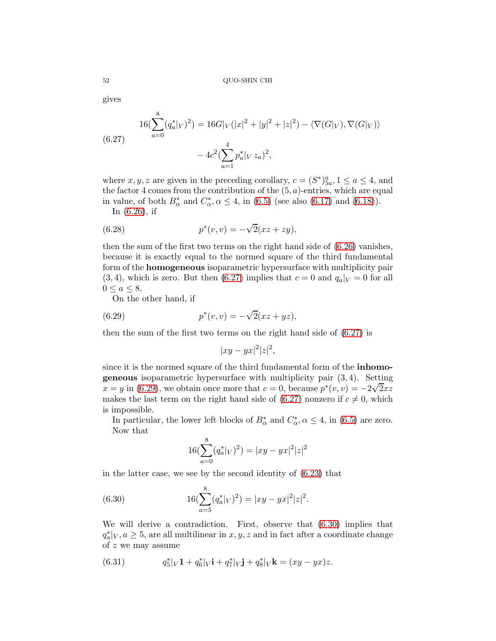gives

<span id="page-51-0"></span>(6.27) 
$$
16(\sum_{a=0}^{8} (q_a^*|_V)^2) = 16G|_V(|x|^2 + |y|^2 + |z|^2) - \langle \nabla(G|_V), \nabla(G|_V) \rangle
$$

$$
- 4c^2(\sum_{a=1}^{4} p_a^*|_V z_a)^2,
$$

where  $x, y, z$  are given in the preceding corollary,  $c = (S^*)^a_{5a}, 1 \le a \le 4$ , and the factor 4 comes from the contribution of the  $(5, a)$ -entries, which are equal in value, of both  $B^*_{\alpha}$  and  $C^*_{\alpha}, \alpha \leq 4$ , in [\(6.5\)](#page-44-4) (see also [\(6.17\)](#page-47-1) and [\(6.18\)](#page-47-2)).

<span id="page-51-4"></span>In [\(6.26\)](#page-50-1), if

(6.28) 
$$
p^*(v, v) = -\sqrt{2}(xz + zy),
$$

then the sum of the first two terms on the right hand side of [\(6.26\)](#page-50-1) vanishes, because it is exactly equal to the normed square of the third fundamental form of the homogeneous isoparametric hypersurface with multiplicity pair  $(3, 4)$ , which is zero. But then  $(6.27)$  implies that  $c = 0$  and  $q_a|_V = 0$  for all  $0 \leq a \leq 8$ .

On the other hand, if

(6.29) 
$$
p^*(v, v) = -\sqrt{2}(xz + yz),
$$

then the sum of the first two terms on the right hand side of [\(6.27\)](#page-51-0) is

<span id="page-51-1"></span>
$$
|xy-yx|^2|z|^2,
$$

since it is the normed square of the third fundamental form of the inhomo**geneous** isoparametric hypersurface with multiplicity pair  $(3, 4)$ . Setting  $x = y$  in [\(6.29\)](#page-51-1), we obtain once more that  $c = 0$ , because  $p^*(v, v) = -2\sqrt{2xz}$ makes the last term on the right hand side of  $(6.27)$  nonzero if  $c \neq 0$ , which is impossible.

In particular, the lower left blocks of  $B^*_{\alpha}$  and  $C^*_{\alpha}, \alpha \leq 4$ , in [\(6.5\)](#page-44-4) are zero. Now that

<span id="page-51-2"></span>
$$
16(\sum_{a=0}^{8} (q_a^*|_V)^2) = |xy - yx|^2 |z|^2
$$

in the latter case, we see by the second identity of [\(6.23\)](#page-49-2) that

(6.30) 
$$
16(\sum_{a=5}^{8} (q_a^*|_V)^2) = |xy - yx|^2|z|^2.
$$

We will derive a contradiction. First, observe that [\(6.30\)](#page-51-2) implies that  $q_a^*|_V, a \geq 5$ , are all multilinear in  $x, y, z$  and in fact after a coordinate change of z we may assume

<span id="page-51-3"></span>(6.31) 
$$
q_5^*|_V \mathbf{1} + q_6^*|_V \mathbf{i} + q_7^*|_V \mathbf{j} + q_8^*|_V \mathbf{k} = (xy - yx)z.
$$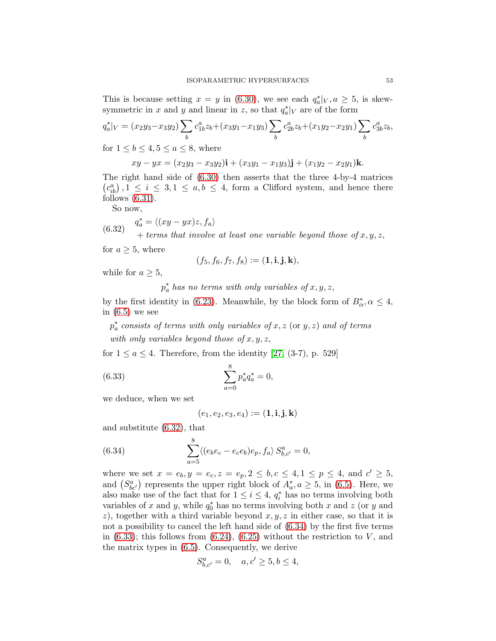This is because setting  $x = y$  in [\(6.30\)](#page-51-2), we see each  $q_a^*|_V, a \geq 5$ , is skewsymmetric in x and y and linear in z, so that  $q_a^*|_V$  are of the form

$$
q_a^*|_V = (x_2y_3 - x_3y_2) \sum_b c_{1b}^a z_b + (x_3y_1 - x_1y_3) \sum_b c_{2b}^a z_b + (x_1y_2 - x_2y_1) \sum_b c_{3b}^a z_b,
$$
  
for  $1 \le b \le 4, 5 \le a \le 8$ , where

for  $1 \leq b \leq 4, 5 \leq a \leq 8$ , where

 $xy - yx = (x_2y_3 - x_3y_2)\mathbf{i} + (x_3y_1 - x_1y_3)\mathbf{j} + (x_1y_2 - x_2y_1)\mathbf{k}.$ 

The right hand side of [\(6.30\)](#page-51-2) then asserts that the three 4-by-4 matrices  $(c_{ib}^a), 1 \le i \le 3, 1 \le a, b \le 4$ , form a Clifford system, and hence there follows  $(6.31)$ .

<span id="page-52-0"></span>So now,

(6.32) 
$$
q_a^* = \langle (xy - yx)z, f_a \rangle
$$
  
+ terms that involve at least one variable beyond those of x, y, z,

for  $a \geq 5$ , where

$$
(f_5, f_6, f_7, f_8) := (\mathbf{1}, \mathbf{i}, \mathbf{j}, \mathbf{k}),
$$

while for  $a > 5$ ,

 $p_a^*$  has no terms with only variables of  $x, y, z$ ,

by the first identity in [\(6.23\)](#page-49-2). Meanwhile, by the block form of  $B^*_{\alpha}, \alpha \leq 4$ , in  $(6.5)$  we see

 $p_a^*$  consists of terms with only variables of  $x, z$  (or  $y, z$ ) and of terms with only variables beyond those of  $x, y, z$ ,

for  $1 \le a \le 4$ . Therefore, from the identity [\[27,](#page-66-3) (3-7), p. 529]

(6.33) 
$$
\sum_{a=0}^{8} p_a^* q_a^* = 0,
$$

we deduce, when we set

<span id="page-52-2"></span><span id="page-52-1"></span>
$$
(e_1,e_2,e_3,e_4):= (\mathbf{1},\mathbf{i},\mathbf{j},\mathbf{k})
$$

and substitute [\(6.32\)](#page-52-0), that

(6.34) 
$$
\sum_{a=5}^{8} \langle (e_b e_c - e_c e_b) e_p, f_a \rangle S_{b,c'}^a = 0,
$$

where we set  $x = e_b, y = e_c, z = e_p, 2 \le b, c \le 4, 1 \le p \le 4$ , and  $c' \ge 5$ , and  $(S_{bc'}^a)$  represents the upper right block of  $A_a^*, a \geq 5$ , in [\(6.5\)](#page-44-4). Here, we also make use of the fact that for  $1 \leq i \leq 4$ ,  $q_i^*$  has no terms involving both variables of x and y, while  $q_0^*$  has no terms involving both x and z (or y and z), together with a third variable beyond  $x, y, z$  in either case, so that it is not a possibility to cancel the left hand side of [\(6.34\)](#page-52-1) by the first five terms in  $(6.33)$ ; this follows from  $(6.24)$ ,  $(6.25)$  without the restriction to V, and the matrix types in [\(6.5\)](#page-44-4). Consequently, we derive

$$
S^a_{b,c'} = 0, \quad a, c' \ge 5, b \le 4,
$$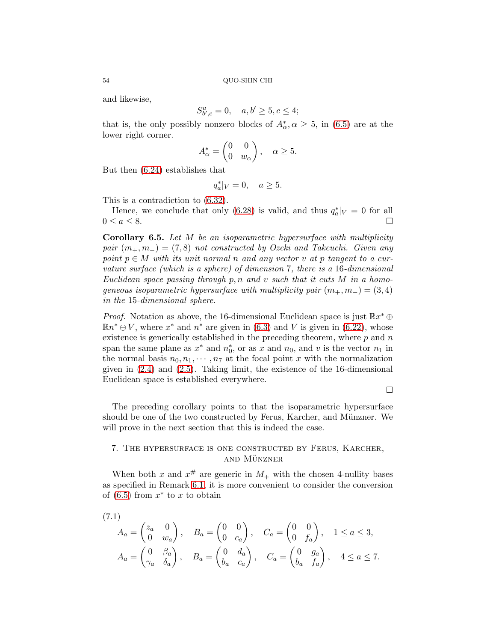and likewise,

$$
S^{a}_{b',c} = 0, \quad a, b' \ge 5, c \le 4;
$$

that is, the only possibly nonzero blocks of  $A^*_{\alpha}, \alpha \geq 5$ , in [\(6.5\)](#page-44-4) are at the lower right corner.

$$
A_{\alpha}^* = \begin{pmatrix} 0 & 0 \\ 0 & w_{\alpha} \end{pmatrix}, \quad \alpha \ge 5.
$$

But then [\(6.24\)](#page-49-0) establishes that

$$
q_a^*|_V = 0, \quad a \ge 5.
$$

This is a contradiction to [\(6.32\)](#page-52-0).

Hence, we conclude that only [\(6.28\)](#page-51-4) is valid, and thus  $q_a^*|_V = 0$  for all  $0 \le a \le 8$ .

Corollary 6.5. Let M be an isoparametric hypersurface with multiplicity pair  $(m_+, m_-) = (7, 8)$  not constructed by Ozeki and Takeuchi. Given any point  $p \in M$  with its unit normal n and any vector v at p tangent to a curvature surface (which is a sphere) of dimension 7, there is a 16-dimensional Euclidean space passing through p, n and v such that it cuts  $M$  in a homogeneous isoparametric hypersurface with multiplicity pair  $(m_+, m_-) = (3, 4)$ in the 15-dimensional sphere.

*Proof.* Notation as above, the 16-dimensional Euclidean space is just  $\mathbb{R}x^* \oplus$  $\mathbb{R}n^* \oplus V$ , where  $x^*$  and  $n^*$  are given in [\(6.3\)](#page-44-7) and V is given in [\(6.22\)](#page-49-1), whose existence is generically established in the preceding theorem, where  $p$  and  $n$ span the same plane as  $x^*$  and  $n_0^*$ , or as x and  $n_0$ , and v is the vector  $n_1$  in the normal basis  $n_0, n_1, \dots, n_7$  at the focal point x with the normalization given in [\(2.4\)](#page-6-1) and [\(2.5\)](#page-6-2). Taking limit, the existence of the 16-dimensional Euclidean space is established everywhere.

 $\Box$ 

The preceding corollary points to that the isoparametric hypersurface should be one of the two constructed by Ferus, Karcher, and Münzner. We will prove in the next section that this is indeed the case.

## <span id="page-53-1"></span>7. The hypersurface is one constructed by Ferus, Karcher, **AND MÜNZNER**

When both x and  $x^{\#}$  are generic in  $M_{+}$  with the chosen 4-nullity bases as specified in Remark [6](#page-49-3).1, it is more convenient to consider the conversion of  $(6.5)$  from  $x^*$  to x to obtain

$$
(7.1)
$$

<span id="page-53-0"></span>
$$
A_a = \begin{pmatrix} z_a & 0 \\ 0 & w_a \end{pmatrix}, \quad B_a = \begin{pmatrix} 0 & 0 \\ 0 & c_a \end{pmatrix}, \quad C_a = \begin{pmatrix} 0 & 0 \\ 0 & f_a \end{pmatrix}, \quad 1 \le a \le 3,
$$
  

$$
A_a = \begin{pmatrix} 0 & \beta_a \\ \gamma_a & \delta_a \end{pmatrix}, \quad B_a = \begin{pmatrix} 0 & d_a \\ b_a & c_a \end{pmatrix}, \quad C_a = \begin{pmatrix} 0 & g_a \\ b_a & f_a \end{pmatrix}, \quad 4 \le a \le 7.
$$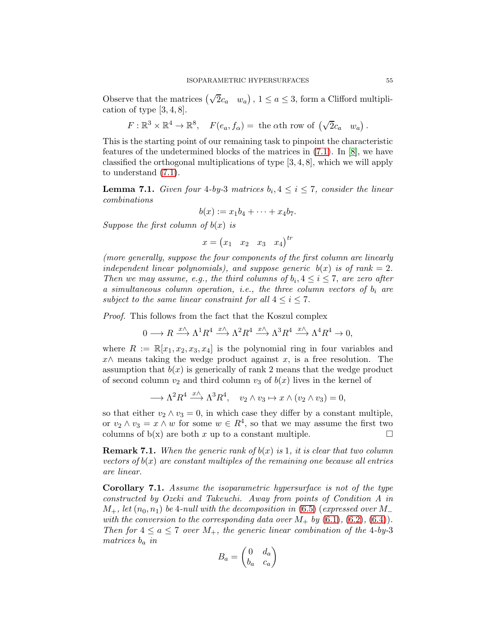Observe that the matrices  $(\sqrt{2}c_a \quad w_a)$ ,  $1 \le a \le 3$ , form a Clifford multiplication of type  $[3, 4, 8]$ .

$$
F: \mathbb{R}^3 \times \mathbb{R}^4 \to \mathbb{R}^8
$$
,  $F(e_a, f_\alpha) =$  the  $\alpha$ th row of  $(\sqrt{2}c_a \ w_a)$ .

This is the starting point of our remaining task to pinpoint the characteristic features of the undetermined blocks of the matrices in [\(7.1\)](#page-53-0). In [\[8\]](#page-66-6), we have classified the orthogonal multiplications of type [3, 4, 8], which we will apply to understand [\(7.1\)](#page-53-0).

<span id="page-54-0"></span>**Lemma 7.1.** Given four 4-by-3 matrices  $b_i, 4 \leq i \leq 7$ , consider the linear combinations

$$
b(x):=x_1b_4+\cdots+x_4b_7.
$$

Suppose the first column of  $b(x)$  is

$$
x = \begin{pmatrix} x_1 & x_2 & x_3 & x_4 \end{pmatrix}^{tr}
$$

(more generally, suppose the four components of the first column are linearly independent linear polynomials), and suppose generic  $b(x)$  is of rank = 2. Then we may assume, e.g., the third columns of  $b_i, 4 \leq i \leq 7$ , are zero after a simultaneous column operation, i.e., the three column vectors of  $b_i$  are subject to the same linear constraint for all  $4 \leq i \leq 7$ .

Proof. This follows from the fact that the Koszul complex

$$
0 \longrightarrow R \xrightarrow{x \wedge} \Lambda^1 R^4 \xrightarrow{x \wedge} \Lambda^2 R^4 \xrightarrow{x \wedge} \Lambda^3 R^4 \xrightarrow{x \wedge} \Lambda^4 R^4 \to 0,
$$

where  $R := \mathbb{R}[x_1, x_2, x_3, x_4]$  is the polynomial ring in four variables and  $x \wedge$  means taking the wedge product against x, is a free resolution. The assumption that  $b(x)$  is generically of rank 2 means that the wedge product of second column  $v_2$  and third column  $v_3$  of  $b(x)$  lives in the kernel of

$$
\longrightarrow \Lambda^2 R^4 \xrightarrow{x \wedge} \Lambda^3 R^4, \quad v_2 \wedge v_3 \mapsto x \wedge (v_2 \wedge v_3) = 0,
$$

so that either  $v_2 \wedge v_3 = 0$ , in which case they differ by a constant multiple, or  $v_2 \wedge v_3 = x \wedge w$  for some  $w \in R^4$ , so that we may assume the first two columns of  $b(x)$  are both x up to a constant multiple.

**Remark 7.1.** When the generic rank of  $b(x)$  is 1, it is clear that two column vectors of  $b(x)$  are constant multiples of the remaining one because all entries are linear.

<span id="page-54-1"></span>Corollary 7.1. Assume the isoparametric hypersurface is not of the type constructed by Ozeki and Takeuchi. Away from points of Condition A in  $M_+$ , let  $(n_0, n_1)$  be 4-null with the decomposition in [\(6.5\)](#page-44-4) (expressed over M\_ with the conversion to the corresponding data over  $M_{+}$  by [\(6.1\)](#page-44-1), [\(6.2\)](#page-44-2), [\(6.4\)](#page-44-3)). Then for  $4 \le a \le 7$  over  $M_+$ , the generic linear combination of the 4-by-3 matrices  $b_a$  in

$$
B_a = \begin{pmatrix} 0 & d_a \\ b_a & c_a \end{pmatrix}
$$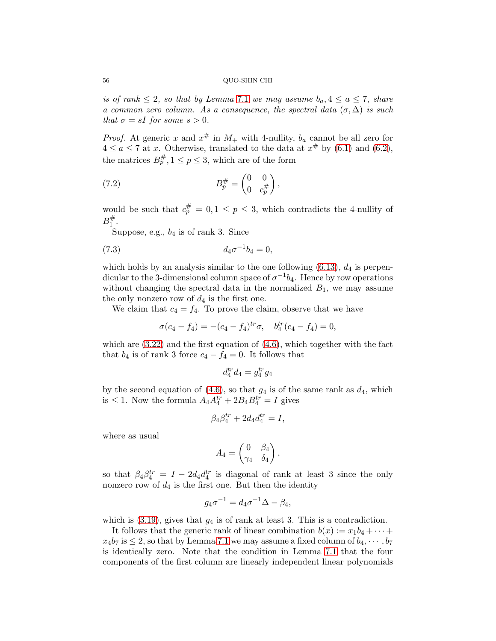is of rank  $\leq 2$ , so that by Lemma [7](#page-54-0).1 we may assume  $b_a, 4 \leq a \leq 7$ , share a common zero column. As a consequence, the spectral data  $(\sigma, \Delta)$  is such that  $\sigma = sI$  for some  $s > 0$ .

*Proof.* At generic x and  $x^{\#}$  in  $M_{+}$  with 4-nullity,  $b_{a}$  cannot be all zero for  $4 \le a \le 7$  at x. Otherwise, translated to the data at  $x^{\#}$  by [\(6.1\)](#page-44-1) and [\(6.2\)](#page-44-2), the matrices  $B_p^{\#}, 1 \le p \le 3$ , which are of the form

<span id="page-55-0"></span>
$$
(7.2)\qquad \qquad B_p^{\#} = \begin{pmatrix} 0 & 0 \\ 0 & c_p^{\#} \end{pmatrix},
$$

would be such that  $c_p^{\#} = 0, 1 \le p \le 3$ , which contradicts the 4-nullity of  $B_1^\#$ 1 .

Suppose, e.g.,  $b_4$  is of rank 3. Since

(7.3) 
$$
d_4 \sigma^{-1} b_4 = 0,
$$

which holds by an analysis similar to the one following  $(6.13)$ ,  $d_4$  is perpendicular to the 3-dimensional column space of  $\sigma^{-1}b_4$ . Hence by row operations without changing the spectral data in the normalized  $B_1$ , we may assume the only nonzero row of  $d_4$  is the first one.

We claim that  $c_4 = f_4$ . To prove the claim, observe that we have

<span id="page-55-1"></span>
$$
\sigma(c_4 - f_4) = -(c_4 - f_4)^{tr} \sigma, \quad b_4^{tr}(c_4 - f_4) = 0,
$$

which are  $(3.22)$  and the first equation of  $(4.6)$ , which together with the fact that  $b_4$  is of rank 3 force  $c_4 - f_4 = 0$ . It follows that

$$
d_4^{tr}d_4 = g_4^{tr}g_4
$$

by the second equation of  $(4.6)$ , so that  $g_4$  is of the same rank as  $d_4$ , which is  $\leq 1$ . Now the formula  $A_4 A_4^{tr} + 2B_4 B_4^{tr} = I$  gives

$$
\beta_4 \beta_4^{tr} + 2d_4 d_4^{tr} = I,
$$

where as usual

$$
A_4 = \begin{pmatrix} 0 & \beta_4 \\ \gamma_4 & \delta_4 \end{pmatrix},
$$

so that  $\beta_4\beta_4^{tr} = I - 2d_4d_4^{tr}$  is diagonal of rank at least 3 since the only nonzero row of  $d_4$  is the first one. But then the identity

$$
g_4\sigma^{-1} = d_4\sigma^{-1}\Delta - \beta_4,
$$

which is  $(3.19)$ , gives that  $g_4$  is of rank at least 3. This is a contradiction.

It follows that the generic rank of linear combination  $b(x) := x_1b_4 + \cdots$  $x_4b_7$  is  $\leq 2$ , so that by Lemma [7.1](#page-54-0) we may assume a fixed column of  $b_4, \dots, b_7$ is identically zero. Note that the condition in Lemma [7.1](#page-54-0) that the four components of the first column are linearly independent linear polynomials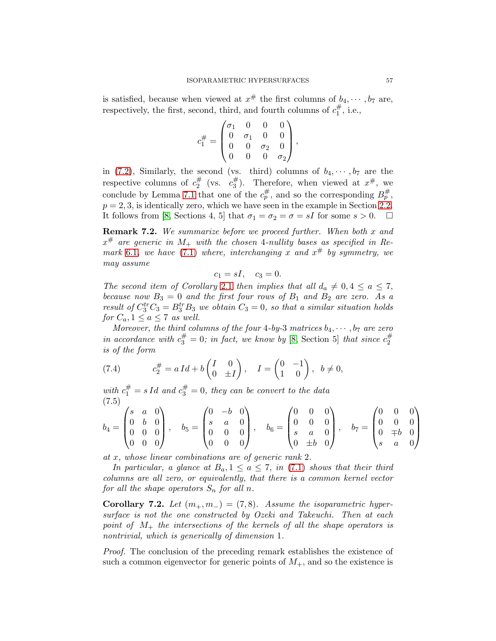is satisfied, because when viewed at  $x^{\#}$  the first columns of  $b_4, \cdots, b_7$  are, respectively, the first, second, third, and fourth columns of  $c_1^{\#}$  $j_1^\#$ , i.e.,

$$
c_1^{\#} = \begin{pmatrix} \sigma_1 & 0 & 0 & 0 \\ 0 & \sigma_1 & 0 & 0 \\ 0 & 0 & \sigma_2 & 0 \\ 0 & 0 & 0 & \sigma_2 \end{pmatrix},
$$

in [\(7.2\)](#page-55-0), Similarly, the second (vs. third) columns of  $b_4, \dots, b_7$  are the respective columns of  $c_2^{\#}$  $\frac{\#}{2}$  (vs.  $c_3^{\#}$  $x^{\#}$ ). Therefore, when viewed at  $x^{\#}$ , we conclude by Lemma [7.1](#page-54-0) that one of the  $c_p^{\#}$ , and so the corresponding  $B_p^{\#}$ ,  $p = 2, 3$ , is identically zero, which we have seen in the example in Section [2.2.](#page-8-0) It follows from [\[8,](#page-66-6) Sections 4, 5] that  $\sigma_1 = \sigma_2 = \sigma = sI$  for some  $s > 0$ .  $\Box$ 

**Remark 7.2.** We summarize before we proceed further. When both  $x$  and  $x^{\#}$  are generic in  $M_{+}$  with the chosen 4-nullity bases as specified in Re-mark [6](#page-49-3).1, we have [\(7.1\)](#page-53-0) where, interchanging x and  $x^{\#}$  by symmetry, we may assume

$$
c_1 = sI, \quad c_3 = 0.
$$

The second item of Corollary [2](#page-7-3).1 then implies that all  $d_a \neq 0, 4 \leq a \leq 7$ , because now  $B_3 = 0$  and the first four rows of  $B_1$  and  $B_2$  are zero. As a result of  $C_3^{tr}C_3 = B_3^{tr}B_3$  we obtain  $C_3 = 0$ , so that a similar situation holds for  $C_a, 1 \le a \le 7$  as well.

Moreover, the third columns of the four 4-by-3 matrices  $b_4, \dots, b_7$  are zero in accordance with  $c_3^{\#} = 0$ ; in fact, we know by [\[8,](#page-66-6) Section 5] that since  $c_2^{\#}$ 2 is of the form

<span id="page-56-1"></span>(7.4) 
$$
c_2^{\#} = a Id + b \begin{pmatrix} I & 0 \\ 0 & \pm I \end{pmatrix}, \quad I = \begin{pmatrix} 0 & -1 \\ 1 & 0 \end{pmatrix}, b \neq 0,
$$

with  $c_1^{\#} = s Id$  and  $c_3^{\#} = 0$ , they can be convert to the data (7.5)  $\mathcal{L}(\mathcal{L})$ 

<span id="page-56-2"></span>
$$
b_4 = \begin{pmatrix} s & a & 0 \\ 0 & b & 0 \\ 0 & 0 & 0 \\ 0 & 0 & 0 \end{pmatrix}, \quad b_5 = \begin{pmatrix} 0 & -b & 0 \\ s & a & 0 \\ 0 & 0 & 0 \\ 0 & 0 & 0 \end{pmatrix}, \quad b_6 = \begin{pmatrix} 0 & 0 & 0 \\ 0 & 0 & 0 \\ s & a & 0 \\ 0 & \pm b & 0 \end{pmatrix}, \quad b_7 = \begin{pmatrix} 0 & 0 & 0 \\ 0 & 0 & 0 \\ 0 & \mp b & 0 \\ s & a & 0 \end{pmatrix}
$$

at x, whose linear combinations are of generic rank 2.

In particular, a glance at  $B_a$ ,  $1 \le a \le 7$ , in [\(7.1\)](#page-53-0) shows that their third columns are all zero, or equivalently, that there is a common kernel vector for all the shape operators  $S_n$  for all n.

<span id="page-56-0"></span>Corollary 7.2. Let  $(m_+, m_-) = (7, 8)$ . Assume the isoparametric hypersurface is not the one constructed by Ozeki and Takeuchi. Then at each point of  $M_{+}$  the intersections of the kernels of all the shape operators is nontrivial, which is generically of dimension 1.

Proof. The conclusion of the preceding remark establishes the existence of such a common eigenvector for generic points of  $M_{+}$ , and so the existence is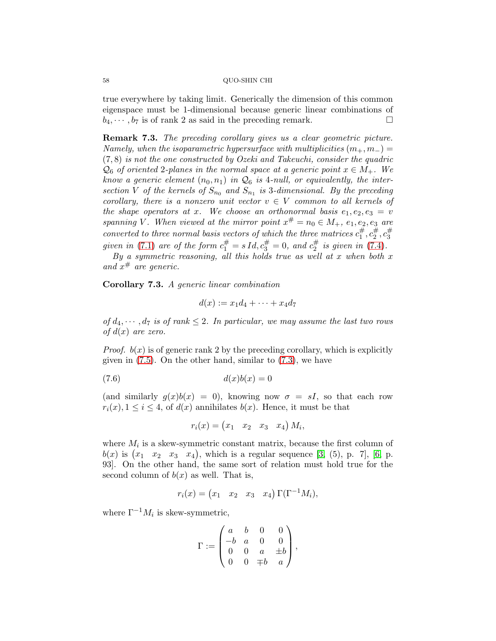true everywhere by taking limit. Generically the dimension of this common eigenspace must be 1-dimensional because generic linear combinations of  $b_4, \dots, b_7$  is of rank 2 as said in the preceding remark.

Remark 7.3. The preceding corollary gives us a clear geometric picture. Namely, when the isoparametric hypersurface with multiplicities  $(m_+, m_-) =$  $(7, 8)$  is not the one constructed by Ozeki and Takeuchi, consider the quadric  $\mathcal{Q}_6$  of oriented 2-planes in the normal space at a generic point  $x \in M_+$ . We know a generic element  $(n_0, n_1)$  in  $\mathcal{Q}_6$  is 4-null, or equivalently, the intersection V of the kernels of  $S_{n_0}$  and  $S_{n_1}$  is 3-dimensional. By the preceding corollary, there is a nonzero unit vector  $v \in V$  common to all kernels of the shape operators at x. We choose an orthonormal basis  $e_1, e_2, e_3 = v$ spanning V. When viewed at the mirror point  $x^{\#} = n_0 \in M_+$ ,  $e_1, e_2, e_3$  are converted to three normal basis vectors of which the three matrices  $c_1^{\#}$  $, c_2^{\#}$  $\frac{\#}{2}, c_3^{\#}$ 3 given in [\(7.1\)](#page-53-0) are of the form  $c_1^{\#} = s Id, c_3^{\#} = 0$ , and  $c_2^{\#}$  $\frac{\pi}{2}$  is given in [\(7.4\)](#page-56-1).

By a symmetric reasoning, all this holds true as well at x when both  $x$ and  $x^{\#}$  are generic.

Corollary 7.3. A generic linear combination

$$
d(x) := x_1d_4 + \cdots + x_4d_7
$$

of  $d_4, \dots, d_7$  is of rank  $\leq 2$ . In particular, we may assume the last two rows of  $d(x)$  are zero.

*Proof.*  $b(x)$  is of generic rank 2 by the preceding corollary, which is explicitly given in  $(7.5)$ . On the other hand, similar to  $(7.3)$ , we have

$$
(7.6) \t\t d(x)b(x) = 0
$$

(and similarly  $g(x)b(x) = 0$ ), knowing now  $\sigma = sI$ , so that each row  $r_i(x)$ ,  $1 \leq i \leq 4$ , of  $d(x)$  annihilates  $b(x)$ . Hence, it must be that

$$
r_i(x) = \begin{pmatrix} x_1 & x_2 & x_3 & x_4 \end{pmatrix} M_i,
$$

where  $M_i$  is a skew-symmetric constant matrix, because the first column of  $b(x)$  is  $(x_1 \ x_2 \ x_3 \ x_4)$ , which is a regular sequence [\[3,](#page-65-1) (5), p. 7], [\[6,](#page-65-4) p. 93]. On the other hand, the same sort of relation must hold true for the second column of  $b(x)$  as well. That is,

$$
r_i(x) = \begin{pmatrix} x_1 & x_2 & x_3 & x_4 \end{pmatrix} \Gamma(\Gamma^{-1}M_i),
$$

where  $\Gamma^{-1} M_i$  is skew-symmetric,

$$
\Gamma := \begin{pmatrix} a & b & 0 & 0 \\ -b & a & 0 & 0 \\ 0 & 0 & a & \pm b \\ 0 & 0 & \mp b & a \end{pmatrix},
$$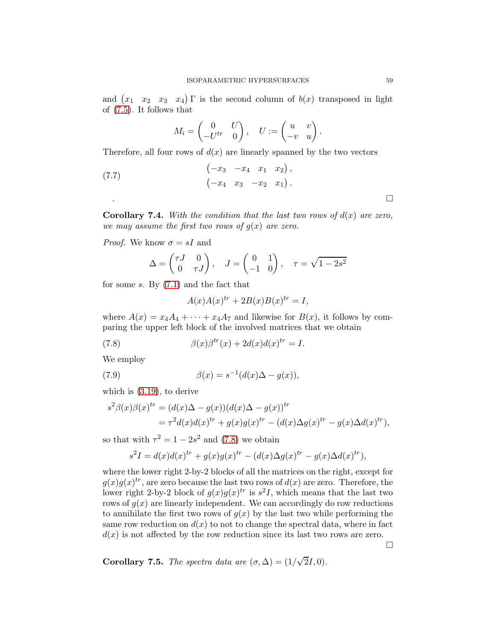and  $(x_1, x_2, x_3, x_4)$  T is the second column of  $b(x)$  transposed in light of [\(7.5\)](#page-56-2). It follows that

<span id="page-58-2"></span>
$$
M_i = \begin{pmatrix} 0 & U \\ -U^{tr} & 0 \end{pmatrix}, \quad U := \begin{pmatrix} u & v \\ -v & u \end{pmatrix}
$$

.

Therefore, all four rows of  $d(x)$  are linearly spanned by the two vectors

(7.7) 
$$
\begin{pmatrix} -x_3 & -x_4 & x_1 & x_2 \end{pmatrix}, \\ \begin{pmatrix} -x_4 & x_3 & -x_2 & x_1 \end{pmatrix}.
$$

**Corollary 7.4.** With the condition that the last two rows of  $d(x)$  are zero, we may assume the first two rows of  $g(x)$  are zero.

*Proof.* We know  $\sigma = sI$  and

$$
\Delta = \begin{pmatrix} \tau J & 0 \\ 0 & \tau J \end{pmatrix}, \quad J = \begin{pmatrix} 0 & 1 \\ -1 & 0 \end{pmatrix}, \quad \tau = \sqrt{1 - 2s^2}
$$

for some s. By [\(7.1\)](#page-53-0) and the fact that

<span id="page-58-1"></span><span id="page-58-0"></span>
$$
A(x)A(x)^{tr} + 2B(x)B(x)^{tr} = I,
$$

where  $A(x) = x_4A_4 + \cdots + x_4A_7$  and likewise for  $B(x)$ , it follows by comparing the upper left block of the involved matrices that we obtain

(7.8) 
$$
\beta(x)\beta^{tr}(x) + 2d(x)d(x)^{tr} = I.
$$

We employ

(7.9) 
$$
\beta(x) = s^{-1}(d(x)\Delta - g(x)),
$$

which is [\(3.19\)](#page-14-2), to derive

$$
s2\beta(x)\beta(x)tr = (d(x)\Delta - g(x))(d(x)\Delta - g(x))tr
$$
  
=  $\tau$ <sup>2</sup>d(x)d(x)<sup>tr</sup> + g(x)g(x)<sup>tr</sup> - (d(x)\Delta g(x)<sup>tr</sup> - g(x)\Delta d(x)<sup>tr</sup>),

so that with  $\tau^2 = 1 - 2s^2$  and [\(7.8\)](#page-58-0) we obtain

$$
s2I = d(x)d(x)tr + g(x)g(x)tr - (d(x)\Delta g(x)tr - g(x)\Delta d(x)tr),
$$

where the lower right 2-by-2 blocks of all the matrices on the right, except for  $g(x)g(x)^{tr}$ , are zero because the last two rows of  $d(x)$  are zero. Therefore, the lower right 2-by-2 block of  $g(x)g(x)^{tr}$  is  $s^2I$ , which means that the last two rows of  $g(x)$  are linearly independent. We can accordingly do row reductions to annihilate the first two rows of  $g(x)$  by the last two while performing the same row reduction on  $d(x)$  to not to change the spectral data, where in fact  $d(x)$  is not affected by the row reduction since its last two rows are zero.

 $\Box$ 

**Corollary 7.5.** The spectra data are  $(\sigma, \Delta) = (1/\sqrt{2}I, 0)$ .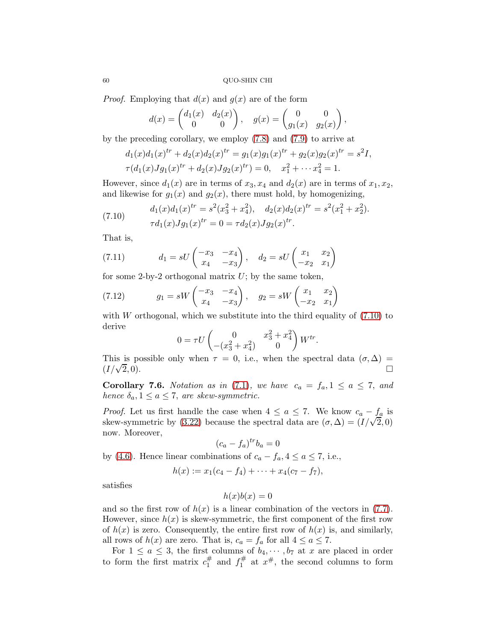*Proof.* Employing that  $d(x)$  and  $g(x)$  are of the form

$$
d(x) = \begin{pmatrix} d_1(x) & d_2(x) \\ 0 & 0 \end{pmatrix}, \quad g(x) = \begin{pmatrix} 0 & 0 \\ g_1(x) & g_2(x) \end{pmatrix},
$$

by the preceding corollary, we employ [\(7.8\)](#page-58-0) and [\(7.9\)](#page-58-1) to arrive at

$$
d_1(x)d_1(x)^{tr} + d_2(x)d_2(x)^{tr} = g_1(x)g_1(x)^{tr} + g_2(x)g_2(x)^{tr} = s^2I,
$$
  

$$
\tau(d_1(x)Jg_1(x)^{tr} + d_2(x)Jg_2(x)^{tr}) = 0, \quad x_1^2 + \cdots x_4^2 = 1.
$$

However, since  $d_1(x)$  are in terms of  $x_3, x_4$  and  $d_2(x)$  are in terms of  $x_1, x_2$ , and likewise for  $g_1(x)$  and  $g_2(x)$ , there must hold, by homogenizing,

<span id="page-59-0"></span>(7.10) 
$$
d_1(x)d_1(x)^{tr} = s^2(x_3^2 + x_4^2), \quad d_2(x)d_2(x)^{tr} = s^2(x_1^2 + x_2^2).
$$

$$
\tau d_1(x)Jg_1(x)^{tr} = 0 = \tau d_2(x)Jg_2(x)^{tr}.
$$

That is,

<span id="page-59-1"></span>(7.11) 
$$
d_1 = sU \begin{pmatrix} -x_3 & -x_4 \\ x_4 & -x_3 \end{pmatrix}, \quad d_2 = sU \begin{pmatrix} x_1 & x_2 \\ -x_2 & x_1 \end{pmatrix}
$$

for some 2-by-2 orthogonal matrix  $U$ ; by the same token,

(7.12) 
$$
g_1 = sW \begin{pmatrix} -x_3 & -x_4 \\ x_4 & -x_3 \end{pmatrix}, \quad g_2 = sW \begin{pmatrix} x_1 & x_2 \\ -x_2 & x_1 \end{pmatrix}
$$

with W orthogonal, which we substitute into the third equality of  $(7.10)$  to derive

<span id="page-59-2"></span>
$$
0 = \tau U \begin{pmatrix} 0 & x_3^2 + x_4^2 \\ -(x_3^2 + x_4^2) & 0 \end{pmatrix} W^{tr}.
$$

This is possible only when  $\tau = 0$ , i.e., when the spectral data  $(\sigma, \Delta)$  $(I/\sqrt{2},0).$  $\overline{2}$ , 0).

**Corollary 7.6.** Notation as in [\(7.1\)](#page-53-0), we have  $c_a = f_a, 1 \le a \le 7$ , and hence  $\delta_a, 1 \leq a \leq 7$ , are skew-symmetric.

*Proof.* Let us first handle the case when  $4 \le a \le 7$ . We know  $c_a - f_a$  is skew-symmetric by [\(3.22\)](#page-14-0) because the spectral data are  $(\sigma, \Delta) = (I/\sqrt{2}, 0)$ now. Moreover,

$$
(c_a - f_a)^{tr} b_a = 0
$$

by [\(4.6\)](#page-20-0). Hence linear combinations of  $c_a - f_a, 4 \le a \le 7$ , i.e.,

$$
h(x) := x_1(c_4 - f_4) + \cdots + x_4(c_7 - f_7),
$$

satisfies

## $h(x)b(x) = 0$

and so the first row of  $h(x)$  is a linear combination of the vectors in [\(7.7\)](#page-58-2). However, since  $h(x)$  is skew-symmetric, the first component of the first row of  $h(x)$  is zero. Consequently, the entire first row of  $h(x)$  is, and similarly, all rows of  $h(x)$  are zero. That is,  $c_a = f_a$  for all  $4 \le a \le 7$ .

For  $1 \le a \le 3$ , the first columns of  $b_4, \dots, b_7$  at x are placed in order to form the first matrix  $c_1^{\#}$  $j_1^{\#}$  and  $f_1^{\#}$  $x^{\#}$  at  $x^{\#}$ , the second columns to form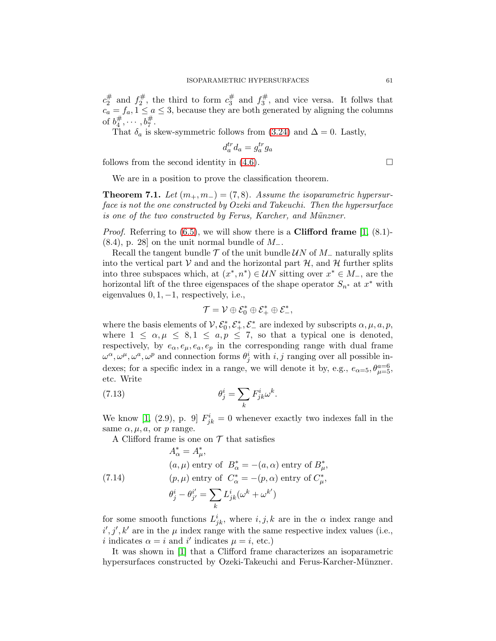$c_2^{\#}$  $j_2^{\#}$  and  $f_2^{\#}$  $c_2^{\#}$ , the third to form  $c_3^{\#}$  $j_3^{\#}$  and  $f_3^{\#}$  $3^{\frac{1}{3}}$ , and vice versa. It follws that  $c_a = f_a, 1 \leq a \leq 3$ , because they are both generated by aligning the columns of  $b_4^\#$  $a_4^{\#}, \cdots, b_7^{\#}.$ 

That  $\delta_a$  is skew-symmetric follows from [\(3.24\)](#page-14-6) and  $\Delta = 0$ . Lastly,

$$
d_a^{tr} d_a = g_a^{tr} g_a
$$

follows from the second identity in  $(4.6)$ .

We are in a position to prove the classification theorem.

**Theorem 7.1.** Let  $(m_+, m_-) = (7, 8)$ . Assume the isoparametric hypersurface is not the one constructed by Ozeki and Takeuchi. Then the hypersurface is one of the two constructed by Ferus, Karcher, and Münzner.

*Proof.* Referring to  $(6.5)$ , we will show there is a **Clifford frame**  $[1, (8.1)$  $[1, (8.1)$ - $(8.4)$ , p. 28] on the unit normal bundle of  $M_-.$ 

Recall the tangent bundle  $\mathcal T$  of the unit bundle  $\mathcal UN$  of  $M_$  naturally splits into the vertical part  $\mathcal V$  and and the horizontal part  $\mathcal H$ , and  $\mathcal H$  further splits into three subspaces which, at  $(x^*, n^*) \in \mathcal{U}N$  sitting over  $x^* \in M_-\$ , are the horizontal lift of the three eigenspaces of the shape operator  $S_{n^*}$  at  $x^*$  with eigenvalues  $0, 1, -1$ , respectively, i.e.,

<span id="page-60-1"></span>
$$
\mathcal{T} = \mathcal{V} \oplus \mathcal{E}_0^* \oplus \mathcal{E}_+^* \oplus \mathcal{E}_-^*,
$$

where the basis elements of  $V, \mathcal{E}_0^*, \mathcal{E}_+^*, \mathcal{E}_-^*$  are indexed by subscripts  $\alpha, \mu, a, p$ , where  $1 \leq \alpha, \mu \leq 8, 1 \leq a, p \leq 7$ , so that a typical one is denoted, respectively, by  $e_{\alpha}, e_{\mu}, e_{a}, e_{p}$  in the corresponding range with dual frame  $\omega^{\alpha}, \omega^{\mu}, \omega^{a}, \omega^{p}$  and connection forms  $\theta_{j}^{i}$  with  $i, j$  ranging over all possible indexes; for a specific index in a range, we will denote it by, e.g.,  $e_{\alpha=5}$ ,  $\theta_{\mu=5}^{a=6}$ , etc. Write

(7.13) 
$$
\theta_j^i = \sum_k F_{jk}^i \omega^k.
$$

We know [\[1,](#page-65-0) (2.9), p. 9]  $F_{jk}^i = 0$  whenever exactly two indexes fall in the same  $\alpha, \mu, a$ , or p range.

<span id="page-60-0"></span>A Clifford frame is one on  $\mathcal T$  that satisfies

(7.14)  
\n
$$
A_{\alpha}^{*} = A_{\mu}^{*},
$$
\n
$$
(a, \mu) \text{ entry of } B_{\alpha}^{*} = -(a, \alpha) \text{ entry of } B_{\mu}^{*},
$$
\n
$$
(p, \mu) \text{ entry of } C_{\alpha}^{*} = -(p, \alpha) \text{ entry of } C_{\mu}^{*},
$$
\n
$$
\theta_{j}^{i} - \theta_{j'}^{i'} = \sum_{k} L_{jk}^{i} (\omega^{k} + \omega^{k'})
$$

for some smooth functions  $L^i_{jk}$ , where  $i, j, k$  are in the  $\alpha$  index range and  $i', j', k'$  are in the  $\mu$  index range with the same respective index values (i.e., *i* indicates  $\alpha = i$  and *i'* indicates  $\mu = i$ , etc.)

It was shown in [\[1\]](#page-65-0) that a Clifford frame characterizes an isoparametric hypersurfaces constructed by Ozeki-Takeuchi and Ferus-Karcher-Münzner.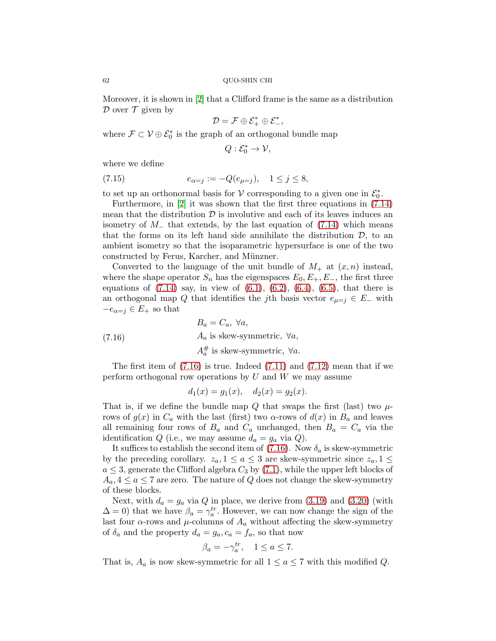Moreover, it is shown in [\[2\]](#page-65-5) that a Clifford frame is the same as a distribution  $\mathcal D$  over  $\mathcal T$  given by

$$
\mathcal{D}=\mathcal{F}\oplus\mathcal{E}_+^*\oplus\mathcal{E}_-^*,
$$

where  $\mathcal{F} \subset \mathcal{V} \oplus \mathcal{E}_0^*$  is the graph of an orthogonal bundle map

<span id="page-61-1"></span>
$$
Q:\mathcal{E}_0^*\rightarrow \mathcal{V},
$$

where we define

(7.15) 
$$
e_{\alpha=j} := -Q(e_{\mu=j}), \quad 1 \le j \le 8,
$$

to set up an orthonormal basis for  $V$  corresponding to a given one in  $\mathcal{E}_0^*$ .

Furthermore, in [\[2\]](#page-65-5) it was shown that the first three equations in [\(7.14\)](#page-60-0) mean that the distribution  $\mathcal D$  is involutive and each of its leaves induces an isometry of  $M<sub>-</sub>$  that extends, by the last equation of [\(7.14\)](#page-60-0) which means that the forms on its left hand side annihilate the distribution  $\mathcal{D}$ , to an ambient isometry so that the isoparametric hypersurface is one of the two constructed by Ferus, Karcher, and Münzner.

Converted to the language of the unit bundle of  $M_+$  at  $(x, n)$  instead, where the shape operator  $S_n$  has the eigenspaces  $E_0, E_+, E_-,$  the first three equations of  $(7.14)$  say, in view of  $(6.1)$ ,  $(6.2)$ ,  $(6.4)$ ,  $(6.5)$ , that there is an orthogonal map Q that identifies the jth basis vector  $e_{\mu=i} \in E_-\$  with  $-e_{\alpha=j} \in E_+$  so that

(7.16) 
$$
B_a = C_a, \forall a,
$$

$$
A_a \text{ is skew-symmetric, } \forall a,
$$

$$
A_a^{\#} \text{ is skew-symmetric, } \forall a.
$$

The first item of  $(7.16)$  is true. Indeed  $(7.11)$  and  $(7.12)$  mean that if we perform orthogonal row operations by  $U$  and  $W$  we may assume

<span id="page-61-0"></span>
$$
d_1(x) = g_1(x), \quad d_2(x) = g_2(x).
$$

That is, if we define the bundle map Q that swaps the first (last) two  $\mu$ rows of  $g(x)$  in  $C_a$  with the last (first) two  $\alpha$ -rows of  $d(x)$  in  $B_a$  and leaves all remaining four rows of  $B_a$  and  $C_a$  unchanged, then  $B_a = C_a$  via the identification Q (i.e., we may assume  $d_a = g_a$  via Q).

It suffices to establish the second item of [\(7.16\)](#page-61-0). Now  $\delta_a$  is skew-symmetric by the preceding corollary.  $z_a$ ,  $1 \le a \le 3$  are skew-symmetric since  $z_a$ ,  $1 \le a$  $a \leq 3$ , generate the Clifford algebra  $C_3$  by [\(7.1\)](#page-53-0), while the upper left blocks of  $A_a, 4 \le a \le 7$  are zero. The nature of Q does not change the skew-symmetry of these blocks.

Next, with  $d_a = g_a$  via Q in place, we derive from [\(3.19\)](#page-14-2) and [\(3.20\)](#page-14-3) (with  $\Delta = 0$ ) that we have  $\beta_a = \gamma_a^{tr}$ . However, we can now change the sign of the last four  $\alpha$ -rows and  $\mu$ -columns of  $A_a$  without affecting the skew-symmetry of  $\delta_a$  and the property  $d_a = g_a, c_a = f_a$ , so that now

$$
\beta_a = -\gamma_a^{tr}, \quad 1 \le a \le 7.
$$

That is,  $A_a$  is now skew-symmetric for all  $1 \le a \le 7$  with this modified Q.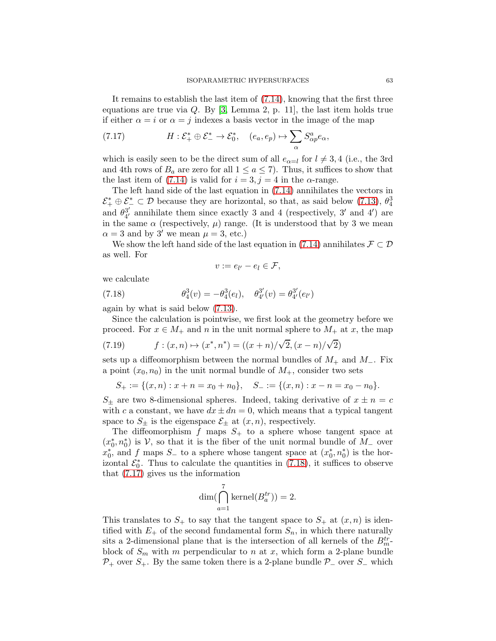It remains to establish the last item of [\(7.14\)](#page-60-0), knowing that the first three equations are true via  $Q$ . By [\[3,](#page-65-1) Lemma 2, p. 11], the last item holds true if either  $\alpha = i$  or  $\alpha = j$  indexes a basis vector in the image of the map

<span id="page-62-1"></span>(7.17) 
$$
H: \mathcal{E}_+^* \oplus \mathcal{E}_-^* \to \mathcal{E}_0^*, \quad (e_a, e_p) \mapsto \sum_{\alpha} S_{\alpha p}^a e_\alpha,
$$

which is easily seen to be the direct sum of all  $e_{\alpha=l}$  for  $l \neq 3, 4$  (i.e., the 3rd and 4th rows of  $B_a$  are zero for all  $1 \le a \le 7$ ). Thus, it suffices to show that the last item of [\(7.14\)](#page-60-0) is valid for  $i = 3, j = 4$  in the  $\alpha$ -range.

The left hand side of the last equation in [\(7.14\)](#page-60-0) annihilates the vectors in  $\mathcal{E}_+^* \oplus \mathcal{E}_-^* \subset \mathcal{D}$  because they are horizontal, so that, as said below [\(7.13\)](#page-60-1),  $\theta_4^3$ and  $\theta_{4}^{3'}$  $_{4'}^{3'}$  annihilate them since exactly 3 and 4 (respectively, 3' and 4') are in the same  $\alpha$  (respectively,  $\mu$ ) range. (It is understood that by 3 we mean  $\alpha = 3$  and by 3' we mean  $\mu = 3$ , etc.)

We show the left hand side of the last equation in [\(7.14\)](#page-60-0) annihilates  $\mathcal{F} \subset \mathcal{D}$ as well. For

<span id="page-62-0"></span>
$$
v := e_{l'} - e_l \in \mathcal{F},
$$

we calculate

(7.18) 
$$
\theta_4^3(v) = -\theta_4^3(e_l), \quad \theta_{4'}^{3'}(v) = \theta_{4'}^{3'}(e_{l'})
$$

again by what is said below [\(7.13\)](#page-60-1).

Since the calculation is pointwise, we first look at the geometry before we proceed. For  $x \in M_+$  and n in the unit normal sphere to  $M_+$  at x, the map

<span id="page-62-2"></span>(7.19) 
$$
f: (x, n) \mapsto (x^*, n^*) = ((x + n)/\sqrt{2}, (x - n)/\sqrt{2})
$$

sets up a diffeomorphism between the normal bundles of  $M_+$  and  $M_-.$  Fix a point  $(x_0, n_0)$  in the unit normal bundle of  $M_+$ , consider two sets

$$
S_+ := \{(x, n) : x + n = x_0 + n_0\}, \quad S_- := \{(x, n) : x - n = x_0 - n_0\}.
$$

 $S_{\pm}$  are two 8-dimensional spheres. Indeed, taking derivative of  $x \pm n = c$ with c a constant, we have  $dx \pm dn = 0$ , which means that a typical tangent space to  $S_{\pm}$  is the eigenspace  $\mathcal{E}_{\pm}$  at  $(x, n)$ , respectively.

The diffeomorphism f maps  $S_+$  to a sphere whose tangent space at  $(x_0^*, n_0^*)$  is V, so that it is the fiber of the unit normal bundle of  $M_-\,$  over  $x_0^*$ , and f maps  $S_$  to a sphere whose tangent space at  $(x_0^*, n_0^*)$  is the horizontal  $\mathcal{E}_0^*$ . Thus to calculate the quantities in [\(7.18\)](#page-62-0), it suffices to observe that [\(7.17\)](#page-62-1) gives us the information

$$
\dim\left(\bigcap_{a=1}^{7} \text{kernel}(B_a^{tr})\right) = 2.
$$

This translates to  $S_+$  to say that the tangent space to  $S_+$  at  $(x, n)$  is identified with  $E_+$  of the second fundamental form  $S_n$ , in which there naturally sits a 2-dimensional plane that is the intersection of all kernels of the  $B_{m}^{tr}$ block of  $S_m$  with m perpendicular to n at x, which form a 2-plane bundle  $P_+$  over  $S_+$ . By the same token there is a 2-plane bundle  $P_-\$  over  $S_-\$  which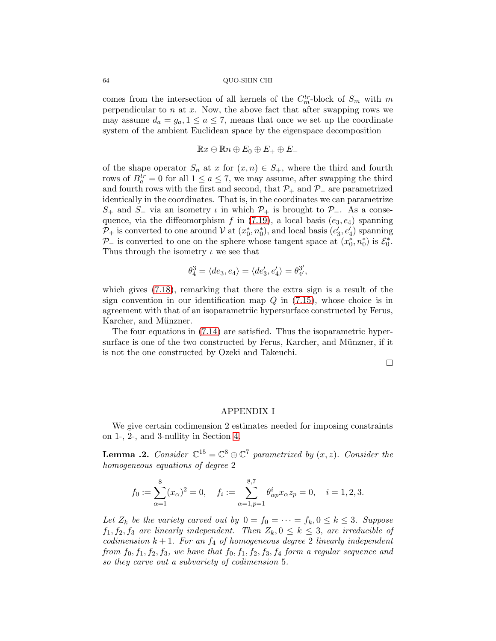comes from the intersection of all kernels of the  $C_m^{tr}$ -block of  $S_m$  with m perpendicular to  $n$  at  $x$ . Now, the above fact that after swapping rows we may assume  $d_a = g_a$ ,  $1 \le a \le 7$ , means that once we set up the coordinate system of the ambient Euclidean space by the eigenspace decomposition

$$
\mathbb{R}x\oplus\mathbb{R}n\oplus E_0\oplus E_+\oplus E_-
$$

of the shape operator  $S_n$  at x for  $(x, n) \in S_+$ , where the third and fourth rows of  $B_a^{tr} = 0$  for all  $1 \le a \le 7$ , we may assume, after swapping the third and fourth rows with the first and second, that  $\mathcal{P}_+$  and  $\mathcal{P}_-$  are parametrized identically in the coordinates. That is, in the coordinates we can parametrize  $S_+$  and  $S_-$  via an isometry  $\iota$  in which  $\mathcal{P}_+$  is brought to  $\mathcal{P}_-$ . As a consequence, via the diffeomorphism f in  $(7.19)$ , a local basis  $(e_3, e_4)$  spanning  $\mathcal{P}_+$  is converted to one around  $\mathcal{V}$  at  $(x_0^*, n_0^*)$ , and local basis  $(e'_3, e'_4)$  spanning  $\mathcal{P}_-$  is converted to one on the sphere whose tangent space at  $(x_0^*, n_0^*)$  is  $\mathcal{E}_0^*$ . Thus through the isometry  $\iota$  we see that

$$
\theta_4^3 = \langle de_3, e_4 \rangle = \langle de_3', e_4' \rangle = \theta_4^{3'}.
$$

which gives [\(7.18\)](#page-62-0), remarking that there the extra sign is a result of the sign convention in our identification map  $Q$  in  $(7.15)$ , whose choice is in agreement with that of an isoparametriic hypersurface constructed by Ferus, Karcher, and Münzner.

The four equations in [\(7.14\)](#page-60-0) are satisfied. Thus the isoparametric hypersurface is one of the two constructed by Ferus, Karcher, and Münzner, if it is not the one constructed by Ozeki and Takeuchi.

 $\Box$ 

### APPENDIX I

We give certain codimension 2 estimates needed for imposing constraints on 1-, 2-, and 3-nullity in Section [4.](#page-18-0)

<span id="page-63-0"></span>**Lemma .2.** Consider  $\mathbb{C}^{15} = \mathbb{C}^8 \oplus \mathbb{C}^7$  parametrized by  $(x, z)$ . Consider the homogeneous equations of degree 2

$$
f_0 := \sum_{\alpha=1}^8 (x_\alpha)^2 = 0, \quad f_i := \sum_{\alpha=1, p=1}^{8,7} \theta^i_{\alpha p} x_\alpha z_p = 0, \quad i = 1, 2, 3.
$$

Let  $Z_k$  be the variety carved out by  $0 = f_0 = \cdots = f_k, 0 \le k \le 3$ . Suppose  $f_1, f_2, f_3$  are linearly independent. Then  $Z_k, 0 \leq k \leq 3$ , are irreducible of codimension  $k + 1$ . For an  $f_4$  of homogeneous degree 2 linearly independent from  $f_0, f_1, f_2, f_3$ , we have that  $f_0, f_1, f_2, f_3, f_4$  form a regular sequence and so they carve out a subvariety of codimension 5.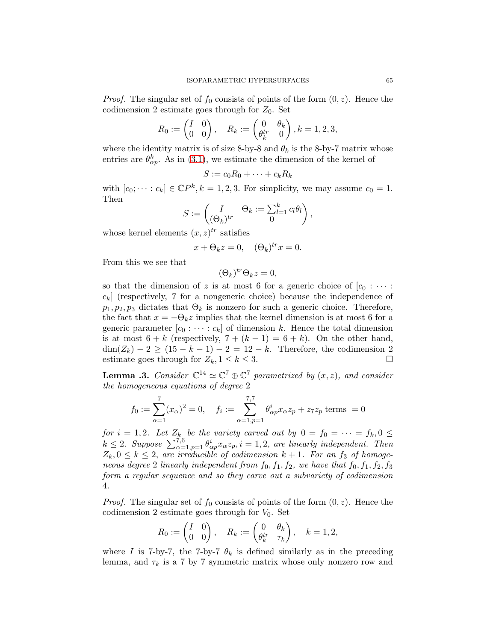*Proof.* The singular set of  $f_0$  consists of points of the form  $(0, z)$ . Hence the codimension 2 estimate goes through for  $Z_0$ . Set

$$
R_0 := \begin{pmatrix} I & 0 \\ 0 & 0 \end{pmatrix}, \quad R_k := \begin{pmatrix} 0 & \theta_k \\ \theta_k^{tr} & 0 \end{pmatrix}, k = 1, 2, 3,
$$

where the identity matrix is of size 8-by-8 and  $\theta_k$  is the 8-by-7 matrix whose entries are  $\theta_{\alpha p}^{k}$ . As in [\(3.1\)](#page-10-1), we estimate the dimension of the kernel of

$$
S := c_0 R_0 + \dots + c_k R_k
$$

with  $[c_0; \dots; c_k] \in \mathbb{C}P^k, k = 1, 2, 3$ . For simplicity, we may assume  $c_0 = 1$ . Then

$$
S := \begin{pmatrix} I & \Theta_k := \sum_{l=1}^k c_l \theta_l \\ (\Theta_k)^{tr} & 0 \end{pmatrix},
$$

whose kernel elements  $(x, z)^{tr}$  satisfies

$$
x + \Theta_k z = 0, \quad (\Theta_k)^{tr} x = 0.
$$

From this we see that

$$
(\Theta_k)^{tr}\Theta_k z = 0,
$$

so that the dimension of z is at most 6 for a generic choice of  $[c_0 : \cdots :$  $c_k$  (respectively, 7 for a nongeneric choice) because the independence of  $p_1, p_2, p_3$  dictates that  $\Theta_k$  is nonzero for such a generic choice. Therefore, the fact that  $x = -\Theta_k z$  implies that the kernel dimension is at most 6 for a generic parameter  $[c_0 : \cdots : c_k]$  of dimension k. Hence the total dimension is at most  $6 + k$  (respectively,  $7 + (k - 1) = 6 + k$ ). On the other hand,  $\dim(Z_k) - 2 \ge (15 - k - 1) - 2 = 12 - k$ . Therefore, the codimension 2 estimate goes through for  $Z_k$ ,  $1 \le k \le 3$ . estimate goes through for  $Z_k$ ,  $1 \leq k \leq 3$ .

<span id="page-64-0"></span>**Lemma .3.** Consider  $\mathbb{C}^{14} \simeq \mathbb{C}^{7} \oplus \mathbb{C}^{7}$  parametrized by  $(x, z)$ , and consider the homogeneous equations of degree 2

$$
f_0 := \sum_{\alpha=1}^7 (x_\alpha)^2 = 0
$$
,  $f_i := \sum_{\alpha=1, p=1}^{7,7} \theta_{\alpha p}^i x_\alpha z_p + z_7 z_p$  terms = 0

for  $i = 1, 2$ . Let  $Z_k$  be the variety carved out by  $0 = f_0 = \cdots = f_k, 0 \leq$  $k \leq 2$ . Suppose  $\sum_{\alpha=1}^{7,6} \theta_{\alpha p}^i x_{\alpha} z_p, i = 1, 2$ , are linearly independent. Then  $Z_k, 0 \leq k \leq 2$ , are irreducible of codimension  $k+1$ . For an  $f_3$  of homogeneous degree 2 linearly independent from  $f_0, f_1, f_2$ , we have that  $f_0, f_1, f_2, f_3$ form a regular sequence and so they carve out a subvariety of codimension 4.

*Proof.* The singular set of  $f_0$  consists of points of the form  $(0, z)$ . Hence the codimension 2 estimate goes through for  $V_0$ . Set

$$
R_0 := \begin{pmatrix} I & 0 \\ 0 & 0 \end{pmatrix}, \quad R_k := \begin{pmatrix} 0 & \theta_k \\ \theta_k^{tr} & \tau_k \end{pmatrix}, \quad k = 1, 2,
$$

where I is 7-by-7, the 7-by-7  $\theta_k$  is defined similarly as in the preceding lemma, and  $\tau_k$  is a 7 by 7 symmetric matrix whose only nonzero row and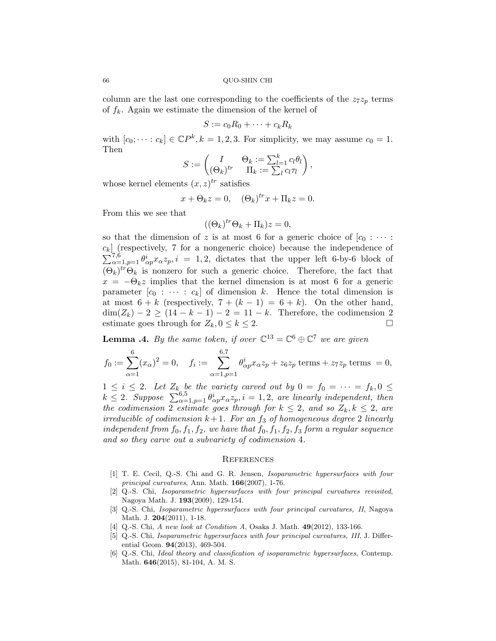column are the last one corresponding to the coefficients of the  $z_7z_p$  terms of  $f_k$ . Again we estimate the dimension of the kernel of

$$
S := c_0 R_0 + \dots + c_k R_k
$$

with  $[c_0; \dots; c_k] \in \mathbb{C}P^k, k = 1, 2, 3$ . For simplicity, we may assume  $c_0 = 1$ . Then

$$
S := \begin{pmatrix} I & \Theta_k := \sum_{l=1}^k c_l \theta_l \\ (\Theta_k)^{tr} & \Pi_k := \sum_l c_l \tau_l \end{pmatrix},
$$

whose kernel elements  $(x, z)^{tr}$  satisfies

$$
x + \Theta_k z = 0, \quad (\Theta_k)^{tr} x + \Pi_k z = 0.
$$

From this we see that

$$
((\Theta_k)^{tr}\Theta_k + \Pi_k)z = 0,
$$

so that the dimension of z is at most 6 for a generic choice of  $[c_0 : \cdots :$  $c_k$  (respectively, 7 for a nongeneric choice) because the independence of  $\sum_{\alpha=1, p=1}^{7,6} \theta_{\alpha p}^i x_{\alpha} z_p, i = 1, 2$ , dictates that the upper left 6-by-6 block of  $(\Theta_k)^{tr} \Theta_k$  is nonzero for such a generic choice. Therefore, the fact that  $x = -\Theta_k z$  implies that the kernel dimension is at most 6 for a generic parameter  $[c_0 : \cdots : c_k]$  of dimension k. Hence the total dimension is at most  $6 + k$  (respectively,  $7 + (k - 1) = 6 + k$ ). On the other hand,  $\dim(Z_k) - 2 \geq (14 - k - 1) - 2 = 11 - k$ . Therefore, the codimension 2 estimate goes through for  $Z_k$ ,  $0 \leq k \leq 2$ . estimate goes through for  $Z_k, 0 \leq k \leq 2$ .

<span id="page-65-6"></span>**Lemma .4.** By the same token, if over  $\mathbb{C}^{13} = \mathbb{C}^6 \oplus \mathbb{C}^7$  we are given

$$
f_0 := \sum_{\alpha=1}^6 (x_\alpha)^2 = 0, \quad f_i := \sum_{\alpha=1, p=1}^{6,7} \theta_{\alpha p}^i x_\alpha z_p + z_6 z_p \text{ terms} + z_7 z_p \text{ terms} = 0,
$$

 $1 \leq i \leq 2$ . Let  $Z_k$  be the variety carved out by  $0 = f_0 = \cdots = f_k, 0 \leq$  $k \leq 2$ . Suppose  $\sum_{\alpha=1}^{6,5} \theta_{\alpha p}^{i} x_{\alpha} z_{p}$ ,  $i = 1, 2$ , are linearly independent, then the codimension 2 estimate goes through for  $k \leq 2$ , and so  $Z_k, k \leq 2$ , are irreducible of codimension  $k + 1$ . For an  $f_3$  of homogeneous degree 2 linearly independent from  $f_0, f_1, f_2$ , we have that  $f_0, f_1, f_2, f_3$  form a regular sequence and so they carve out a subvariety of codimension 4.

## **REFERENCES**

- <span id="page-65-0"></span>[1] T. E. Cecil, Q.-S. Chi and G. R. Jensen, Isoparametric hypersurfaces with four principal curvatures, Ann. Math. 166(2007), 1-76.
- <span id="page-65-5"></span>[2] Q.-S. Chi, Isoparametric hypersurfaces with four principal curvatures revisited, Nagoya Math. J. 193(2009), 129-154.
- <span id="page-65-1"></span>[3] Q.-S. Chi, Isoparametric hypersurfaces with four principal curvatures, II, Nagoya Math. J. 204(2011), 1-18.
- <span id="page-65-3"></span><span id="page-65-2"></span>[4] Q.-S. Chi, A new look at Condition A, Osaka J. Math. **49**(2012), 133-166.
- [5] Q.-S. Chi, Isoparametric hypersurfaces with four principal curvatures, III, J. Differential Geom. 94(2013), 469-504.
- <span id="page-65-4"></span>[6] Q.-S. Chi, Ideal theory and classification of isoparametric hypersurfaces, Contemp. Math. 646(2015), 81-104, A. M. S.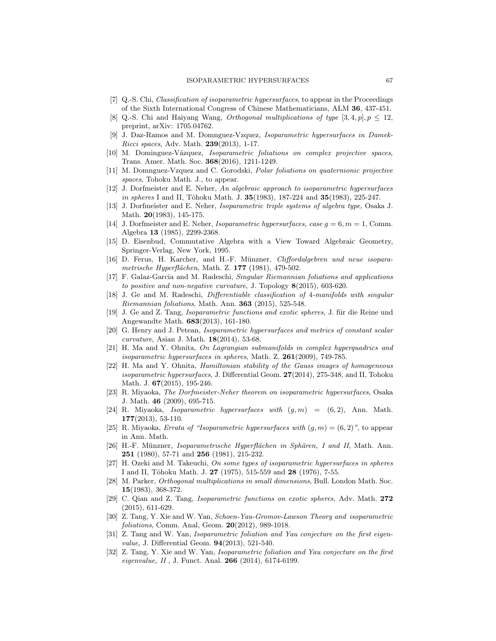- <span id="page-66-6"></span><span id="page-66-5"></span>[7] Q.-S. Chi, Classification of isoparametric hypersurfaces, to appear in the Proceedings of the Sixth International Congress of Chinese Mathematicians, ALM 36, 437-451.
- [8] Q.-S. Chi and Haiyang Wang, *Orthogonal multiplications of type* [3, 4, p],  $p < 12$ , preprint, arXiv: 1705.04762.
- <span id="page-66-13"></span>[9] J. Daz-Ramos and M. Domnguez-Vzquez, Isoparametric hypersurfaces in Damek-Ricci spaces, Adv. Math. 239(2013), 1-17.
- <span id="page-66-12"></span><span id="page-66-11"></span>[10] M. Dominguez-Vázquez, *Isoparametric foliations on complex projective spaces*, Trans. Amer. Math. Soc. 368(2016), 1211-1249.
- [11] M. Domnguez-Vzquez and C. Gorodski, Polar foliations on quaternionic projective spaces, Tohoku Math. J., to appear.
- [12] J. Dorfmeister and E. Neher, An algebraic approach to isoparametric hypersurfaces in spheres I and II, Tôhoku Math. J.  $35(1983)$ ,  $187-224$  and  $35(1983)$ ,  $225-247$ .
- <span id="page-66-4"></span><span id="page-66-0"></span>[13] J. Dorfmeister and E. Neher, Isoparametric triple systems of algebra type, Osaka J. Math. **20**(1983), 145-175.
- [14] J. Dorfmeister and E. Neher, *Isoparametric hypersurfaces*, case  $g = 6, m = 1$ , Comm. Algebra 13 (1985), 2299-2368.
- <span id="page-66-7"></span>[15] D. Eisenbud, Commutative Algebra with a View Toward Algebraic Geometry, Springer-Verlag, New York, 1995.
- <span id="page-66-22"></span>[16] D. Ferus, H. Karcher, and H.-F. Münzner, *Cliffordalgebren und neue isopara*metrische Hyperflächen, Math. Z. 177 (1981), 479-502.
- <span id="page-66-14"></span>[17] F. Galaz-Garcia and M. Radeschi, Singular Riemannian foliations and applications to positive and non-negative curvature, J. Topology 8(2015), 603-620.
- <span id="page-66-15"></span>[18] J. Ge and M. Radeschi, Differentiable classification of 4-manifolds with singular Riemannian foliations, Math. Ann. 363 (2015), 525-548.
- <span id="page-66-8"></span>[19] J. Ge and Z. Tang, *Isoparametric functions and exotic spheres*, J. für die Reine und Angewandte Math. 683(2013), 161-180.
- <span id="page-66-18"></span>[20] G. Henry and J. Petean, Isoparametric hypersurfaces and metrics of constant scalar curvature, Asian J. Math. 18(2014), 53-68.
- <span id="page-66-19"></span>[21] H. Ma and Y. Ohnita, On Lagrangian submanifolds in complex hyperquadrics and isoparametric hypersurfaces in spheres, Math. Z.  $261(2009)$ , 749-785.
- <span id="page-66-20"></span>[22] H. Ma and Y. Ohnita, Hamiltonian stability of the Gauss images of homogeneous isoparametric hypersurfaces, J. Differential Geom. 27(2014), 275-348, and II, Tohoku Math. J. 67(2015), 195-246.
- [23] R. Miyaoka, The Dorfmeister-Neher theorem on isoparametric hypersurfaces, Osaka J. Math. 46 (2009), 695-715.
- <span id="page-66-1"></span>[24] R. Miyaoka, *Isoparametric hypersurfaces with*  $(g, m) = (6, 2)$ , Ann. Math. 177(2013), 53-110.
- <span id="page-66-21"></span><span id="page-66-2"></span>[25] R. Miyaoka, Errata of "Isoparametric hypersurfaces with  $(g, m) = (6, 2)$ ", to appear in Ann. Math.
- [26] H.-F. Münzner, Isoparametrische Hyperflächen in Sphären, I and II, Math. Ann. 251 (1980), 57-71 and 256 (1981), 215-232.
- <span id="page-66-3"></span>[27] H. Ozeki and M. Takeuchi, On some types of isoparametric hypersurfaces in spheres I and II, Tôhoku Math. J. 27 (1975), 515-559 and 28 (1976), 7-55.
- [28] M. Parker, Orthogonal multiplications in small dimensions, Bull. London Math. Soc. 15(1983), 368-372.
- <span id="page-66-9"></span>[29] C. Qian and Z. Tang, Isoparametric functions on exotic spheres, Adv. Math. 272 (2015), 611-629.
- <span id="page-66-10"></span>[30] Z. Tang, Y. Xie and W. Yan, Schoen-Yau-Gromov-Lawson Theory and isoparametric foliations, Comm. Anal, Geom. 20(2012), 989-1018.
- <span id="page-66-16"></span>[31] Z. Tang and W. Yan, Isoparametric foliation and Yau conjecture on the first eigenvalue, J. Differential Geom. 94(2013), 521-540.
- <span id="page-66-17"></span>[32] Z. Tang, Y. Xie and W. Yan, Isoparametric foliation and Yau conjecture on the first eigenvalue, II , J. Funct. Anal. 266 (2014), 6174-6199.